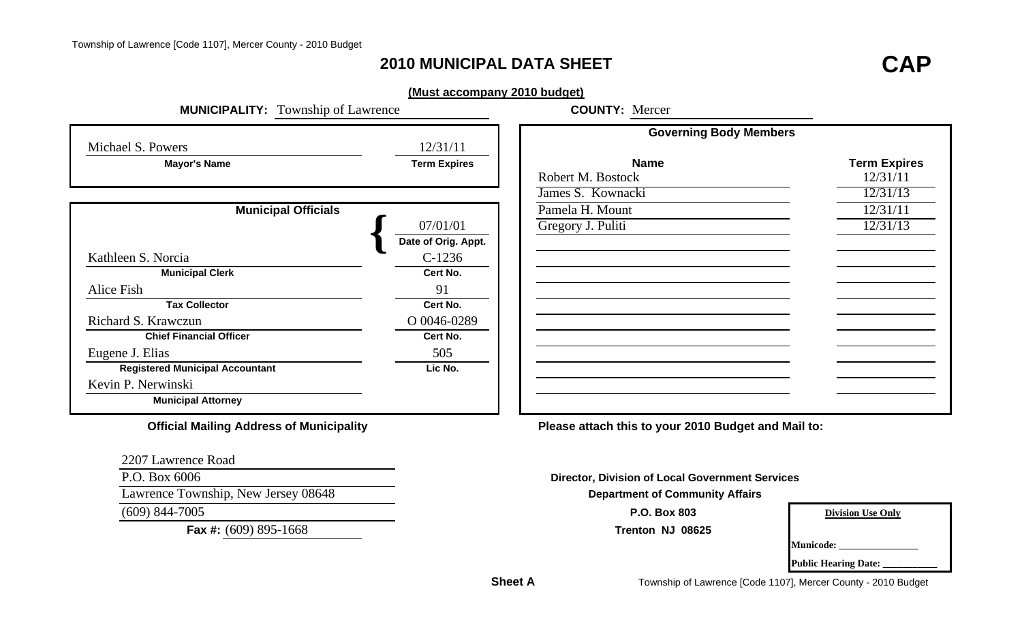## **2010 MUNICIPAL DATA SHEET**

# **T CAP**

#### **(Must accompany 2010 budget)**

| <b>MUNICIPALITY:</b> Township of Lawrence       |                     | <b>COUNTY: Mercer</b>                                  |                          |
|-------------------------------------------------|---------------------|--------------------------------------------------------|--------------------------|
| Michael S. Powers                               | 12/31/11            | <b>Governing Body Members</b>                          |                          |
| <b>Mayor's Name</b>                             | <b>Term Expires</b> | <b>Name</b>                                            | <b>Term Expires</b>      |
|                                                 |                     | Robert M. Bostock                                      | 12/31/11                 |
|                                                 |                     | James S. Kownacki                                      | 12/31/13                 |
| <b>Municipal Officials</b>                      |                     | Pamela H. Mount                                        | 12/31/11                 |
|                                                 | 07/01/01            | Gregory J. Puliti                                      | 12/31/13                 |
|                                                 | Date of Orig. Appt. |                                                        |                          |
| Kathleen S. Norcia                              | $C-1236$            |                                                        |                          |
| <b>Municipal Clerk</b>                          | Cert No.            |                                                        |                          |
| Alice Fish                                      | 91                  |                                                        |                          |
| <b>Tax Collector</b>                            | Cert No.            |                                                        |                          |
| Richard S. Krawczun                             | O 0046-0289         |                                                        |                          |
| <b>Chief Financial Officer</b>                  | Cert No.            |                                                        |                          |
| Eugene J. Elias                                 | 505                 |                                                        |                          |
| <b>Registered Municipal Accountant</b>          | Lic No.             |                                                        |                          |
| Kevin P. Nerwinski                              |                     |                                                        |                          |
| <b>Municipal Attorney</b>                       |                     |                                                        |                          |
| <b>Official Mailing Address of Municipality</b> |                     | Please attach this to your 2010 Budget and Mail to:    |                          |
| 2207 Lawrence Road                              |                     |                                                        |                          |
| P.O. Box 6006                                   |                     | <b>Director, Division of Local Government Services</b> |                          |
| Lawrence Township, New Jersey 08648             |                     | <b>Department of Community Affairs</b>                 |                          |
| $(609)$ 844-7005                                |                     | P.O. Box 803                                           | <b>Division Use Only</b> |
|                                                 |                     |                                                        |                          |

**Fax #:** (609) 895-1668 **Trenton NJ 08625**

**Municode: \_\_\_\_\_\_\_\_\_\_\_\_\_\_\_\_**

|  | <b>Public Hearing Date:</b> |  |  |
|--|-----------------------------|--|--|
|--|-----------------------------|--|--|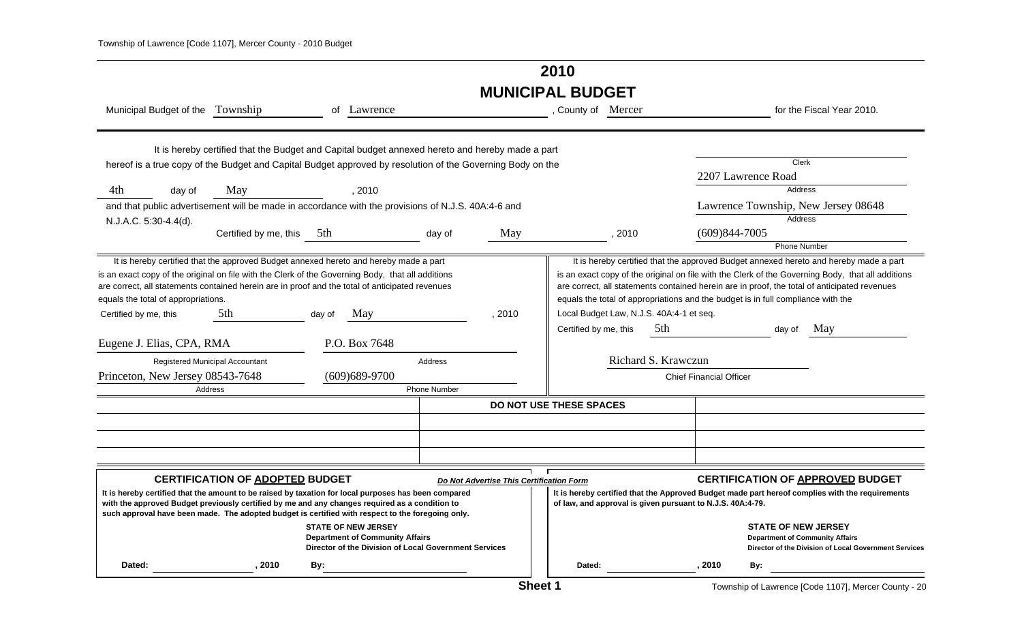## **2010 MUNICIPAL BUDGET**

| Municipal Budget of the Township                                                                                                                                                                                                                                                                                                     |                                                                                                 |        | of Lawrence                                                                                                                   |              |                                          | , County of Mercer                                         |        |                                          |                                |                                                                                  | for the Fiscal Year 2010.                                                                                                                                                                                                                                                                  |
|--------------------------------------------------------------------------------------------------------------------------------------------------------------------------------------------------------------------------------------------------------------------------------------------------------------------------------------|-------------------------------------------------------------------------------------------------|--------|-------------------------------------------------------------------------------------------------------------------------------|--------------|------------------------------------------|------------------------------------------------------------|--------|------------------------------------------|--------------------------------|----------------------------------------------------------------------------------|--------------------------------------------------------------------------------------------------------------------------------------------------------------------------------------------------------------------------------------------------------------------------------------------|
|                                                                                                                                                                                                                                                                                                                                      | It is hereby certified that the Budget and Capital budget annexed hereto and hereby made a part |        |                                                                                                                               |              |                                          |                                                            |        |                                          |                                |                                                                                  |                                                                                                                                                                                                                                                                                            |
| hereof is a true copy of the Budget and Capital Budget approved by resolution of the Governing Body on the                                                                                                                                                                                                                           |                                                                                                 |        |                                                                                                                               |              |                                          |                                                            |        |                                          |                                | Clerk                                                                            |                                                                                                                                                                                                                                                                                            |
|                                                                                                                                                                                                                                                                                                                                      |                                                                                                 |        |                                                                                                                               |              |                                          |                                                            |        |                                          |                                | 2207 Lawrence Road                                                               |                                                                                                                                                                                                                                                                                            |
| 4th<br>day of                                                                                                                                                                                                                                                                                                                        | May                                                                                             |        | , 2010                                                                                                                        |              |                                          |                                                            |        |                                          |                                | <b>Address</b>                                                                   |                                                                                                                                                                                                                                                                                            |
| and that public advertisement will be made in accordance with the provisions of N.J.S. 40A:4-6 and                                                                                                                                                                                                                                   |                                                                                                 |        |                                                                                                                               |              |                                          |                                                            |        |                                          |                                |                                                                                  | Lawrence Township, New Jersey 08648                                                                                                                                                                                                                                                        |
| N.J.A.C. 5:30-4.4(d).                                                                                                                                                                                                                                                                                                                |                                                                                                 |        |                                                                                                                               |              |                                          |                                                            |        |                                          |                                | <b>Address</b>                                                                   |                                                                                                                                                                                                                                                                                            |
|                                                                                                                                                                                                                                                                                                                                      | Certified by me, this 5th                                                                       |        |                                                                                                                               | day of       | May                                      |                                                            | , 2010 |                                          | $(609)844 - 7005$              |                                                                                  |                                                                                                                                                                                                                                                                                            |
|                                                                                                                                                                                                                                                                                                                                      |                                                                                                 |        |                                                                                                                               |              |                                          |                                                            |        |                                          |                                | <b>Phone Number</b>                                                              |                                                                                                                                                                                                                                                                                            |
| It is hereby certified that the approved Budget annexed hereto and hereby made a part<br>is an exact copy of the original on file with the Clerk of the Governing Body, that all additions<br>are correct, all statements contained herein are in proof and the total of anticipated revenues<br>equals the total of appropriations. |                                                                                                 |        |                                                                                                                               |              |                                          |                                                            |        |                                          |                                | equals the total of appropriations and the budget is in full compliance with the | It is hereby certified that the approved Budget annexed hereto and hereby made a part<br>is an exact copy of the original on file with the Clerk of the Governing Body, that all additions<br>are correct, all statements contained herein are in proof, the total of anticipated revenues |
| Certified by me, this                                                                                                                                                                                                                                                                                                                | 5th                                                                                             | day of | May                                                                                                                           |              | , 2010                                   |                                                            |        | Local Budget Law, N.J.S. 40A:4-1 et seq. |                                |                                                                                  |                                                                                                                                                                                                                                                                                            |
|                                                                                                                                                                                                                                                                                                                                      |                                                                                                 |        |                                                                                                                               |              |                                          | Certified by me, this                                      |        | 5th                                      |                                | dav of                                                                           | May                                                                                                                                                                                                                                                                                        |
| Eugene J. Elias, CPA, RMA                                                                                                                                                                                                                                                                                                            |                                                                                                 |        | P.O. Box 7648                                                                                                                 |              |                                          |                                                            |        |                                          |                                |                                                                                  |                                                                                                                                                                                                                                                                                            |
| Registered Municipal Accountant                                                                                                                                                                                                                                                                                                      |                                                                                                 |        |                                                                                                                               | Address      |                                          |                                                            |        | Richard S. Krawczun                      |                                |                                                                                  |                                                                                                                                                                                                                                                                                            |
| Princeton, New Jersey 08543-7648                                                                                                                                                                                                                                                                                                     |                                                                                                 |        | $(609)689-9700$                                                                                                               |              |                                          |                                                            |        |                                          | <b>Chief Financial Officer</b> |                                                                                  |                                                                                                                                                                                                                                                                                            |
| Address                                                                                                                                                                                                                                                                                                                              |                                                                                                 |        |                                                                                                                               | Phone Number |                                          |                                                            |        |                                          |                                |                                                                                  |                                                                                                                                                                                                                                                                                            |
|                                                                                                                                                                                                                                                                                                                                      |                                                                                                 |        |                                                                                                                               |              |                                          | DO NOT USE THESE SPACES                                    |        |                                          |                                |                                                                                  |                                                                                                                                                                                                                                                                                            |
|                                                                                                                                                                                                                                                                                                                                      |                                                                                                 |        |                                                                                                                               |              |                                          |                                                            |        |                                          |                                |                                                                                  |                                                                                                                                                                                                                                                                                            |
|                                                                                                                                                                                                                                                                                                                                      |                                                                                                 |        |                                                                                                                               |              |                                          |                                                            |        |                                          |                                |                                                                                  |                                                                                                                                                                                                                                                                                            |
|                                                                                                                                                                                                                                                                                                                                      |                                                                                                 |        |                                                                                                                               |              |                                          |                                                            |        |                                          |                                |                                                                                  |                                                                                                                                                                                                                                                                                            |
|                                                                                                                                                                                                                                                                                                                                      | <b>CERTIFICATION OF ADOPTED BUDGET</b>                                                          |        |                                                                                                                               |              | Do Not Advertise This Certification Form |                                                            |        |                                          |                                |                                                                                  | <b>CERTIFICATION OF APPROVED BUDGET</b>                                                                                                                                                                                                                                                    |
| It is hereby certified that the amount to be raised by taxation for local purposes has been compared<br>with the approved Budget previously certified by me and any changes required as a condition to<br>such approval have been made. The adopted budget is certified with respect to the foregoing only.                          |                                                                                                 |        |                                                                                                                               |              |                                          | of law, and approval is given pursuant to N.J.S. 40A:4-79. |        |                                          |                                |                                                                                  | It is hereby certified that the Approved Budget made part hereof complies with the requirements                                                                                                                                                                                            |
|                                                                                                                                                                                                                                                                                                                                      |                                                                                                 |        | <b>STATE OF NEW JERSEY</b><br><b>Department of Community Affairs</b><br>Director of the Division of Local Government Services |              |                                          |                                                            |        |                                          |                                | <b>STATE OF NEW JERSEY</b><br><b>Department of Community Affairs</b>             | Director of the Division of Local Government Services                                                                                                                                                                                                                                      |
| Dated:                                                                                                                                                                                                                                                                                                                               | 2010                                                                                            | By:    |                                                                                                                               |              |                                          | Dated:                                                     |        |                                          | 2010                           | By:                                                                              |                                                                                                                                                                                                                                                                                            |

Township of Lawrence [Code 1107], Mercer County - 20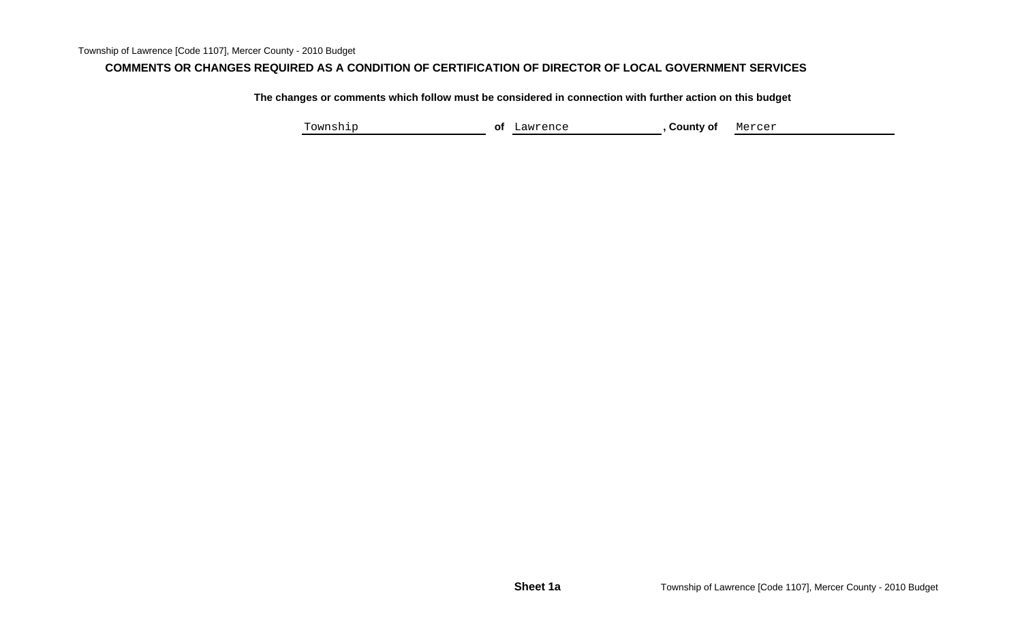#### **COMMENTS OR CHANGES REQUIRED AS A CONDITION OF CERTIFICATION OF DIRECTOR OF LOCAL GOVERNMENT SERVICES**

**The changes or comments which follow must be considered in connection with further action on this budget**

Township **of** Lawrence **, County of** Mercer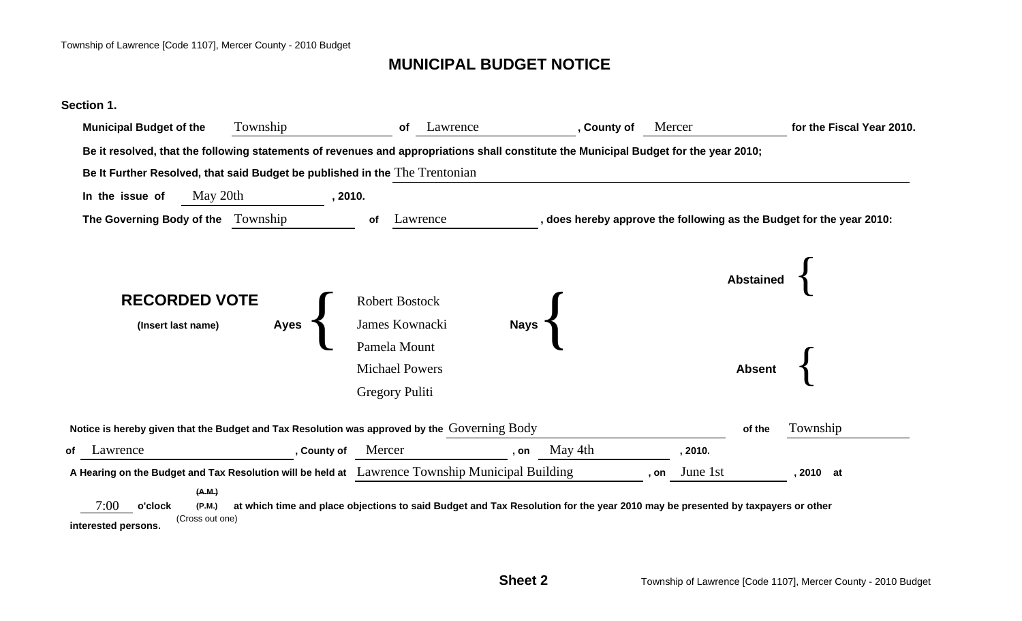## **MUNICIPAL BUDGET NOTICE**

#### **Section 1.**

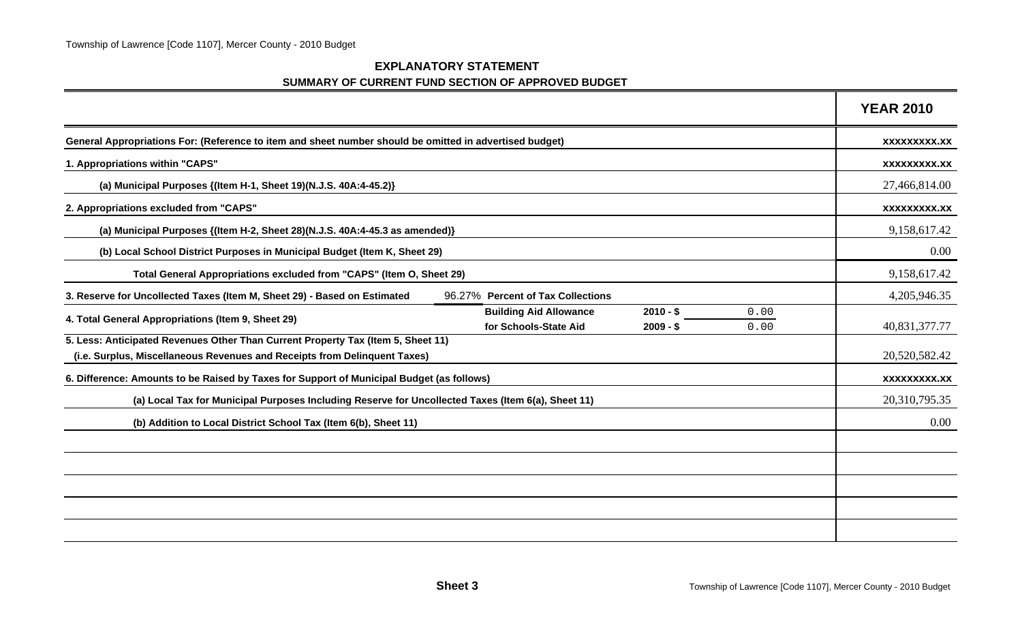| <b>EXPLANATORY STATEMENT</b>                       |  |
|----------------------------------------------------|--|
| SUMMARY OF CURRENT FUND SECTION OF APPROVED BUDGET |  |

|                                                                                                                                                               |                                                        |                          |              | <b>YEAR 2010</b>    |
|---------------------------------------------------------------------------------------------------------------------------------------------------------------|--------------------------------------------------------|--------------------------|--------------|---------------------|
| General Appropriations For: (Reference to item and sheet number should be omitted in advertised budget)                                                       |                                                        |                          |              | XXXXXXXXX.XX        |
| 1. Appropriations within "CAPS"                                                                                                                               |                                                        |                          |              | <b>XXXXXXXXX.XX</b> |
| (a) Municipal Purposes {(Item H-1, Sheet 19)(N.J.S. 40A:4-45.2)}                                                                                              |                                                        |                          |              | 27,466,814.00       |
| 2. Appropriations excluded from "CAPS"                                                                                                                        |                                                        |                          |              | <b>XXXXXXXXX.XX</b> |
| (a) Municipal Purposes {(Item H-2, Sheet 28)(N.J.S. 40A:4-45.3 as amended)}                                                                                   |                                                        |                          |              | 9,158,617.42        |
| (b) Local School District Purposes in Municipal Budget (Item K, Sheet 29)                                                                                     |                                                        |                          |              | 0.00                |
| Total General Appropriations excluded from "CAPS" (Item O, Sheet 29)                                                                                          |                                                        |                          |              | 9,158,617.42        |
| 3. Reserve for Uncollected Taxes (Item M, Sheet 29) - Based on Estimated                                                                                      | 96.27% Percent of Tax Collections                      |                          |              | 4,205,946.35        |
| 4. Total General Appropriations (Item 9, Sheet 29)                                                                                                            | <b>Building Aid Allowance</b><br>for Schools-State Aid | $2010 - $$<br>$2009 - $$ | 0.00<br>0.00 | 40,831,377.77       |
| 5. Less: Anticipated Revenues Other Than Current Property Tax (Item 5, Sheet 11)<br>(i.e. Surplus, Miscellaneous Revenues and Receipts from Delinquent Taxes) |                                                        |                          |              | 20,520,582.42       |
| 6. Difference: Amounts to be Raised by Taxes for Support of Municipal Budget (as follows)                                                                     |                                                        |                          |              | XXXXXXXXX.XX        |
| (a) Local Tax for Municipal Purposes Including Reserve for Uncollected Taxes (Item 6(a), Sheet 11)                                                            |                                                        |                          |              | 20,310,795.35       |
| (b) Addition to Local District School Tax (Item 6(b), Sheet 11)                                                                                               |                                                        |                          |              | 0.00                |
|                                                                                                                                                               |                                                        |                          |              |                     |
|                                                                                                                                                               |                                                        |                          |              |                     |
|                                                                                                                                                               |                                                        |                          |              |                     |
|                                                                                                                                                               |                                                        |                          |              |                     |
|                                                                                                                                                               |                                                        |                          |              |                     |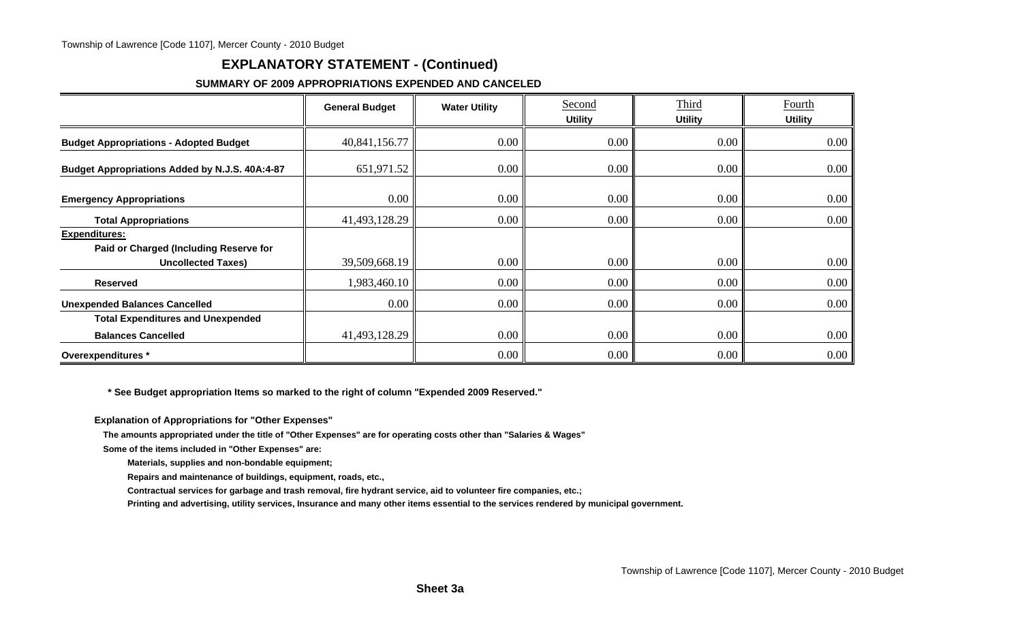## **EXPLANATORY STATEMENT - (Continued)**

#### **SUMMARY OF 2009 APPROPRIATIONS EXPENDED AND CANCELED**

|                                                                                             | <b>General Budget</b> | <b>Water Utility</b> | Second<br><b>Utility</b> | Third<br><b>Utility</b> | Fourth<br><b>Utility</b> |
|---------------------------------------------------------------------------------------------|-----------------------|----------------------|--------------------------|-------------------------|--------------------------|
| <b>Budget Appropriations - Adopted Budget</b>                                               | 40,841,156.77         | $0.00\degree$        | 0.00                     | $0.00\,$                | 0.00                     |
| Budget Appropriations Added by N.J.S. 40A:4-87                                              | 651,971.52            | $0.00\degree$        | 0.00                     | $0.00\,$                | $0.00\,$                 |
| <b>Emergency Appropriations</b>                                                             | $0.00\,$              | $0.00\degree$        | 0.00                     | 0.00                    | 0.00                     |
| <b>Total Appropriations</b>                                                                 | 41,493,128.29         | $0.00\degree$        | 0.00                     | $0.00\,$                | 0.00                     |
| <b>Expenditures:</b><br>Paid or Charged (Including Reserve for<br><b>Uncollected Taxes)</b> | 39,509,668.19         | 0.00                 | 0.00                     | 0.00                    | 0.00                     |
| <b>Reserved</b>                                                                             | 1,983,460.10          | $0.00\degree$        | 0.00                     | $0.00\,$                | $0.00\,$                 |
| <b>Unexpended Balances Cancelled</b>                                                        | $0.00\,$              | $0.00\degree$        | 0.00                     | 0.00                    | $0.00\,$                 |
| <b>Total Expenditures and Unexpended</b>                                                    |                       |                      |                          |                         |                          |
| <b>Balances Cancelled</b>                                                                   | 41,493,128.29         | 0.00                 | 0.00                     | 0.00                    | 0.00                     |
| Overexpenditures *                                                                          |                       | $0.00\degree$        | 0.00                     | 0.00                    | 0.00                     |

 **\* See Budget appropriation Items so marked to the right of column "Expended 2009 Reserved."**

**Explanation of Appropriations for "Other Expenses"**

**The amounts appropriated under the title of "Other Expenses" are for operating costs other than "Salaries & Wages"**

**Some of the items included in "Other Expenses" are:**

**Materials, supplies and non-bondable equipment;**

**Repairs and maintenance of buildings, equipment, roads, etc.,**

**Contractual services for garbage and trash removal, fire hydrant service, aid to volunteer fire companies, etc.;**

**Printing and advertising, utility services, Insurance and many other items essential to the services rendered by municipal government.**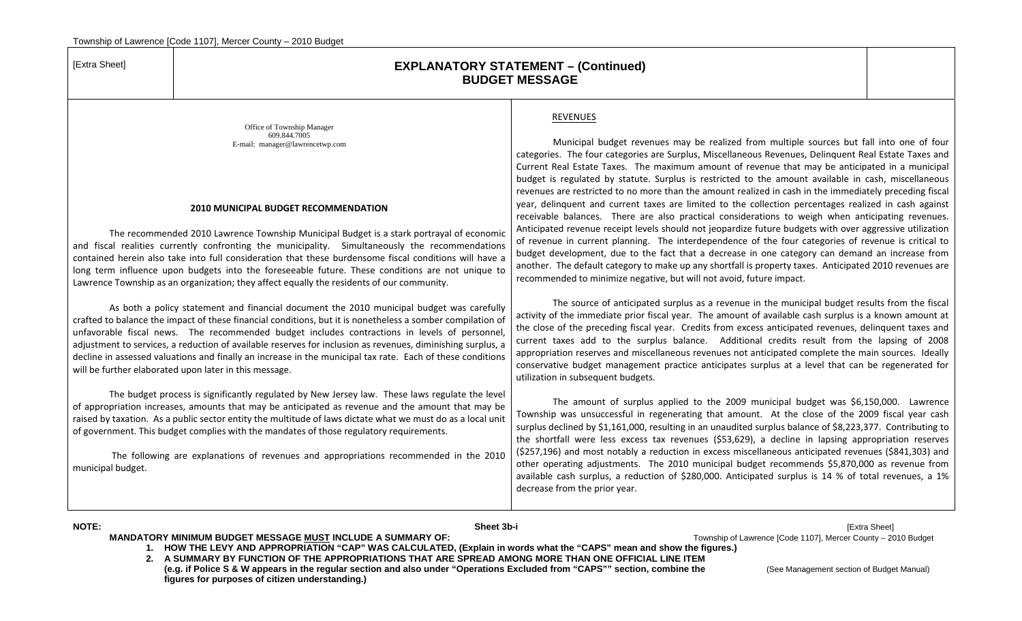#### [Extra Sheet] **EXPLANATORY STATEMENT – (Continued) BUDGET MESSAGE**

REVENUES

Office of Township Manager 609.844.7005 E-mail: manager@lawrencetwp.com

#### **2010 MUNICIPAL BUDGET RECOMMENDATION**

The recommended 2010 Lawrence Township Municipal Budget is <sup>a</sup> stark portrayal of economic and fiscal realities currently confronting the municipality. Simultaneously the recommendations contained herein also take into full consideration that these burdensome fiscal conditions will have <sup>a</sup> long term influence upon budgets into the foreseeable future. These conditions are not unique to Lawrence Township as an organization; they affect equally the residents of our community.

As both <sup>a</sup> policy statement and financial document the 2010 municipal budget was carefully crafted to balance the impact of these financial conditions, but it is nonetheless <sup>a</sup> somber compilation of unfavorable fiscal news. The recommended budget includes contractions in levels of personnel, adjustment to services, <sup>a</sup> reduction of available reserves for inclusion as revenues, diminishing surplus, <sup>a</sup> decline in assessed valuations and finally an increase in the municipal tax rate. Each of these conditions will be further elaborated upon later in this message.

The budget process is significantly regulated by New Jersey law. These laws regulate the level of appropriation increases, amounts that may be anticipated as revenue and the amount that may be raised by taxation. As <sup>a</sup> public sector entity the multitude of laws dictate what we must do as <sup>a</sup> local unit of government. This budget complies with the mandates of those regulatory requirements.

The following are explanations of revenues and appropriations recommended in the 2010 municipal budget.

#### Municipal budget revenues may be realized from multiple sources but fall into one of four categories. The four categories are Surplus, Miscellaneous Revenues, Delinquent Real Estate Taxes and Current Real Estate Taxes. The maximum amount of revenue that may be anticipated in <sup>a</sup> municipal budget is regulated by statute. Surplus is restricted to the amount available in cash, miscellaneous revenues are restricted to no more than the amount realized in cash in the immediately preceding fiscal year, delinquent and current taxes are limited to the collection percentages realized in cash against receivable balances. There are also practical considerations to weigh when anticipating revenues. Anticipated revenue receipt levels should not jeopardize future budgets with over aggressive utilization of revenue in current planning. The interdependence of the four categories of revenue is critical to budget development, due to the fact that <sup>a</sup> decrease in one category can demand an increase from another. The default category to make up any shortfall is property taxes. Anticipated 2010 revenues are recommended to minimize negative, but will not avoid, future impact.

The source of anticipated surplus as <sup>a</sup> revenue in the municipal budget results from the fiscal activity of the immediate prior fiscal year. The amount of available cash surplus is <sup>a</sup> known amount at the close of the preceding fiscal year. Credits from excess anticipated revenues, delinquent taxes and current taxes add to the surplus balance. Additional credits result from the lapsing of 2008 appropriation reserves and miscellaneous revenues not anticipated complete the main sources. Ideally conservative budget management practice anticipates surplus at <sup>a</sup> level that can be regenerated for utilization in subsequent budgets.

The amount of surplus applied to the 2009 municipal budget was \$6,150,000. Lawrence Township was unsuccessful in regenerating that amount. At the close of the 2009 fiscal year cash surplus declined by \$1,161,000, resulting in an unaudited surplus balance of \$8,223,377. Contributing to the shortfall were less excess tax revenues (\$53,629), <sup>a</sup> decline in lapsing appropriation reserves (\$257,196) and most notably <sup>a</sup> reduction in excess miscellaneous anticipated revenues (\$841,303) and other operating adjustments. The 2010 municipal budget recommends \$5,870,000 as revenue from available cash surplus, <sup>a</sup> reduction of \$280,000. Anticipated surplus is <sup>14</sup> % of total revenues, <sup>a</sup> 1% decrease from the prior year.

**NOTE: Sheet 3b-i** [Extra Sheet] **MANDATORY MINIMUM BUDGET MESSAGE MUST INCLUDE A SUMMARY OF: The superior of Lawrence [Code 1107], Mercer County – 2010 Budget** 

**1. HOW THE LEVY AND APPROPRIATION "CAP" WAS CALCULATED, (Explain in words what the "CAPS" mean and show the figures.)** 

**2. A SUMMARY BY FUNCTION OF THE APPROPRIATIONS THAT ARE SPREAD AMONG MORE THAN ONE OFFICIAL LINE ITEM (e.g. if Police S & W appears in the regular section and also under "Operations Excluded from "CAPS"" section, combine the** (See Management section of Budget Manual) **figures for purposes of citizen understanding.)**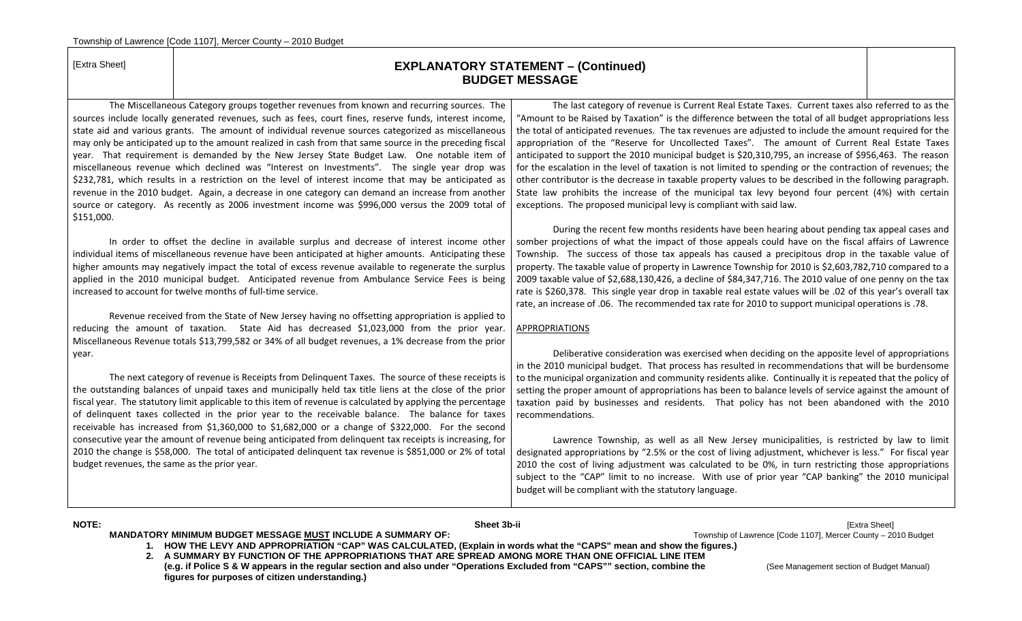#### [Extra Sheet] **EXPLANATORY STATEMENT – (Continued) BUDGET MESSAGE**

The Miscellaneous Category groups together revenues from known and recurring sources. The sources include locally generated revenues, such as fees, court fines, reserve funds, interest income, state aid and various grants. The amount of individual revenue sources categorized as miscellaneous may only be anticipated up to the amount realized in cash from that same source in the preceding fiscal year. That requirement is demanded by the New Jersey State Budget Law. One notable item of miscellaneous revenue which declined was "Interest on Investments". The single year drop was \$232,781, which results in <sup>a</sup> restriction on the level of interest income that may be anticipated as revenue in the 2010 budget. Again, <sup>a</sup> decrease in one category can demand an increase from another source or category. As recently as 2006 investment income was \$996,000 versus the 2009 total of \$151,000.

In order to offset the decline in available surplus and decrease of interest income other individual items of miscellaneous revenue have been anticipated at higher amounts. Anticipating these higher amounts may negatively impact the total of excess revenue available to regenerate the surplus applied in the 2010 municipal budget. Anticipated revenue from Ambulance Service Fees is being increased to account for twelve months of full‐time service.

Revenue received from the State of New Jersey having no offsetting appropriation is applied to reducing the amount of taxation. State Aid has decreased \$1,023,000 from the prior year. Miscellaneous Revenue totals \$13,799,582 or 34% of all budget revenues, <sup>a</sup> 1% decrease from the prior year.

The next category of revenue is Receipts from Delinquent Taxes. The source of these receipts is the outstanding balances of unpaid taxes and municipally held tax title liens at the close of the prior fiscal year. The statutory limit applicable to this item of revenue is calculated by applying the percentage of delinquent taxes collected in the prior year to the receivable balance. The balance for taxes receivable has increased from \$1,360,000 to \$1,682,000 or <sup>a</sup> change of \$322,000. For the second consecutive year the amount of revenue being anticipated from delinquent tax receipts is increasing, for 2010 the change is \$58,000. The total of anticipated delinquent tax revenue is \$851,000 or 2% of total budget revenues, the same as the prior year.

The last category of revenue is Current Real Estate Taxes. Current taxes also referred to as the "Amount to be Raised by Taxation" is the difference between the total of all budget appropriations less the total of anticipated revenues. The tax revenues are adjusted to include the amount required for the appropriation of the "Reserve for Uncollected Taxes". The amount of Current Real Estate Taxes anticipated to support the 2010 municipal budget is \$20,310,795, an increase of \$956,463. The reason for the escalation in the level of taxation is not limited to spending or the contraction of revenues; the other contributor is the decrease in taxable property values to be described in the following paragraph. State law prohibits the increase of the municipal tax levy beyond four percent (4%) with certain exceptions. The proposed municipal levy is compliant with said law.

During the recent few months residents have been hearing about pending tax appeal cases and somber projections of what the impact of those appeals could have on the fiscal affairs of Lawrence Township. The success of those tax appeals has caused <sup>a</sup> precipitous drop in the taxable value of property. The taxable value of property in Lawrence Township for 2010 is \$2,603,782,710 compared to <sup>a</sup> 2009 taxable value of \$2,688,130,426, <sup>a</sup> decline of \$84,347,716. The 2010 value of one penny on the tax rate is \$260,378. This single year drop in taxable real estate values will be .02 of this year's overall tax rate, an increase of .06. The recommended tax rate for 2010 to support municipal operations is .78.

#### APPROPRIATIONS

Deliberative consideration was exercised when deciding on the apposite level of appropriations in the 2010 municipal budget. That process has resulted in recommendations that will be burdensome to the municipal organization and community residents alike. Continually it is repeated that the policy of setting the proper amount of appropriations has been to balance levels of service against the amount of taxation paid by businesses and residents. That policy has not been abandoned with the 2010 recommendations.

Lawrence Township, as well as all New Jersey municipalities, is restricted by law to limit designated appropriations by "2.5% or the cost of living adjustment, whichever is less." For fiscal year 2010 the cost of living adjustment was calculated to be 0%, in turn restricting those appropriations subject to the "CAP" limit to no increase. With use of prior year "CAP banking" the 2010 municipal budget will be compliant with the statutory language.

**NOTE: Sheet 3b-ii** [Extra Sheet] **MANDATORY MINIMUM BUDGET MESSAGE MUST INCLUDE A SUMMARY OF:** The manufacture of the manufacture of Code 1107], Mercer County – 2010 Budget

**1. HOW THE LEVY AND APPROPRIATION "CAP" WAS CALCULATED, (Explain in words what the "CAPS" mean and show the figures.)** 

**2. A SUMMARY BY FUNCTION OF THE APPROPRIATIONS THAT ARE SPREAD AMONG MORE THAN ONE OFFICIAL LINE ITEM** 

**(e.g. if Police S & W appears in the regular section and also under "Operations Excluded from "CAPS"" section, combine the** (See Management section of Budget Manual) **figures for purposes of citizen understanding.)**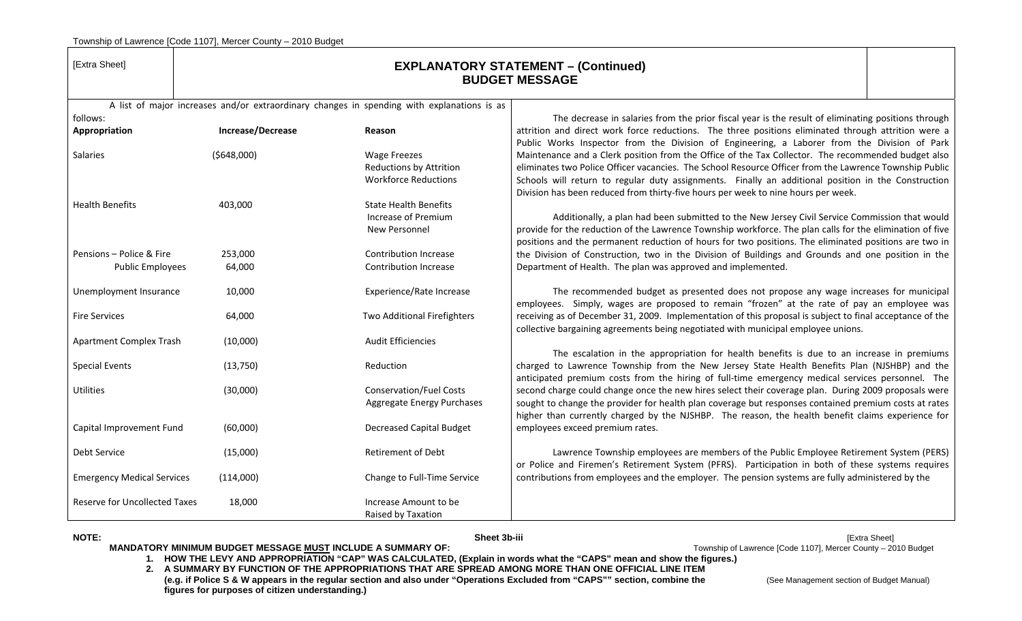| [Extra Sheet]                        | <b>EXPLANATORY STATEMENT - (Continued)</b><br><b>BUDGET MESSAGE</b> |                                                                                            |                                                                                                                                                                                               |  |  |
|--------------------------------------|---------------------------------------------------------------------|--------------------------------------------------------------------------------------------|-----------------------------------------------------------------------------------------------------------------------------------------------------------------------------------------------|--|--|
|                                      |                                                                     | A list of major increases and/or extraordinary changes in spending with explanations is as |                                                                                                                                                                                               |  |  |
| follows:                             |                                                                     |                                                                                            | The decrease in salaries from the prior fiscal year is the result of eliminating positions through                                                                                            |  |  |
| Appropriation                        | Increase/Decrease                                                   | Reason                                                                                     | attrition and direct work force reductions. The three positions eliminated through attrition were a                                                                                           |  |  |
|                                      |                                                                     |                                                                                            | Public Works Inspector from the Division of Engineering, a Laborer from the Division of Park                                                                                                  |  |  |
| Salaries                             | (5648,000)                                                          | <b>Wage Freezes</b>                                                                        | Maintenance and a Clerk position from the Office of the Tax Collector. The recommended budget also                                                                                            |  |  |
|                                      |                                                                     | <b>Reductions by Attrition</b>                                                             | eliminates two Police Officer vacancies. The School Resource Officer from the Lawrence Township Public                                                                                        |  |  |
|                                      |                                                                     | <b>Workforce Reductions</b>                                                                | Schools will return to regular duty assignments. Finally an additional position in the Construction<br>Division has been reduced from thirty-five hours per week to nine hours per week.      |  |  |
| <b>Health Benefits</b>               | 403,000                                                             | <b>State Health Benefits</b>                                                               |                                                                                                                                                                                               |  |  |
|                                      |                                                                     | Increase of Premium                                                                        | Additionally, a plan had been submitted to the New Jersey Civil Service Commission that would                                                                                                 |  |  |
|                                      |                                                                     | New Personnel                                                                              | provide for the reduction of the Lawrence Township workforce. The plan calls for the elimination of five                                                                                      |  |  |
|                                      |                                                                     |                                                                                            | positions and the permanent reduction of hours for two positions. The eliminated positions are two in                                                                                         |  |  |
| Pensions - Police & Fire             | 253,000                                                             | Contribution Increase                                                                      | the Division of Construction, two in the Division of Buildings and Grounds and one position in the                                                                                            |  |  |
| <b>Public Employees</b>              | 64,000                                                              | Contribution Increase                                                                      | Department of Health. The plan was approved and implemented.                                                                                                                                  |  |  |
| Unemployment Insurance               | 10,000                                                              | Experience/Rate Increase                                                                   | The recommended budget as presented does not propose any wage increases for municipal<br>employees. Simply, wages are proposed to remain "frozen" at the rate of pay an employee was          |  |  |
| <b>Fire Services</b>                 | 64,000                                                              | Two Additional Firefighters                                                                | receiving as of December 31, 2009. Implementation of this proposal is subject to final acceptance of the<br>collective bargaining agreements being negotiated with municipal employee unions. |  |  |
| <b>Apartment Complex Trash</b>       | (10,000)                                                            | <b>Audit Efficiencies</b>                                                                  |                                                                                                                                                                                               |  |  |
|                                      |                                                                     |                                                                                            | The escalation in the appropriation for health benefits is due to an increase in premiums                                                                                                     |  |  |
| <b>Special Events</b>                | (13,750)                                                            | Reduction                                                                                  | charged to Lawrence Township from the New Jersey State Health Benefits Plan (NJSHBP) and the                                                                                                  |  |  |
|                                      |                                                                     |                                                                                            | anticipated premium costs from the hiring of full-time emergency medical services personnel. The                                                                                              |  |  |
| Utilities                            | (30,000)                                                            | <b>Conservation/Fuel Costs</b>                                                             | second charge could change once the new hires select their coverage plan. During 2009 proposals were                                                                                          |  |  |
|                                      |                                                                     | Aggregate Energy Purchases                                                                 | sought to change the provider for health plan coverage but responses contained premium costs at rates                                                                                         |  |  |
|                                      |                                                                     |                                                                                            | higher than currently charged by the NJSHBP. The reason, the health benefit claims experience for                                                                                             |  |  |
| Capital Improvement Fund             | (60,000)                                                            | <b>Decreased Capital Budget</b>                                                            | employees exceed premium rates.                                                                                                                                                               |  |  |
| Debt Service                         |                                                                     | <b>Retirement of Debt</b>                                                                  |                                                                                                                                                                                               |  |  |
|                                      | (15,000)                                                            |                                                                                            | Lawrence Township employees are members of the Public Employee Retirement System (PERS)<br>or Police and Firemen's Retirement System (PFRS). Participation in both of these systems requires  |  |  |
| <b>Emergency Medical Services</b>    | (114,000)                                                           | Change to Full-Time Service                                                                | contributions from employees and the employer. The pension systems are fully administered by the                                                                                              |  |  |
|                                      |                                                                     |                                                                                            |                                                                                                                                                                                               |  |  |
| <b>Reserve for Uncollected Taxes</b> | 18,000                                                              | Increase Amount to be<br>Raised by Taxation                                                |                                                                                                                                                                                               |  |  |

**NOTE: Sheet 3b-iii** [Extra Sheet] MANDATORY MINIMUM BUDGET MESSAGE MUST INCLUDE A SUMMARY OF: **The Community of Lawrence [Code 1107]**, Mercer County – 2010 Budget

**1. HOW THE LEVY AND APPROPRIATION "CAP" WAS CALCULATED, (Explain in words what the "CAPS" mean and show the figures.)** 

**2. A SUMMARY BY FUNCTION OF THE APPROPRIATIONS THAT ARE SPREAD AMONG MORE THAN ONE OFFICIAL LINE ITEM (e.g. if Police S & W appears in the regular section and also under "Operations Excluded from "CAPS"" section, combine the** (See Management section of Budget Manual) **figures for purposes of citizen understanding.)**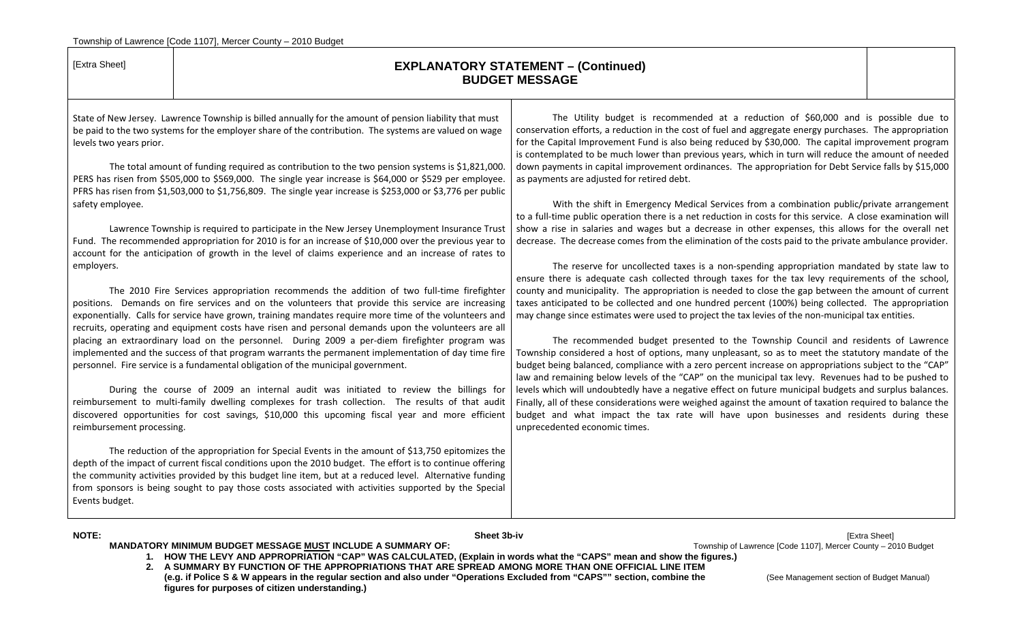| [Extra Sheet]             |                                                                                                                                                                                                                                                                                                                                                                                                                                                                                                                    | <b>EXPLANATORY STATEMENT - (Continued)</b><br><b>BUDGET MESSAGE</b>                                                                                                                                                                                                                                                                                                                                                                                                                                                                                                  |
|---------------------------|--------------------------------------------------------------------------------------------------------------------------------------------------------------------------------------------------------------------------------------------------------------------------------------------------------------------------------------------------------------------------------------------------------------------------------------------------------------------------------------------------------------------|----------------------------------------------------------------------------------------------------------------------------------------------------------------------------------------------------------------------------------------------------------------------------------------------------------------------------------------------------------------------------------------------------------------------------------------------------------------------------------------------------------------------------------------------------------------------|
| levels two years prior.   | State of New Jersey. Lawrence Township is billed annually for the amount of pension liability that must<br>be paid to the two systems for the employer share of the contribution. The systems are valued on wage<br>The total amount of funding required as contribution to the two pension systems is \$1,821,000.<br>PERS has risen from \$505,000 to \$569,000. The single year increase is \$64,000 or \$529 per employee.                                                                                     | The Utility budget is recommended at a reduction of \$60,000 and is possible due to<br>conservation efforts, a reduction in the cost of fuel and aggregate energy purchases. The appropriation<br>for the Capital Improvement Fund is also being reduced by \$30,000. The capital improvement program<br>is contemplated to be much lower than previous years, which in turn will reduce the amount of needed<br>down payments in capital improvement ordinances. The appropriation for Debt Service falls by \$15,000<br>as payments are adjusted for retired debt. |
| safety employee.          | PFRS has risen from \$1,503,000 to \$1,756,809. The single year increase is \$253,000 or \$3,776 per public<br>Lawrence Township is required to participate in the New Jersey Unemployment Insurance Trust                                                                                                                                                                                                                                                                                                         | With the shift in Emergency Medical Services from a combination public/private arrangement<br>to a full-time public operation there is a net reduction in costs for this service. A close examination will<br>show a rise in salaries and wages but a decrease in other expenses, this allows for the overall net                                                                                                                                                                                                                                                    |
| employers.                | Fund. The recommended appropriation for 2010 is for an increase of \$10,000 over the previous year to<br>account for the anticipation of growth in the level of claims experience and an increase of rates to                                                                                                                                                                                                                                                                                                      | decrease. The decrease comes from the elimination of the costs paid to the private ambulance provider.<br>The reserve for uncollected taxes is a non-spending appropriation mandated by state law to                                                                                                                                                                                                                                                                                                                                                                 |
|                           | The 2010 Fire Services appropriation recommends the addition of two full-time firefighter<br>positions. Demands on fire services and on the volunteers that provide this service are increasing<br>exponentially. Calls for service have grown, training mandates require more time of the volunteers and<br>recruits, operating and equipment costs have risen and personal demands upon the volunteers are all<br>placing an extraordinary load on the personnel. During 2009 a per-diem firefighter program was | ensure there is adequate cash collected through taxes for the tax levy requirements of the school,<br>county and municipality. The appropriation is needed to close the gap between the amount of current<br>taxes anticipated to be collected and one hundred percent (100%) being collected. The appropriation<br>may change since estimates were used to project the tax levies of the non-municipal tax entities.<br>The recommended budget presented to the Township Council and residents of Lawrence                                                          |
|                           | implemented and the success of that program warrants the permanent implementation of day time fire<br>personnel. Fire service is a fundamental obligation of the municipal government.                                                                                                                                                                                                                                                                                                                             | Township considered a host of options, many unpleasant, so as to meet the statutory mandate of the<br>budget being balanced, compliance with a zero percent increase on appropriations subject to the "CAP"<br>law and remaining below levels of the "CAP" on the municipal tax levy. Revenues had to be pushed to                                                                                                                                                                                                                                                   |
| reimbursement processing. | During the course of 2009 an internal audit was initiated to review the billings for<br>reimbursement to multi-family dwelling complexes for trash collection. The results of that audit<br>discovered opportunities for cost savings, \$10,000 this upcoming fiscal year and more efficient                                                                                                                                                                                                                       | levels which will undoubtedly have a negative effect on future municipal budgets and surplus balances.<br>Finally, all of these considerations were weighed against the amount of taxation required to balance the<br>budget and what impact the tax rate will have upon businesses and residents during these<br>unprecedented economic times.                                                                                                                                                                                                                      |
| Events budget.            | The reduction of the appropriation for Special Events in the amount of \$13,750 epitomizes the<br>depth of the impact of current fiscal conditions upon the 2010 budget. The effort is to continue offering<br>the community activities provided by this budget line item, but at a reduced level. Alternative funding<br>from sponsors is being sought to pay those costs associated with activities supported by the Special                                                                                     |                                                                                                                                                                                                                                                                                                                                                                                                                                                                                                                                                                      |

**NOTE: Sheet 3b-iv** [Extra Sheet] MANDATORY MINIMUM BUDGET MESSAGE MUST INCLUDE A SUMMARY OF: **The Community of Lawrence [Code 1107]**, Mercer County – 2010 Budget

- **1. HOW THE LEVY AND APPROPRIATION "CAP" WAS CALCULATED, (Explain in words what the "CAPS" mean and show the figures.)**
- **2. A SUMMARY BY FUNCTION OF THE APPROPRIATIONS THAT ARE SPREAD AMONG MORE THAN ONE OFFICIAL LINE ITEM**  (e.g. if Police S & W appears in the regular section and also under "Operations Excluded from "CAPS"" section, combine the **CAPS** (See Management section of Budget Manual) **figures for purposes of citizen understanding.)**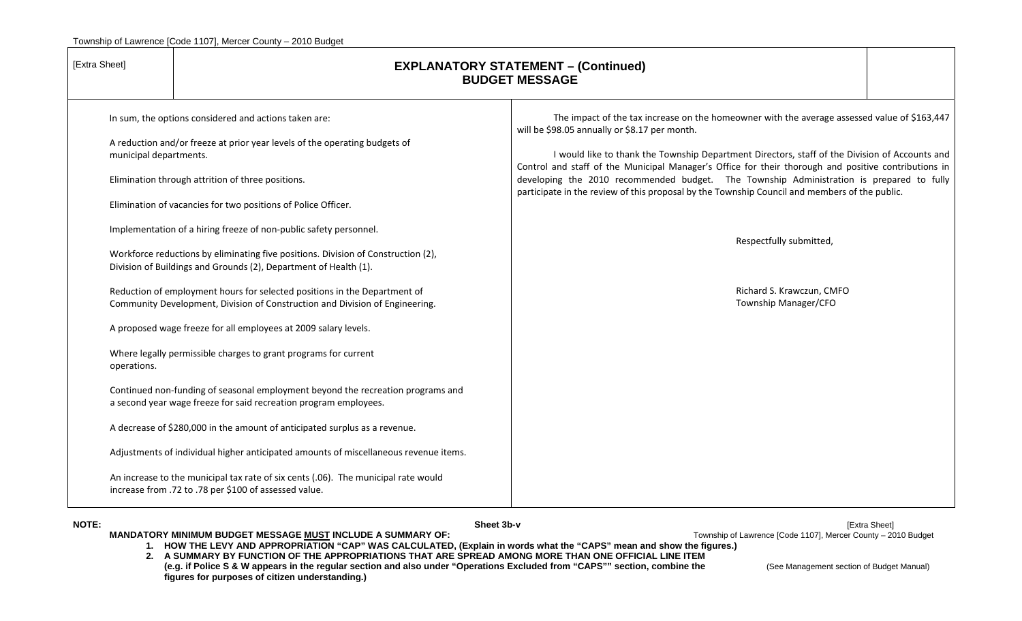| [Extra Sheet]          |                                                                                                                                                                                                                                                           | <b>EXPLANATORY STATEMENT - (Continued)</b><br><b>BUDGET MESSAGE</b>                                                                                                                                                                                                                                                                                                                                                                                                                                                                                  |  |  |
|------------------------|-----------------------------------------------------------------------------------------------------------------------------------------------------------------------------------------------------------------------------------------------------------|------------------------------------------------------------------------------------------------------------------------------------------------------------------------------------------------------------------------------------------------------------------------------------------------------------------------------------------------------------------------------------------------------------------------------------------------------------------------------------------------------------------------------------------------------|--|--|
| municipal departments. | In sum, the options considered and actions taken are:<br>A reduction and/or freeze at prior year levels of the operating budgets of<br>Elimination through attrition of three positions.<br>Elimination of vacancies for two positions of Police Officer. | The impact of the tax increase on the homeowner with the average assessed value of \$163,447<br>will be \$98.05 annually or \$8.17 per month.<br>I would like to thank the Township Department Directors, staff of the Division of Accounts and<br>Control and staff of the Municipal Manager's Office for their thorough and positive contributions in<br>developing the 2010 recommended budget. The Township Administration is prepared to fully<br>participate in the review of this proposal by the Township Council and members of the public. |  |  |
|                        | Implementation of a hiring freeze of non-public safety personnel.<br>Workforce reductions by eliminating five positions. Division of Construction (2),<br>Division of Buildings and Grounds (2), Department of Health (1).                                | Respectfully submitted,                                                                                                                                                                                                                                                                                                                                                                                                                                                                                                                              |  |  |
|                        | Reduction of employment hours for selected positions in the Department of<br>Community Development, Division of Construction and Division of Engineering.<br>A proposed wage freeze for all employees at 2009 salary levels.                              | Richard S. Krawczun, CMFO<br>Township Manager/CFO                                                                                                                                                                                                                                                                                                                                                                                                                                                                                                    |  |  |
| operations.            | Where legally permissible charges to grant programs for current                                                                                                                                                                                           |                                                                                                                                                                                                                                                                                                                                                                                                                                                                                                                                                      |  |  |
|                        | Continued non-funding of seasonal employment beyond the recreation programs and<br>a second year wage freeze for said recreation program employees.                                                                                                       |                                                                                                                                                                                                                                                                                                                                                                                                                                                                                                                                                      |  |  |
|                        | A decrease of \$280,000 in the amount of anticipated surplus as a revenue.<br>Adjustments of individual higher anticipated amounts of miscellaneous revenue items.                                                                                        |                                                                                                                                                                                                                                                                                                                                                                                                                                                                                                                                                      |  |  |
|                        | An increase to the municipal tax rate of six cents (.06). The municipal rate would<br>increase from .72 to .78 per \$100 of assessed value.                                                                                                               |                                                                                                                                                                                                                                                                                                                                                                                                                                                                                                                                                      |  |  |

**NOTE: Sheet 3b-v** [Extra Sheet]

**MANDATORY MINIMUM BUDGET MESSAGE <u>MUST</u> INCLUDE A SUMMARY OF:**  $\blacksquare$  Township of Lawrence [Code 1107], Mercer County – 2010 Budget **1. HOW THE LEVY AND APPROPRIATION "CAP" WAS CALCULATED, (Explain in words what the "CAPS" mean and show the figures.)** 

- **2. A SUMMARY BY FUNCTION OF THE APPROPRIATIONS THAT ARE SPREAD AMONG MORE THAN ONE OFFICIAL LINE ITEM**
- (e.g. if Police S & W appears in the regular section and also under "Operations Excluded from "CAPS"" section, combine the **(See Management section of Budget Manual) figures for purposes of citizen understanding.)**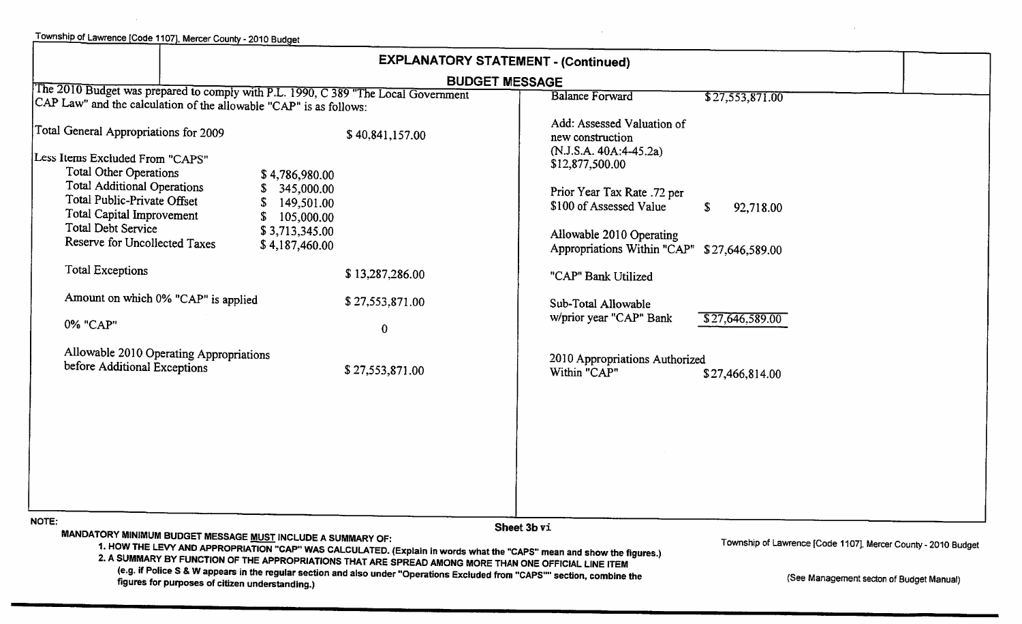|                                                                                                                                                          | <b>EXPLANATORY STATEMENT - (Continued)</b> |                                                                           |  |
|----------------------------------------------------------------------------------------------------------------------------------------------------------|--------------------------------------------|---------------------------------------------------------------------------|--|
|                                                                                                                                                          | <b>BUDGET MESSAGE</b>                      |                                                                           |  |
| The 2010 Budget was prepared to comply with P.L. 1990, C 389 "The Local Government<br>CAP Law" and the calculation of the allowable "CAP" is as follows: |                                            | <b>Balance Forward</b><br>\$27,553,871.00                                 |  |
| Total General Appropriations for 2009                                                                                                                    | \$40,841,157.00                            | Add: Assessed Valuation of<br>new construction                            |  |
| Less Items Excluded From "CAPS"<br><b>Total Other Operations</b>                                                                                         | \$4,786,980.00                             | (N.J.S.A. 40A:4-45.2a)<br>\$12,877,500.00                                 |  |
| <b>Total Additional Operations</b><br>S.<br>Total Public-Private Offset<br>S.<br>Total Capital Improvement<br>S.                                         | 345,000.00<br>149,501.00<br>105,000.00     | Prior Year Tax Rate .72 per<br>\$100 of Assessed Value<br>92,718.00<br>S. |  |
| Total Debt Service<br>Reserve for Uncollected Taxes                                                                                                      | \$3,713,345.00<br>\$4,187,460.00           | Allowable 2010 Operating<br>Appropriations Within "CAP" \$27,646,589.00   |  |
| <b>Total Exceptions</b>                                                                                                                                  | \$13,287,286.00                            | "CAP" Bank Utilized                                                       |  |
| Amount on which 0% "CAP" is applied                                                                                                                      | \$27,553,871.00                            | Sub-Total Allowable                                                       |  |
| 0% "CAP"                                                                                                                                                 | $\bf{0}$                                   | w/prior year "CAP" Bank<br>\$27,646,589.00                                |  |
| Allowable 2010 Operating Appropriations<br>before Additional Exceptions                                                                                  | \$27,553,871.00                            | 2010 Appropriations Authorized<br>Within "CAP"<br>\$27,466,814.00         |  |
|                                                                                                                                                          |                                            |                                                                           |  |
|                                                                                                                                                          |                                            |                                                                           |  |
|                                                                                                                                                          |                                            |                                                                           |  |
|                                                                                                                                                          |                                            |                                                                           |  |
| NOTE:                                                                                                                                                    |                                            | Sheet 3b vi                                                               |  |

MANDATORY MINIMUM BUDGET MESSAGE MUST INCLUDE A SUMMARY OF:

Township of Lawrence [Code 1107], Mercer County - 2010 Budget

1. HOW THE LEVY AND APPROPRIATION "CAP" WAS CALCULATED. (Explain in words what the "CAPS" mean and show the figures.) 2. A SUMMARY BY FUNCTION OF THE APPROPRIATIONS THAT ARE SPREAD AMONG MORE THAN ONE OFFICIAL LINE ITEM

(e.g. if Police S & W appears in the regular section and also under "Operations Excluded from "CAPS"" section, combine the figures for purposes of citizen understanding.)

(See Management secton of Budget Manual)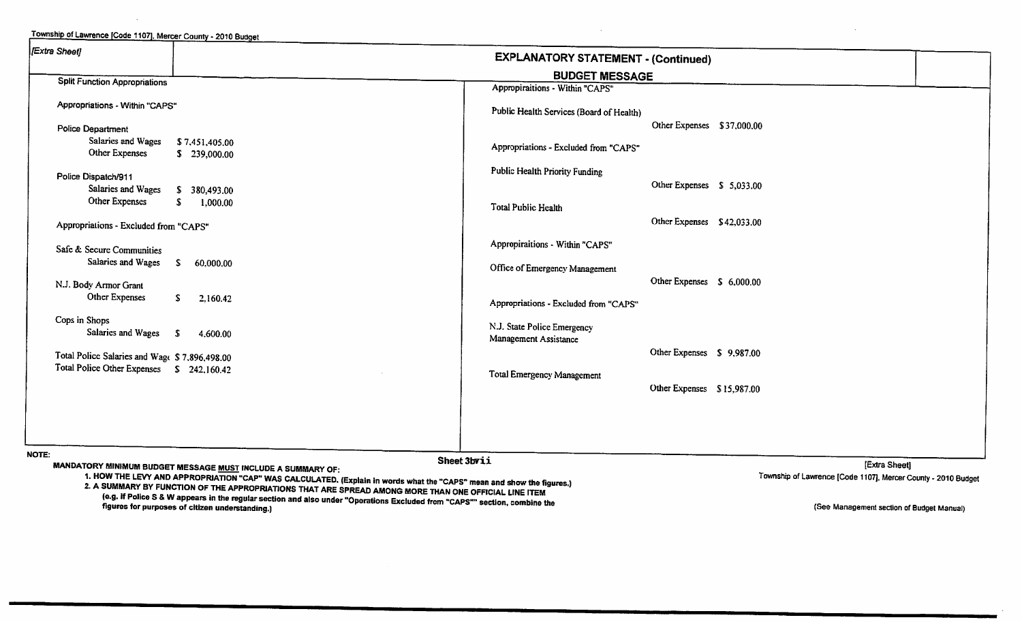Township of Lawrence [Code 1107], Mercer County - 2010 Budget Extra Sheet] **EXPLANATORY STATEMENT - (Continued) BUDGET MESSAGE Split Function Appropriations** Appropiraitions - Within "CAPS" Appropriations - Within "CAPS" Public Health Services (Board of Health) Other Expenses \$37,000.00 **Police Department** Salaries and Wages \$7,451,405.00 Appropriations - Excluded from "CAPS" **Other Expenses** \$239,000.00 **Public Health Priority Funding** Police Dispatch/911 Other Expenses \$ 5,033.00 Salaries and Wages \$ 380,493.00 Other Expenses S. 1,000.00 **Total Public Health** Other Expenses \$42,033.00 Appropriations - Excluded from "CAPS" Appropiraitions - Within "CAPS" Safe & Secure Communities Salaries and Wages \$ 60,000.00 Office of Emergency Management Other Expenses \$ 6,000.00 N.J. Body Armor Grant **Other Expenses**  $S$ 2.160.42 Appropriations - Excluded from "CAPS" Cops in Shops N.J. State Police Emergency Salaries and Wages \$ 4.600.00 Management Assistance Other Expenses \$9,987.00 Total Police Salaries and Wage \$7,896,498.00 Total Police Other Expenses \$ 242,160.42 **Total Emergency Management** Other Expenses \$15,987.00 NOTE: Sheet 3bvii **IExtra Sheeti** MANDATORY MINIMUM BUDGET MESSAGE MUST INCLUDE A SUMMARY OF: 1. HOW THE LEVY AND APPROPRIATION "CAP" WAS CALCULATED. (Explain in words what the "CAPS" mean and show the figures.) Township of Lawrence [Code 1107], Mercer County - 2010 Budget

2. A SUMMARY BY FUNCTION OF THE APPROPRIATIONS THAT ARE SPREAD AMONG MORE THAN ONE OFFICIAL LINE ITEM (e.g. if Police S & W appears in the regular section and also under "Operations Excluded from "CAPS"" section, combine the figures for purposes of citizen understanding.)

(See Management section of Budget Manual)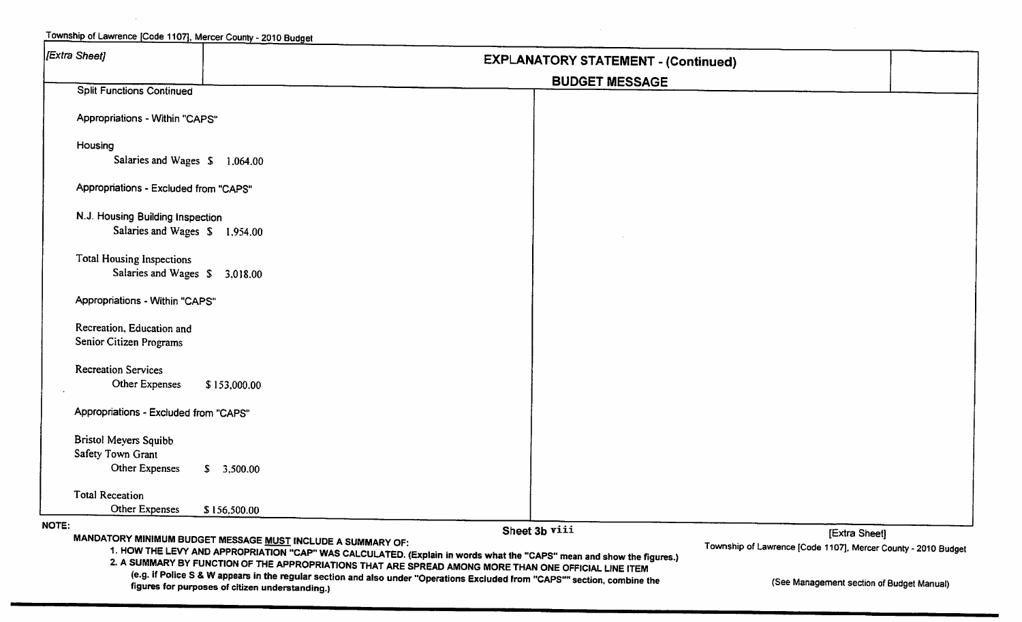| [Extra Sheet]                                        | <b>EXPLANATORY STATEMENT - (Continued)</b>                                                                                                                                                                                                                                                    |                                                               |  |  |  |  |
|------------------------------------------------------|-----------------------------------------------------------------------------------------------------------------------------------------------------------------------------------------------------------------------------------------------------------------------------------------------|---------------------------------------------------------------|--|--|--|--|
|                                                      |                                                                                                                                                                                                                                                                                               | <b>BUDGET MESSAGE</b>                                         |  |  |  |  |
| <b>Split Functions Continued</b>                     |                                                                                                                                                                                                                                                                                               |                                                               |  |  |  |  |
| Appropriations - Within "CAPS"                       |                                                                                                                                                                                                                                                                                               |                                                               |  |  |  |  |
| Housing                                              |                                                                                                                                                                                                                                                                                               |                                                               |  |  |  |  |
| Salaries and Wages \$1,064.00                        |                                                                                                                                                                                                                                                                                               |                                                               |  |  |  |  |
| Appropriations - Excluded from "CAPS"                |                                                                                                                                                                                                                                                                                               |                                                               |  |  |  |  |
| N.J. Housing Building Inspection                     |                                                                                                                                                                                                                                                                                               |                                                               |  |  |  |  |
| Salaries and Wages \$1,954.00                        |                                                                                                                                                                                                                                                                                               |                                                               |  |  |  |  |
| <b>Total Housing Inspections</b>                     |                                                                                                                                                                                                                                                                                               |                                                               |  |  |  |  |
| Salaries and Wages \$ 3,018.00                       |                                                                                                                                                                                                                                                                                               |                                                               |  |  |  |  |
| Appropriations - Within "CAPS"                       |                                                                                                                                                                                                                                                                                               |                                                               |  |  |  |  |
| Recreation, Education and<br>Senior Citizen Programs |                                                                                                                                                                                                                                                                                               |                                                               |  |  |  |  |
|                                                      |                                                                                                                                                                                                                                                                                               |                                                               |  |  |  |  |
| <b>Recreation Services</b><br>Other Expenses         | \$153,000.00                                                                                                                                                                                                                                                                                  |                                                               |  |  |  |  |
|                                                      |                                                                                                                                                                                                                                                                                               |                                                               |  |  |  |  |
| Appropriations - Excluded from "CAPS"                |                                                                                                                                                                                                                                                                                               |                                                               |  |  |  |  |
| Bristol Meyers Squibb                                |                                                                                                                                                                                                                                                                                               |                                                               |  |  |  |  |
| Safety Town Grant                                    |                                                                                                                                                                                                                                                                                               |                                                               |  |  |  |  |
| Other Expenses                                       | \$3,500.00                                                                                                                                                                                                                                                                                    |                                                               |  |  |  |  |
| <b>Total Receation</b>                               |                                                                                                                                                                                                                                                                                               |                                                               |  |  |  |  |
| Other Expenses                                       | \$156,500.00                                                                                                                                                                                                                                                                                  |                                                               |  |  |  |  |
| NOTE:                                                |                                                                                                                                                                                                                                                                                               | Sheet 3b viii<br>[Extra Sheet]                                |  |  |  |  |
|                                                      | MANDATORY MINIMUM BUDGET MESSAGE MUST INCLUDE A SUMMARY OF:<br>1. HOW THE LEVY AND APPROPRIATION "CAP" WAS CALCULATED. (Explain in words what the "CAPS" mean and show the figures.)<br>2. A SUMMARY BY FUNCTION OF THE APPROPRIATIONS THAT ARE SPREAD AMONG MORE THAN ONE OFFICIAL LINE ITEM | Township of Lawrence [Code 1107], Mercer County - 2010 Budget |  |  |  |  |
|                                                      | (e.g. if Police S & W appears in the regular section and also under "Operations Excluded from "CAPS"" section, combine the<br>figures for purposes of citizen understanding.)                                                                                                                 | (See Management section of Budget Manual)                     |  |  |  |  |

 $\sim$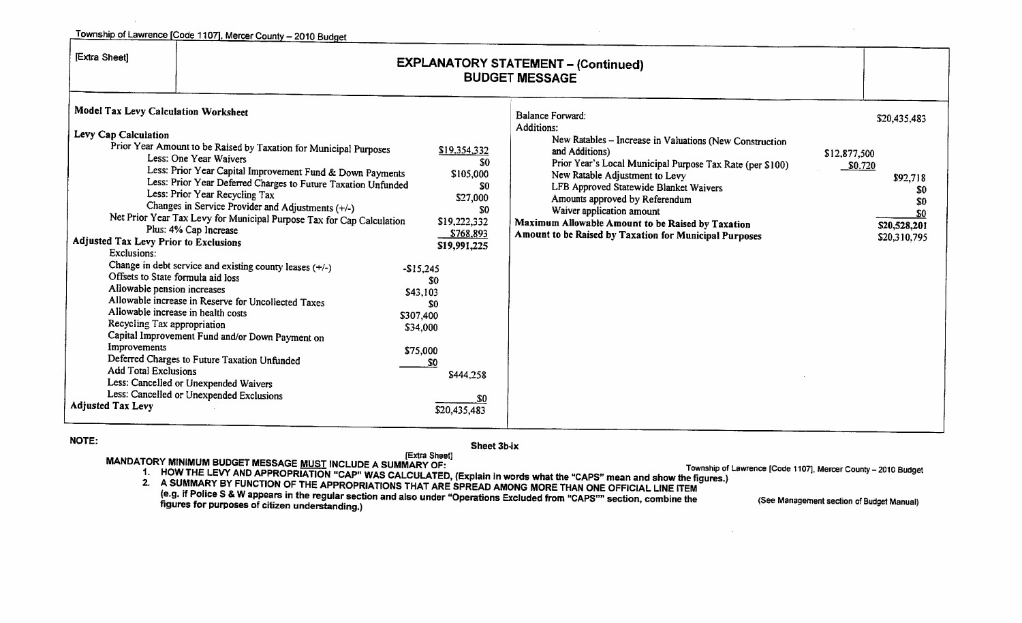|                                                                                                                                                                                                                                                                      | Township of Lawrence [Code 1107], Mercer County - 2010 Budget                                                                                                                                                                                                                                                                                                                                                                                                                                                                                                                                                                                                                                                                                                                                           |                                                                                                                                                                                                                                                |                                                                                                                                                                                                                                                                                                                                                                                                                                           |                                                                                                          |
|----------------------------------------------------------------------------------------------------------------------------------------------------------------------------------------------------------------------------------------------------------------------|---------------------------------------------------------------------------------------------------------------------------------------------------------------------------------------------------------------------------------------------------------------------------------------------------------------------------------------------------------------------------------------------------------------------------------------------------------------------------------------------------------------------------------------------------------------------------------------------------------------------------------------------------------------------------------------------------------------------------------------------------------------------------------------------------------|------------------------------------------------------------------------------------------------------------------------------------------------------------------------------------------------------------------------------------------------|-------------------------------------------------------------------------------------------------------------------------------------------------------------------------------------------------------------------------------------------------------------------------------------------------------------------------------------------------------------------------------------------------------------------------------------------|----------------------------------------------------------------------------------------------------------|
| [Extra Sheet]                                                                                                                                                                                                                                                        |                                                                                                                                                                                                                                                                                                                                                                                                                                                                                                                                                                                                                                                                                                                                                                                                         |                                                                                                                                                                                                                                                | <b>EXPLANATORY STATEMENT - (Continued)</b><br><b>BUDGET MESSAGE</b>                                                                                                                                                                                                                                                                                                                                                                       |                                                                                                          |
| Model Tax Levy Calculation Worksheet<br>Levy Cap Calculation<br><b>Adjusted Tax Levy Prior to Exclusions</b><br>Exclusions:<br>Allowable pension increases<br>Recycling Tax appropriation<br>Improvements<br><b>Add Total Exclusions</b><br><b>Adjusted Tax Levy</b> | Prior Year Amount to be Raised by Taxation for Municipal Purposes<br>Less: One Year Waivers<br>Less: Prior Year Capital Improvement Fund & Down Payments<br>Less: Prior Year Deferred Charges to Future Taxation Unfunded<br>Less: Prior Year Recycling Tax<br>Changes in Service Provider and Adjustments (+/-)<br>Net Prior Year Tax Levy for Municipal Purpose Tax for Cap Calculation<br>Plus: 4% Cap Increase<br>Change in debt service and existing county leases (+/-)<br>Offsets to State formula aid loss<br>Allowable increase in Reserve for Uncollected Taxes<br>Allowable increase in health costs<br>Capital Improvement Fund and/or Down Payment on<br>Deferred Charges to Future Taxation Unfunded<br>Less: Cancelled or Unexpended Waivers<br>Less: Cancelled or Unexpended Exclusions | <u>\$19,354,332</u><br>SΩ<br>\$105,000<br>-50<br>\$27,000<br>\$0<br>\$19,222,332<br>S768,893<br>\$19,991,225<br>$-$15,245$<br>S0<br>\$43,103<br>SO.<br>\$307,400<br>\$34,000<br>\$75,000<br>S <sub>0</sub><br>\$444,258<br>SO.<br>\$20,435,483 | <b>Balance Forward:</b><br>Additions:<br>New Ratables - Increase in Valuations (New Construction<br>and Additions)<br>Prior Year's Local Municipal Purpose Tax Rate (per \$100)<br>New Ratable Adjustment to Levy<br>LFB Approved Statewide Blanket Waivers<br>Amounts approved by Referendum<br>Waiver application amount<br>Maximum Allowable Amount to be Raised by Taxation<br>Amount to be Raised by Taxation for Municipal Purposes | \$20,435,483<br>\$12,877,500<br>\$0.720<br>\$92,718<br>SO.<br>SO.<br>\$0<br>\$20,528,201<br>\$20,310,795 |

#### NOTE:

Sheet 3b-ix

MANDATORY MINIMUM BUDGET MESSAGE <u>MUST</u> INCLUDE A SUMMARY OF:<br>1. HOW THE LEVY AND APPROPRIATION "CAP" WAS CALCULATED, (Explain in words what the "CAPS" mean and show the figures.)

2. A SUMMARY BY FUNCTION OF THE APPROPRIATIONS THAT ARE SPREAD AMONG MORE THAN ONE OFFICIAL LINE ITEM (e.g. if Police S & W appears in the regular section and also under "Operations Excluded from "CAPS"" section, combine the figures for purposes of citizen understanding.)

Township of Lawrence [Code 1107], Mercer County - 2010 Budget

(See Management section of Budget Manual)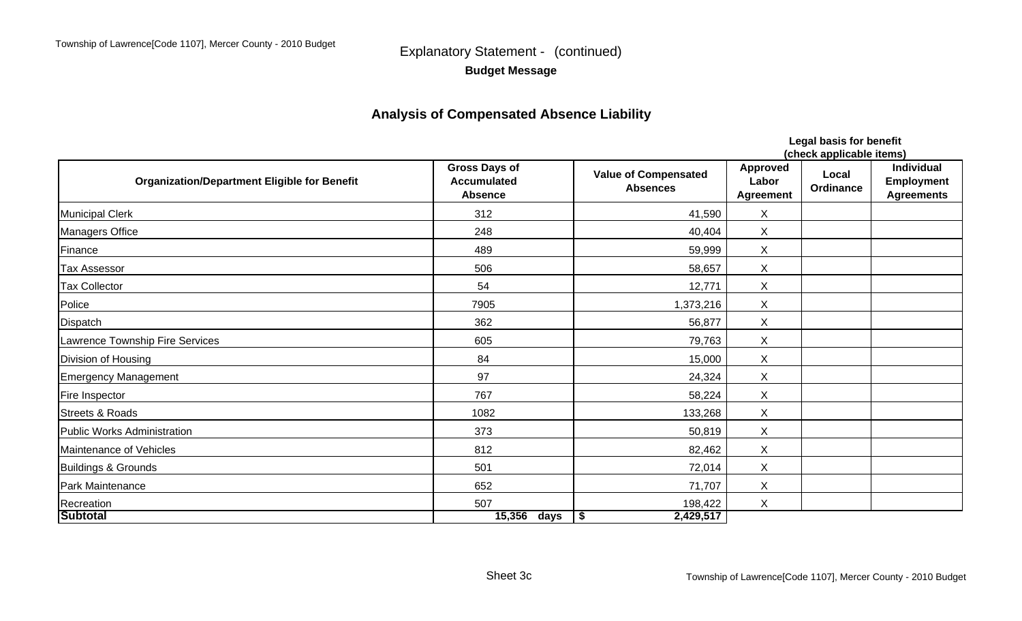Police

# **Budget Message**

## **Analysis of Compensated Absence Liability**

**Organization/Department Eligible for Benefit Gross Days of Accumulated AbsenceValue of Compensated AbsencesApproved Labor Agreement Local OrdinanceIndividual Employment Agreements** Municipal Clerk 312 41,590 X Managers Office 248 248 40,404 X Finance 489 59,999 X Tax Assessor 506 58,657 X Tax Collector 54 12,771 X 7905 1,373,216 X Dispatch 362 56,877 X Lawrence Township Fire Services **605** All the services of the service of the service of the services of the services of the service of the service of the services of the service of the service of the service of the service Division of Housing November 2012 15,000 November 2013 15,000 November 2013 15,000 November 2014 2022 15,000 No Emergency Management 24,324 X Fire Inspector 767 58,224 X Streets & Roads 1082 133,268 X Public Works Administration 373 50,819 X Maintenance of Vehicles **82,462** X **Buildings & Grounds** X 72,014 X Park Maintenance 2008 2009 12:00 2009 12:00 2009 12:00 2009 12:00 2009 12:00 2009 12:00 2009 12:00 2009 12:00 **Recreation**  507 198,422 X **(check applicable items)**

**Legal basis for benefit**

**Subtotal days 2,429,517 15,356 \$**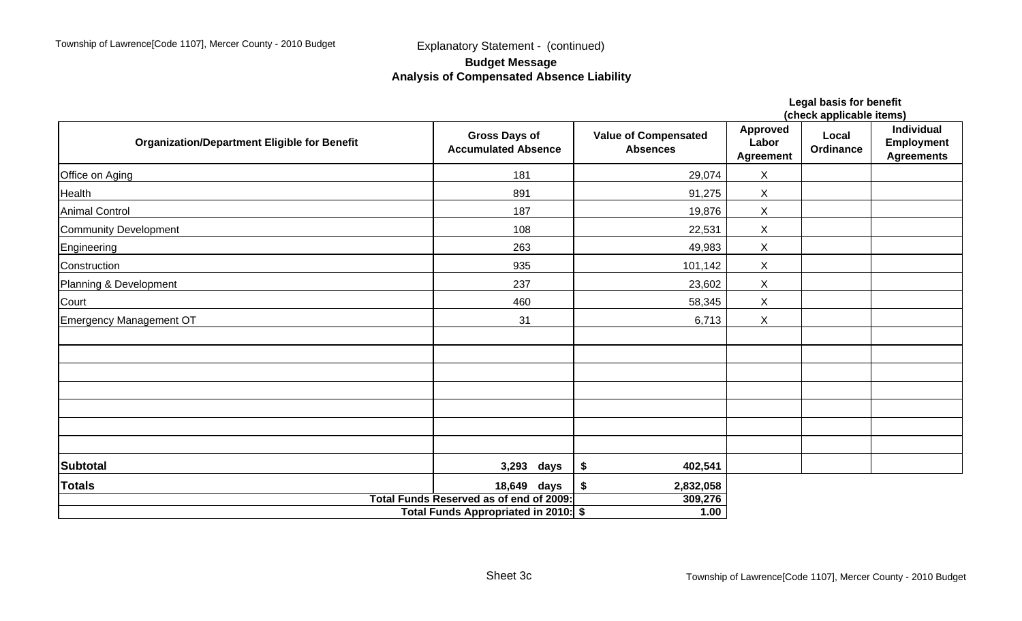### **Budget Message Analysis of Compensated Absence Liability**

|                                                     |                                                                                 |                                                | (check applicable items)                     |                    |                                                             |  |  |
|-----------------------------------------------------|---------------------------------------------------------------------------------|------------------------------------------------|----------------------------------------------|--------------------|-------------------------------------------------------------|--|--|
| <b>Organization/Department Eligible for Benefit</b> | <b>Gross Days of</b><br><b>Accumulated Absence</b>                              | <b>Value of Compensated</b><br><b>Absences</b> | <b>Approved</b><br>Labor<br><b>Agreement</b> | Local<br>Ordinance | <b>Individual</b><br><b>Employment</b><br><b>Agreements</b> |  |  |
| Office on Aging                                     | 181                                                                             | 29,074                                         | X                                            |                    |                                                             |  |  |
| Health                                              | 891                                                                             | 91,275                                         | X                                            |                    |                                                             |  |  |
| <b>Animal Control</b>                               | 187                                                                             | 19,876                                         | $\sf X$                                      |                    |                                                             |  |  |
| Community Development                               | 108                                                                             | 22,531                                         | X                                            |                    |                                                             |  |  |
| Engineering                                         | 263                                                                             | 49,983                                         | X                                            |                    |                                                             |  |  |
| Construction                                        | 935                                                                             | 101,142                                        | $\mathsf X$                                  |                    |                                                             |  |  |
| Planning & Development                              | 237                                                                             | 23,602                                         | $\sf X$                                      |                    |                                                             |  |  |
| Court                                               | 460                                                                             | 58,345                                         | X                                            |                    |                                                             |  |  |
| Emergency Management OT                             | 31                                                                              | 6,713                                          | $\sf X$                                      |                    |                                                             |  |  |
|                                                     |                                                                                 |                                                |                                              |                    |                                                             |  |  |
|                                                     |                                                                                 |                                                |                                              |                    |                                                             |  |  |
|                                                     |                                                                                 |                                                |                                              |                    |                                                             |  |  |
|                                                     |                                                                                 |                                                |                                              |                    |                                                             |  |  |
| <b>Subtotal</b>                                     | 3,293 days                                                                      | \$<br>402,541                                  |                                              |                    |                                                             |  |  |
| <b>Totals</b>                                       | 18,649 days                                                                     | \$<br>2,832,058                                |                                              |                    |                                                             |  |  |
|                                                     | Total Funds Reserved as of end of 2009:<br>Total Funds Appropriated in 2010: \$ | 309,276<br>1.00                                |                                              |                    |                                                             |  |  |

**Legal basis for benefit**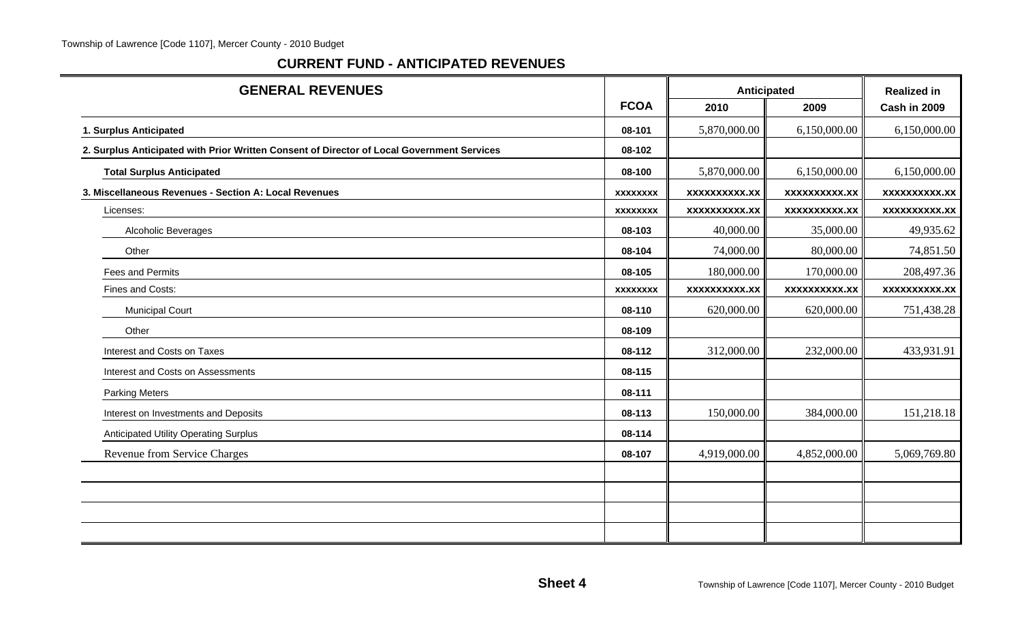### **CURRENT FUND - ANTICIPATED REVENUES**

| <b>GENERAL REVENUES</b>                                                                    |                 | Anticipated          | <b>Realized in</b>   |                     |
|--------------------------------------------------------------------------------------------|-----------------|----------------------|----------------------|---------------------|
|                                                                                            | <b>FCOA</b>     | 2010                 | 2009                 | Cash in 2009        |
| 1. Surplus Anticipated                                                                     | 08-101          | 5,870,000.00         | 6,150,000.00         | 6,150,000.00        |
| 2. Surplus Anticipated with Prior Written Consent of Director of Local Government Services | 08-102          |                      |                      |                     |
| <b>Total Surplus Anticipated</b>                                                           | 08-100          | 5,870,000.00         | 6,150,000.00         | 6,150,000.00        |
| 3. Miscellaneous Revenues - Section A: Local Revenues                                      | <b>XXXXXXXX</b> | <b>XXXXXXXXXX.XX</b> | <b>XXXXXXXXX.XX</b>  | xxxxxxxxxx.xx       |
| Licenses:                                                                                  | <b>XXXXXXXX</b> | <b>XXXXXXXXX.XX</b>  | <b>XXXXXXXXXX.XX</b> | <b>XXXXXXXXX.XX</b> |
| Alcoholic Beverages                                                                        | 08-103          | 40,000.00            | 35,000.00            | 49,935.62           |
| Other                                                                                      | 08-104          | 74,000.00            | 80,000.00            | 74,851.50           |
| Fees and Permits                                                                           | 08-105          | 180,000.00           | 170,000.00           | 208,497.36          |
| Fines and Costs:                                                                           | <b>XXXXXXXX</b> | xxxxxxxxxx.xx        | <b>XXXXXXXXXX.XX</b> | <b>XXXXXXXXX.XX</b> |
| <b>Municipal Court</b>                                                                     | 08-110          | 620,000.00           | 620,000.00           | 751,438.28          |
| Other                                                                                      | 08-109          |                      |                      |                     |
| Interest and Costs on Taxes                                                                | 08-112          | 312,000.00           | 232,000.00           | 433,931.91          |
| Interest and Costs on Assessments                                                          | 08-115          |                      |                      |                     |
| <b>Parking Meters</b>                                                                      | 08-111          |                      |                      |                     |
| Interest on Investments and Deposits                                                       | 08-113          | 150,000.00           | 384,000.00           | 151,218.18          |
| <b>Anticipated Utility Operating Surplus</b>                                               | 08-114          |                      |                      |                     |
| Revenue from Service Charges                                                               | 08-107          | 4,919,000.00         | 4,852,000.00         | 5,069,769.80        |
|                                                                                            |                 |                      |                      |                     |
|                                                                                            |                 |                      |                      |                     |
|                                                                                            |                 |                      |                      |                     |
|                                                                                            |                 |                      |                      |                     |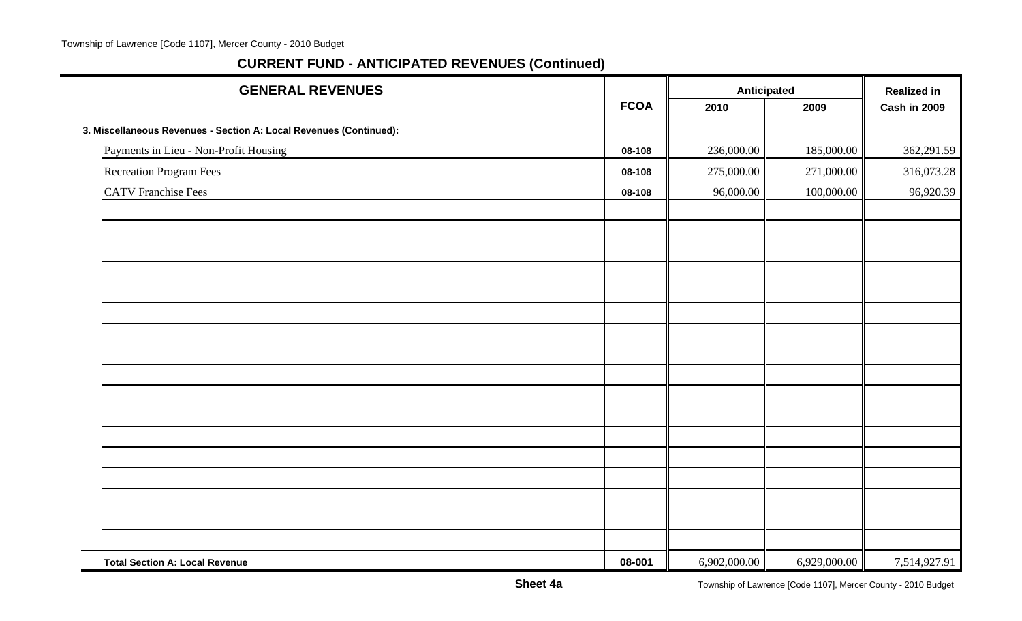| <b>GENERAL REVENUES</b>                                            |             | Anticipated  |              | <b>Realized in</b> |  |
|--------------------------------------------------------------------|-------------|--------------|--------------|--------------------|--|
|                                                                    | <b>FCOA</b> | 2010         | 2009         | Cash in 2009       |  |
| 3. Miscellaneous Revenues - Section A: Local Revenues (Continued): |             |              |              |                    |  |
| Payments in Lieu - Non-Profit Housing                              | 08-108      | 236,000.00   | 185,000.00   | 362,291.59         |  |
| Recreation Program Fees                                            | 08-108      | 275,000.00   | 271,000.00   | 316,073.28         |  |
| <b>CATV</b> Franchise Fees                                         | 08-108      | 96,000.00    | 100,000.00   | 96,920.39          |  |
|                                                                    |             |              |              |                    |  |
|                                                                    |             |              |              |                    |  |
|                                                                    |             |              |              |                    |  |
|                                                                    |             |              |              |                    |  |
|                                                                    |             |              |              |                    |  |
|                                                                    |             |              |              |                    |  |
|                                                                    |             |              |              |                    |  |
|                                                                    |             |              |              |                    |  |
|                                                                    |             |              |              |                    |  |
|                                                                    |             |              |              |                    |  |
|                                                                    |             |              |              |                    |  |
|                                                                    |             |              |              |                    |  |
|                                                                    |             |              |              |                    |  |
|                                                                    |             |              |              |                    |  |
|                                                                    |             |              |              |                    |  |
|                                                                    |             |              |              |                    |  |
|                                                                    |             |              |              |                    |  |
| <b>Total Section A: Local Revenue</b>                              | 08-001      | 6,902,000.00 | 6,929,000.00 | 7,514,927.91       |  |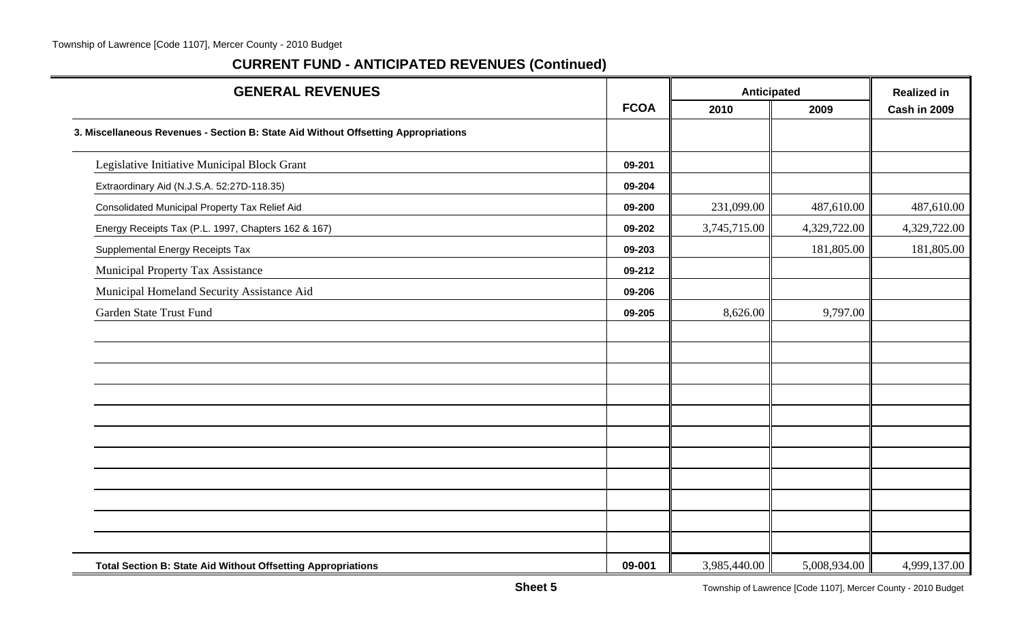| <b>GENERAL REVENUES</b>                                                            |             | Anticipated  |              | <b>Realized in</b> |
|------------------------------------------------------------------------------------|-------------|--------------|--------------|--------------------|
|                                                                                    | <b>FCOA</b> | 2010         | 2009         | Cash in 2009       |
| 3. Miscellaneous Revenues - Section B: State Aid Without Offsetting Appropriations |             |              |              |                    |
| Legislative Initiative Municipal Block Grant                                       | 09-201      |              |              |                    |
| Extraordinary Aid (N.J.S.A. 52:27D-118.35)                                         | 09-204      |              |              |                    |
| Consolidated Municipal Property Tax Relief Aid                                     | 09-200      | 231,099.00   | 487,610.00   | 487,610.00         |
| Energy Receipts Tax (P.L. 1997, Chapters 162 & 167)                                | 09-202      | 3,745,715.00 | 4,329,722.00 | 4,329,722.00       |
| Supplemental Energy Receipts Tax                                                   | 09-203      |              | 181,805.00   | 181,805.00         |
| Municipal Property Tax Assistance                                                  | 09-212      |              |              |                    |
| Municipal Homeland Security Assistance Aid                                         | 09-206      |              |              |                    |
| Garden State Trust Fund                                                            | 09-205      | 8,626.00     | 9,797.00     |                    |
|                                                                                    |             |              |              |                    |
|                                                                                    |             |              |              |                    |
|                                                                                    |             |              |              |                    |
|                                                                                    |             |              |              |                    |
|                                                                                    |             |              |              |                    |
|                                                                                    |             |              |              |                    |
|                                                                                    |             |              |              |                    |
|                                                                                    |             |              |              |                    |
|                                                                                    |             |              |              |                    |
|                                                                                    |             |              |              |                    |
|                                                                                    |             |              |              |                    |
| <b>Total Section B: State Aid Without Offsetting Appropriations</b>                | 09-001      | 3,985,440.00 | 5,008,934.00 | 4,999,137.00       |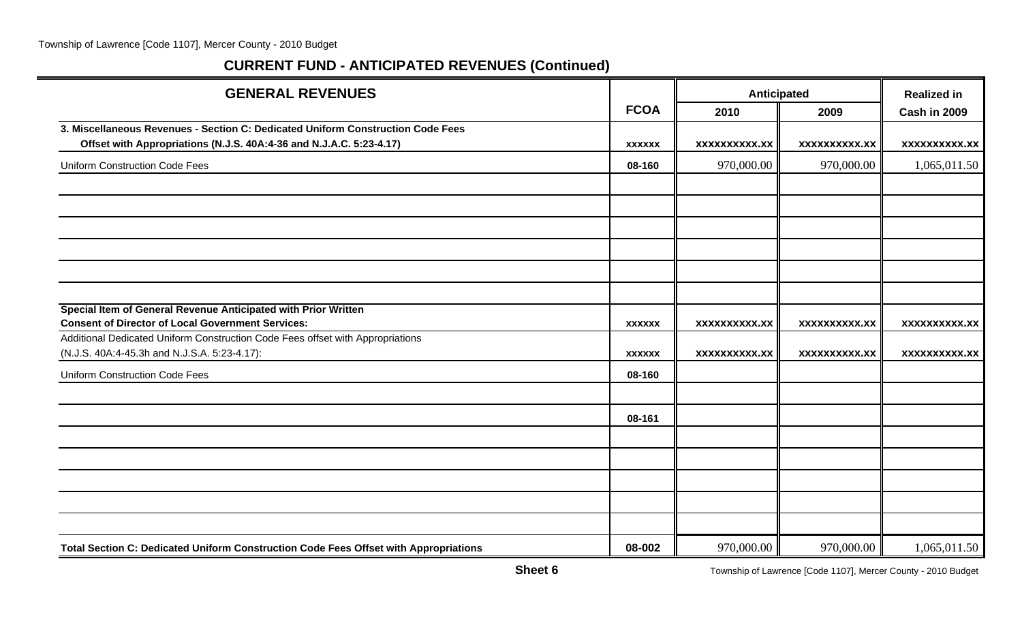| <b>GENERAL REVENUES</b>                                                                                                        |               |                      | Anticipated          |                      |
|--------------------------------------------------------------------------------------------------------------------------------|---------------|----------------------|----------------------|----------------------|
|                                                                                                                                | <b>FCOA</b>   | 2010                 | 2009                 | Cash in 2009         |
| 3. Miscellaneous Revenues - Section C: Dedicated Uniform Construction Code Fees                                                |               |                      |                      |                      |
| Offset with Appropriations (N.J.S. 40A:4-36 and N.J.A.C. 5:23-4.17)                                                            | <b>XXXXXX</b> | <b>XXXXXXXXXX.XX</b> | <b>XXXXXXXXXX.XX</b> | <b>XXXXXXXXXX.XX</b> |
| <b>Uniform Construction Code Fees</b>                                                                                          | 08-160        | 970,000.00           | 970,000.00           | 1,065,011.50         |
|                                                                                                                                |               |                      |                      |                      |
|                                                                                                                                |               |                      |                      |                      |
|                                                                                                                                |               |                      |                      |                      |
|                                                                                                                                |               |                      |                      |                      |
|                                                                                                                                |               |                      |                      |                      |
|                                                                                                                                |               |                      |                      |                      |
| Special Item of General Revenue Anticipated with Prior Written                                                                 |               |                      |                      |                      |
| <b>Consent of Director of Local Government Services:</b>                                                                       | <b>XXXXXX</b> | <b>XXXXXXXXXX.XX</b> | <b>XXXXXXXXXX.XX</b> | <b>XXXXXXXXXX.XX</b> |
| Additional Dedicated Uniform Construction Code Fees offset with Appropriations<br>(N.J.S. 40A:4-45.3h and N.J.S.A. 5:23-4.17): | <b>XXXXXX</b> | <b>XXXXXXXXXX.XX</b> | <b>XXXXXXXXXX.XX</b> | <b>XXXXXXXXXX.XX</b> |
| <b>Uniform Construction Code Fees</b>                                                                                          | 08-160        |                      |                      |                      |
|                                                                                                                                |               |                      |                      |                      |
|                                                                                                                                | 08-161        |                      |                      |                      |
|                                                                                                                                |               |                      |                      |                      |
|                                                                                                                                |               |                      |                      |                      |
|                                                                                                                                |               |                      |                      |                      |
|                                                                                                                                |               |                      |                      |                      |
|                                                                                                                                |               |                      |                      |                      |
| Total Section C: Dedicated Uniform Construction Code Fees Offset with Appropriations                                           | 08-002        | 970,000.00           | 970,000.00           | 1,065,011.50         |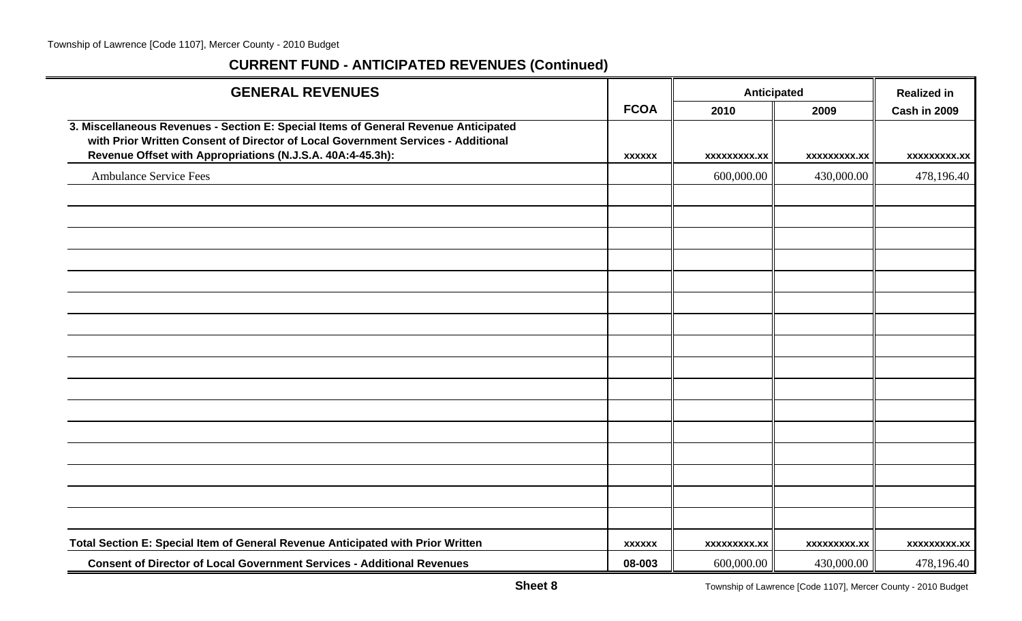| <b>GENERAL REVENUES</b>                                                                                                                                                                                                               |               | Anticipated  |                     | <b>Realized in</b> |
|---------------------------------------------------------------------------------------------------------------------------------------------------------------------------------------------------------------------------------------|---------------|--------------|---------------------|--------------------|
|                                                                                                                                                                                                                                       | <b>FCOA</b>   | 2010         | 2009                | Cash in 2009       |
| 3. Miscellaneous Revenues - Section E: Special Items of General Revenue Anticipated<br>with Prior Written Consent of Director of Local Government Services - Additional<br>Revenue Offset with Appropriations (N.J.S.A. 40A:4-45.3h): | <b>XXXXXX</b> | XXXXXXXXX.XX | <b>XXXXXXXXX.XX</b> | xxxxxxxxx.xx       |
| <b>Ambulance Service Fees</b>                                                                                                                                                                                                         |               | 600,000.00   | 430,000.00          | 478,196.40         |
|                                                                                                                                                                                                                                       |               |              |                     |                    |
|                                                                                                                                                                                                                                       |               |              |                     |                    |
|                                                                                                                                                                                                                                       |               |              |                     |                    |
|                                                                                                                                                                                                                                       |               |              |                     |                    |
|                                                                                                                                                                                                                                       |               |              |                     |                    |
|                                                                                                                                                                                                                                       |               |              |                     |                    |
|                                                                                                                                                                                                                                       |               |              |                     |                    |
|                                                                                                                                                                                                                                       |               |              |                     |                    |
|                                                                                                                                                                                                                                       |               |              |                     |                    |
|                                                                                                                                                                                                                                       |               |              |                     |                    |
|                                                                                                                                                                                                                                       |               |              |                     |                    |
|                                                                                                                                                                                                                                       |               |              |                     |                    |
|                                                                                                                                                                                                                                       |               |              |                     |                    |
|                                                                                                                                                                                                                                       |               |              |                     |                    |
|                                                                                                                                                                                                                                       |               |              |                     |                    |
|                                                                                                                                                                                                                                       |               |              |                     |                    |
| Total Section E: Special Item of General Revenue Anticipated with Prior Written                                                                                                                                                       | <b>XXXXXX</b> | xxxxxxxxx.xx | xxxxxxxxx.xx        | xxxxxxxxx.xx       |
| <b>Consent of Director of Local Government Services - Additional Revenues</b>                                                                                                                                                         | 08-003        | 600,000.00   | 430,000.00          | 478,196.40         |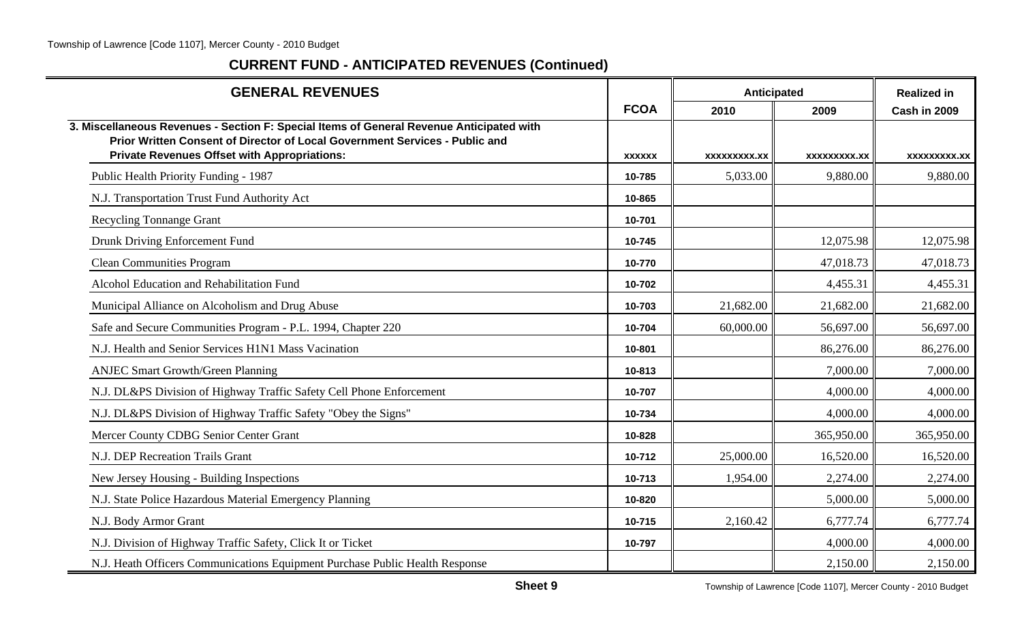| <b>GENERAL REVENUES</b>                                                                                                                                                                                                        |               | <b>Anticipated</b>  |                     | <b>Realized in</b>  |
|--------------------------------------------------------------------------------------------------------------------------------------------------------------------------------------------------------------------------------|---------------|---------------------|---------------------|---------------------|
|                                                                                                                                                                                                                                | <b>FCOA</b>   | 2010                | 2009                | Cash in 2009        |
| 3. Miscellaneous Revenues - Section F: Special Items of General Revenue Anticipated with<br>Prior Written Consent of Director of Local Government Services - Public and<br><b>Private Revenues Offset with Appropriations:</b> | <b>XXXXXX</b> | <b>XXXXXXXXX.XX</b> | <b>XXXXXXXXX.XX</b> | <b>XXXXXXXXX.XX</b> |
| Public Health Priority Funding - 1987                                                                                                                                                                                          | 10-785        | 5,033.00            | 9,880.00            | 9,880.00            |
| N.J. Transportation Trust Fund Authority Act                                                                                                                                                                                   | 10-865        |                     |                     |                     |
| <b>Recycling Tonnange Grant</b>                                                                                                                                                                                                | 10-701        |                     |                     |                     |
| Drunk Driving Enforcement Fund                                                                                                                                                                                                 | 10-745        |                     | 12,075.98           | 12,075.98           |
| <b>Clean Communities Program</b>                                                                                                                                                                                               | 10-770        |                     | 47,018.73           | 47,018.73           |
| Alcohol Education and Rehabilitation Fund                                                                                                                                                                                      | 10-702        |                     | 4,455.31            | 4,455.31            |
| Municipal Alliance on Alcoholism and Drug Abuse                                                                                                                                                                                | 10-703        | 21,682.00           | 21,682.00           | 21,682.00           |
| Safe and Secure Communities Program - P.L. 1994, Chapter 220                                                                                                                                                                   | 10-704        | 60,000.00           | 56,697.00           | 56,697.00           |
| N.J. Health and Senior Services H1N1 Mass Vacination                                                                                                                                                                           | 10-801        |                     | 86,276.00           | 86,276.00           |
| <b>ANJEC Smart Growth/Green Planning</b>                                                                                                                                                                                       | 10-813        |                     | 7,000.00            | 7,000.00            |
| N.J. DL&PS Division of Highway Traffic Safety Cell Phone Enforcement                                                                                                                                                           | 10-707        |                     | 4,000.00            | 4,000.00            |
| N.J. DL&PS Division of Highway Traffic Safety "Obey the Signs"                                                                                                                                                                 | 10-734        |                     | 4,000.00            | 4,000.00            |
| Mercer County CDBG Senior Center Grant                                                                                                                                                                                         | 10-828        |                     | 365,950.00          | 365,950.00          |
| N.J. DEP Recreation Trails Grant                                                                                                                                                                                               | 10-712        | 25,000.00           | 16,520.00           | 16,520.00           |
| New Jersey Housing - Building Inspections                                                                                                                                                                                      | 10-713        | 1,954.00            | 2,274.00            | 2,274.00            |
| N.J. State Police Hazardous Material Emergency Planning                                                                                                                                                                        | 10-820        |                     | 5,000.00            | 5,000.00            |
| N.J. Body Armor Grant                                                                                                                                                                                                          | 10-715        | 2,160.42            | 6,777.74            | 6,777.74            |
| N.J. Division of Highway Traffic Safety, Click It or Ticket                                                                                                                                                                    | 10-797        |                     | 4,000.00            | 4,000.00            |
| N.J. Heath Officers Communications Equipment Purchase Public Health Response                                                                                                                                                   |               |                     | 2,150.00            | 2,150.00            |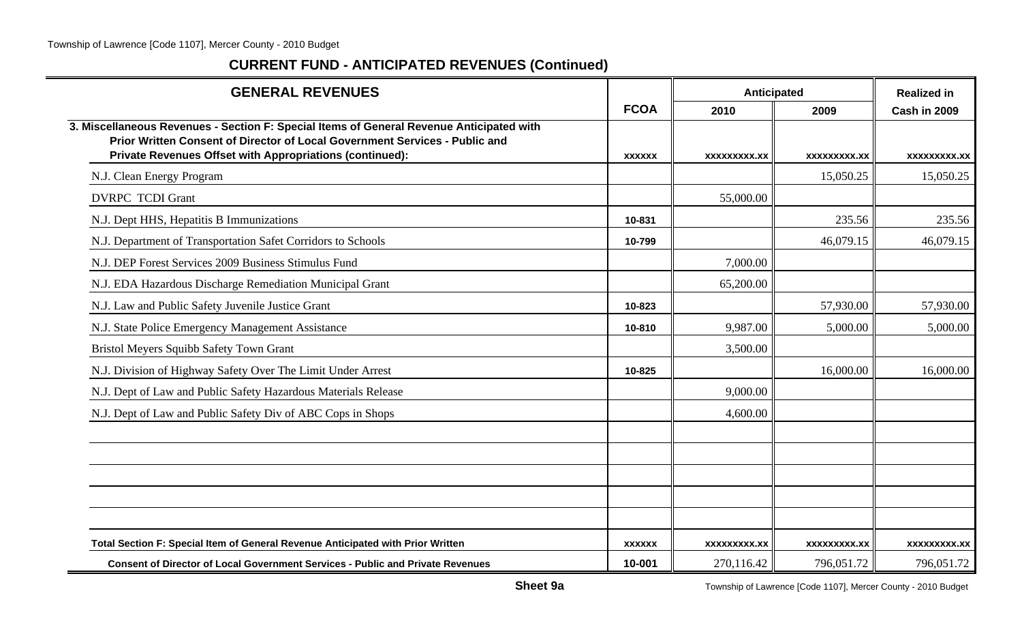| <b>GENERAL REVENUES</b>                                                                                                                                                                                                             |                         | Anticipated                       | <b>Realized in</b>                |                                   |
|-------------------------------------------------------------------------------------------------------------------------------------------------------------------------------------------------------------------------------------|-------------------------|-----------------------------------|-----------------------------------|-----------------------------------|
|                                                                                                                                                                                                                                     | <b>FCOA</b>             | 2010                              | 2009                              | Cash in 2009                      |
| 3. Miscellaneous Revenues - Section F: Special Items of General Revenue Anticipated with<br>Prior Written Consent of Director of Local Government Services - Public and<br>Private Revenues Offset with Appropriations (continued): | <b>XXXXXX</b>           | <b>XXXXXXXXX.XX</b>               | <b>XXXXXXXXX.XX</b>               | <b>XXXXXXXX.XX</b>                |
| N.J. Clean Energy Program                                                                                                                                                                                                           |                         |                                   | 15,050.25                         | 15,050.25                         |
| <b>DVRPC TCDI Grant</b>                                                                                                                                                                                                             |                         | 55,000.00                         |                                   |                                   |
| N.J. Dept HHS, Hepatitis B Immunizations                                                                                                                                                                                            | 10-831                  |                                   | 235.56                            | 235.56                            |
| N.J. Department of Transportation Safet Corridors to Schools                                                                                                                                                                        | 10-799                  |                                   | 46,079.15                         | 46,079.15                         |
| N.J. DEP Forest Services 2009 Business Stimulus Fund                                                                                                                                                                                |                         | 7,000.00                          |                                   |                                   |
| N.J. EDA Hazardous Discharge Remediation Municipal Grant                                                                                                                                                                            |                         | 65,200.00                         |                                   |                                   |
| N.J. Law and Public Safety Juvenile Justice Grant                                                                                                                                                                                   | 10-823                  |                                   | 57,930.00                         | 57,930.00                         |
| N.J. State Police Emergency Management Assistance                                                                                                                                                                                   | 10-810                  | 9,987.00                          | 5,000.00                          | 5,000.00                          |
| Bristol Meyers Squibb Safety Town Grant                                                                                                                                                                                             |                         | 3,500.00                          |                                   |                                   |
| N.J. Division of Highway Safety Over The Limit Under Arrest                                                                                                                                                                         | 10-825                  |                                   | 16,000.00                         | 16,000.00                         |
| N.J. Dept of Law and Public Safety Hazardous Materials Release                                                                                                                                                                      |                         | 9,000.00                          |                                   |                                   |
| N.J. Dept of Law and Public Safety Div of ABC Cops in Shops                                                                                                                                                                         |                         | 4,600.00                          |                                   |                                   |
|                                                                                                                                                                                                                                     |                         |                                   |                                   |                                   |
|                                                                                                                                                                                                                                     |                         |                                   |                                   |                                   |
|                                                                                                                                                                                                                                     |                         |                                   |                                   |                                   |
|                                                                                                                                                                                                                                     |                         |                                   |                                   |                                   |
| Total Section F: Special Item of General Revenue Anticipated with Prior Written<br><b>Consent of Director of Local Government Services - Public and Private Revenues</b>                                                            | <b>XXXXXX</b><br>10-001 | <b>XXXXXXXXX.XX</b><br>270,116.42 | <b>XXXXXXXXX.XX</b><br>796,051.72 | <b>XXXXXXXXX.XX</b><br>796,051.72 |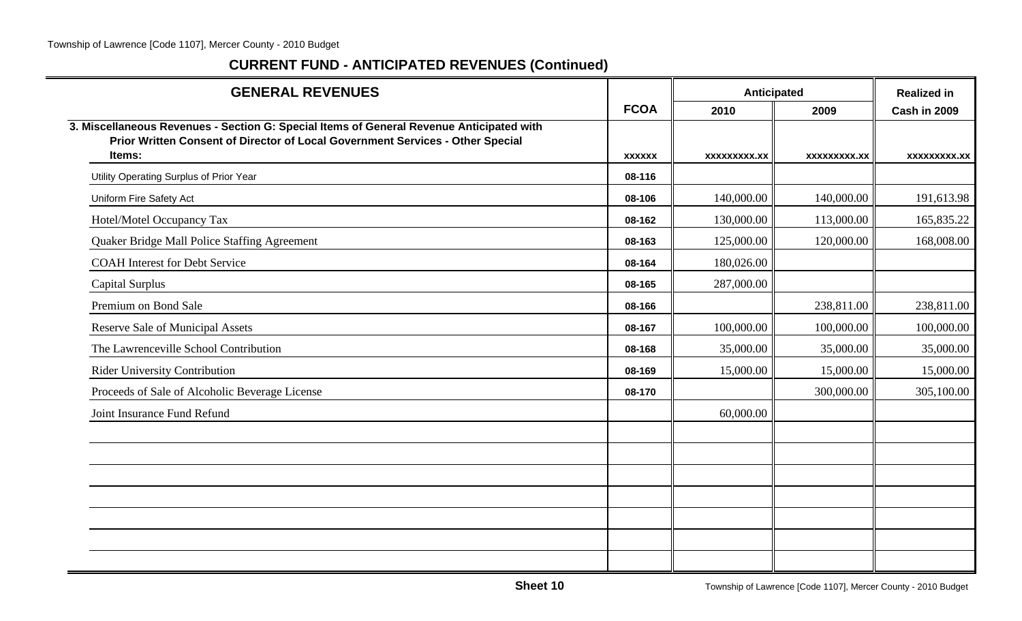| <b>GENERAL REVENUES</b>                                                                                                                                                    |               | Anticipated         | <b>Realized in</b>  |              |
|----------------------------------------------------------------------------------------------------------------------------------------------------------------------------|---------------|---------------------|---------------------|--------------|
|                                                                                                                                                                            | <b>FCOA</b>   | 2010                | 2009                | Cash in 2009 |
| 3. Miscellaneous Revenues - Section G: Special Items of General Revenue Anticipated with<br>Prior Written Consent of Director of Local Government Services - Other Special |               |                     |                     |              |
| Items:                                                                                                                                                                     | <b>XXXXXX</b> | <b>XXXXXXXXX.XX</b> | <b>XXXXXXXXX.XX</b> | XXXXXXXXX.XX |
| Utility Operating Surplus of Prior Year                                                                                                                                    | 08-116        |                     |                     |              |
| Uniform Fire Safety Act                                                                                                                                                    | 08-106        | 140,000.00          | 140,000.00          | 191,613.98   |
| Hotel/Motel Occupancy Tax                                                                                                                                                  | 08-162        | 130,000.00          | 113,000.00          | 165,835.22   |
| Quaker Bridge Mall Police Staffing Agreement                                                                                                                               | 08-163        | 125,000.00          | 120,000.00          | 168,008.00   |
| <b>COAH</b> Interest for Debt Service                                                                                                                                      | 08-164        | 180,026.00          |                     |              |
| <b>Capital Surplus</b>                                                                                                                                                     | 08-165        | 287,000.00          |                     |              |
| Premium on Bond Sale                                                                                                                                                       | 08-166        |                     | 238,811.00          | 238,811.00   |
| Reserve Sale of Municipal Assets                                                                                                                                           | 08-167        | 100,000.00          | 100,000.00          | 100,000.00   |
| The Lawrenceville School Contribution                                                                                                                                      | 08-168        | 35,000.00           | 35,000.00           | 35,000.00    |
| <b>Rider University Contribution</b>                                                                                                                                       | 08-169        | 15,000.00           | 15,000.00           | 15,000.00    |
| Proceeds of Sale of Alcoholic Beverage License                                                                                                                             | 08-170        |                     | 300,000.00          | 305,100.00   |
| Joint Insurance Fund Refund                                                                                                                                                |               | 60,000.00           |                     |              |
|                                                                                                                                                                            |               |                     |                     |              |
|                                                                                                                                                                            |               |                     |                     |              |
|                                                                                                                                                                            |               |                     |                     |              |
|                                                                                                                                                                            |               |                     |                     |              |
|                                                                                                                                                                            |               |                     |                     |              |
|                                                                                                                                                                            |               |                     |                     |              |
|                                                                                                                                                                            |               |                     |                     |              |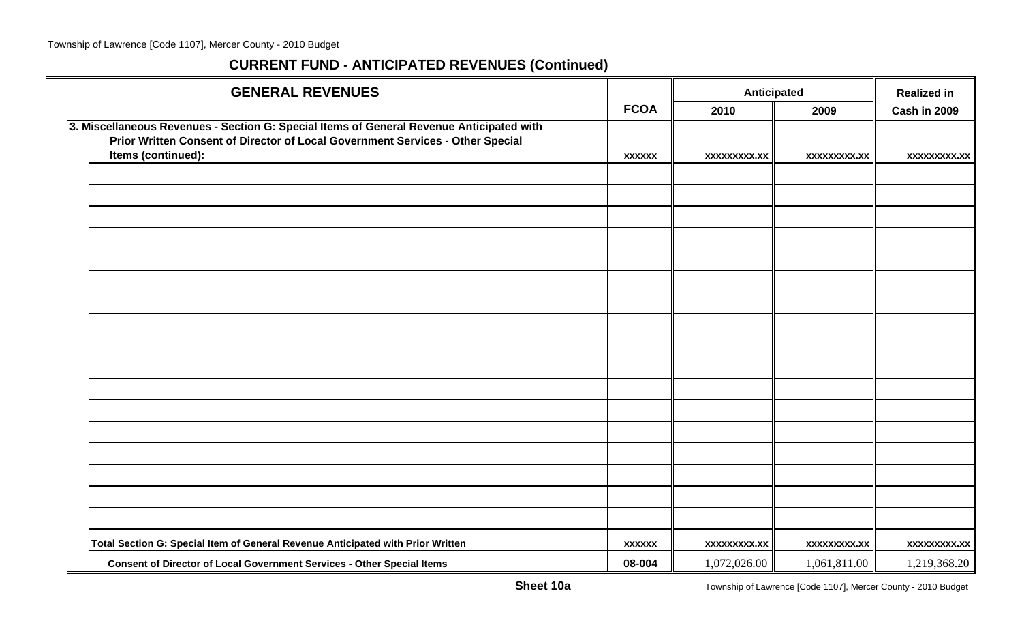| <b>GENERAL REVENUES</b>                                                                  |               |                     | Anticipated         |                     |
|------------------------------------------------------------------------------------------|---------------|---------------------|---------------------|---------------------|
|                                                                                          | <b>FCOA</b>   | 2010                | 2009                | Cash in 2009        |
| 3. Miscellaneous Revenues - Section G: Special Items of General Revenue Anticipated with |               |                     |                     |                     |
| Prior Written Consent of Director of Local Government Services - Other Special           |               |                     |                     |                     |
| Items (continued):                                                                       | <b>XXXXXX</b> | <b>XXXXXXXXX.XX</b> | <b>XXXXXXXXX.XX</b> | <b>XXXXXXXXX.XX</b> |
|                                                                                          |               |                     |                     |                     |
|                                                                                          |               |                     |                     |                     |
|                                                                                          |               |                     |                     |                     |
|                                                                                          |               |                     |                     |                     |
|                                                                                          |               |                     |                     |                     |
|                                                                                          |               |                     |                     |                     |
|                                                                                          |               |                     |                     |                     |
|                                                                                          |               |                     |                     |                     |
|                                                                                          |               |                     |                     |                     |
|                                                                                          |               |                     |                     |                     |
|                                                                                          |               |                     |                     |                     |
|                                                                                          |               |                     |                     |                     |
|                                                                                          |               |                     |                     |                     |
|                                                                                          |               |                     |                     |                     |
|                                                                                          |               |                     |                     |                     |
|                                                                                          |               |                     |                     |                     |
|                                                                                          |               |                     |                     |                     |
| Total Section G: Special Item of General Revenue Anticipated with Prior Written          | <b>XXXXXX</b> | <b>XXXXXXXXX.XX</b> | <b>XXXXXXXXX.XX</b> | <b>XXXXXXXXX.XX</b> |
| Consent of Director of Local Government Services - Other Special Items                   | 08-004        | 1,072,026.00        | 1,061,811.00        | 1,219,368.20        |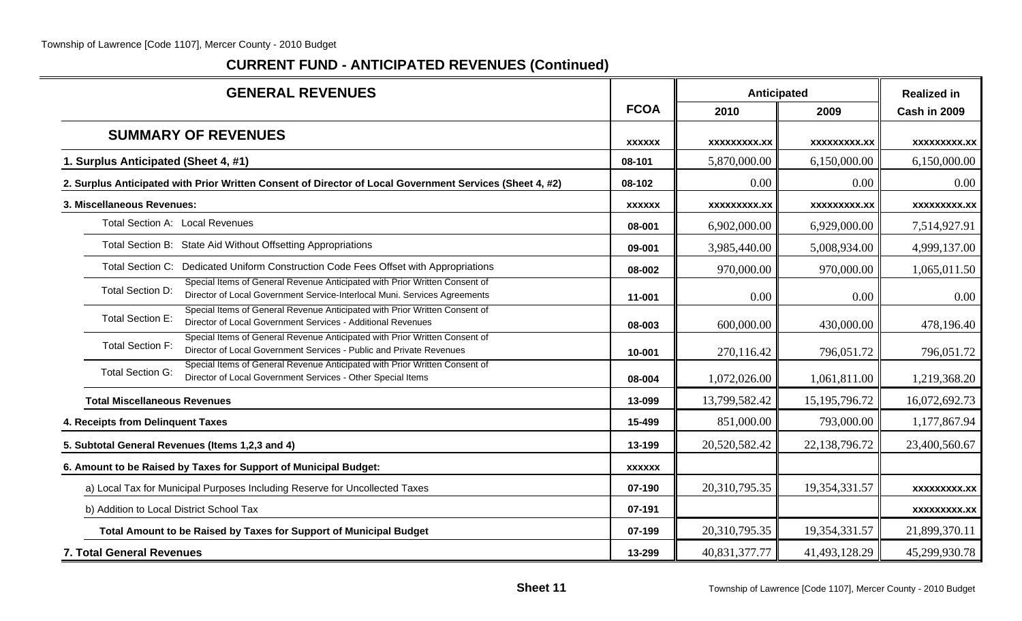| <b>GENERAL REVENUES</b>                                                                                                                                                            |               | Anticipated         | <b>Realized in</b>  |                     |
|------------------------------------------------------------------------------------------------------------------------------------------------------------------------------------|---------------|---------------------|---------------------|---------------------|
|                                                                                                                                                                                    | <b>FCOA</b>   | 2010                | 2009                | Cash in 2009        |
| <b>SUMMARY OF REVENUES</b>                                                                                                                                                         | <b>XXXXXX</b> | <b>XXXXXXXXX.XX</b> | <b>XXXXXXXXX.XX</b> | <b>XXXXXXXXX.XX</b> |
| 1. Surplus Anticipated (Sheet 4, #1)                                                                                                                                               | 08-101        | 5,870,000.00        | 6,150,000.00        | 6,150,000.00        |
| 2. Surplus Anticipated with Prior Written Consent of Director of Local Government Services (Sheet 4, #2)                                                                           | 08-102        | 0.00                | 0.00                | 0.00                |
| 3. Miscellaneous Revenues:                                                                                                                                                         | <b>XXXXXX</b> | <b>XXXXXXXXX.XX</b> | XXXXXXXXX.XX        | <b>XXXXXXXXX.XX</b> |
| Total Section A: Local Revenues                                                                                                                                                    | 08-001        | 6,902,000.00        | 6,929,000.00        | 7,514,927.91        |
| Total Section B: State Aid Without Offsetting Appropriations                                                                                                                       | 09-001        | 3,985,440.00        | 5,008,934.00        | 4,999,137.00        |
| Total Section C: Dedicated Uniform Construction Code Fees Offset with Appropriations                                                                                               | 08-002        | 970,000.00          | 970,000.00          | 1,065,011.50        |
| Special Items of General Revenue Anticipated with Prior Written Consent of<br><b>Total Section D:</b><br>Director of Local Government Service-Interlocal Muni. Services Agreements | 11-001        | 0.00                | 0.00                | 0.00                |
| Special Items of General Revenue Anticipated with Prior Written Consent of<br>Total Section E:<br>Director of Local Government Services - Additional Revenues                      | 08-003        | 600,000.00          | 430,000.00          | 478,196.40          |
| Special Items of General Revenue Anticipated with Prior Written Consent of<br><b>Total Section F:</b><br>Director of Local Government Services - Public and Private Revenues       | 10-001        | 270,116.42          | 796,051.72          | 796,051.72          |
| Special Items of General Revenue Anticipated with Prior Written Consent of<br><b>Total Section G:</b><br>Director of Local Government Services - Other Special Items               | 08-004        | 1,072,026.00        | 1,061,811.00        | 1,219,368.20        |
| <b>Total Miscellaneous Revenues</b>                                                                                                                                                | 13-099        | 13,799,582.42       | 15, 195, 796. 72    | 16,072,692.73       |
| 4. Receipts from Delinquent Taxes                                                                                                                                                  | 15-499        | 851,000.00          | 793,000.00          | 1,177,867.94        |
| 5. Subtotal General Revenues (Items 1,2,3 and 4)                                                                                                                                   | 13-199        | 20,520,582.42       | 22,138,796.72       | 23,400,560.67       |
| 6. Amount to be Raised by Taxes for Support of Municipal Budget:                                                                                                                   | <b>XXXXXX</b> |                     |                     |                     |
| a) Local Tax for Municipal Purposes Including Reserve for Uncollected Taxes                                                                                                        | 07-190        | 20,310,795.35       | 19,354,331.57       | <b>XXXXXXXXX.XX</b> |
| b) Addition to Local District School Tax                                                                                                                                           | 07-191        |                     |                     | <b>XXXXXXXXX.XX</b> |
| Total Amount to be Raised by Taxes for Support of Municipal Budget                                                                                                                 | 07-199        | 20,310,795.35       | 19,354,331.57       | 21,899,370.11       |
| 7. Total General Revenues                                                                                                                                                          | 13-299        | 40,831,377.77       | 41,493,128.29       | 45,299,930.78       |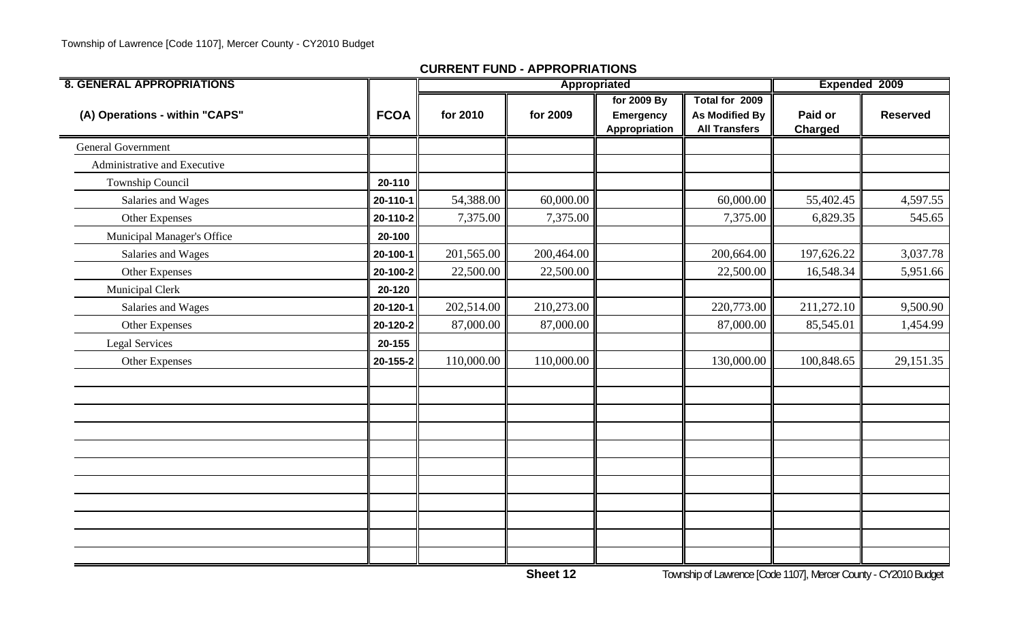| <b>8. GENERAL APPROPRIATIONS</b> |             | Appropriated |            |                                           |                                                                 | Expended 2009             |                 |
|----------------------------------|-------------|--------------|------------|-------------------------------------------|-----------------------------------------------------------------|---------------------------|-----------------|
| (A) Operations - within "CAPS"   | <b>FCOA</b> | for 2010     | for 2009   | for 2009 By<br>Emergency<br>Appropriation | Total for 2009<br><b>As Modified By</b><br><b>All Transfers</b> | Paid or<br><b>Charged</b> | <b>Reserved</b> |
| <b>General Government</b>        |             |              |            |                                           |                                                                 |                           |                 |
| Administrative and Executive     |             |              |            |                                           |                                                                 |                           |                 |
| Township Council                 | 20-110      |              |            |                                           |                                                                 |                           |                 |
| Salaries and Wages               | 20-110-1    | 54,388.00    | 60,000.00  |                                           | 60,000.00                                                       | 55,402.45                 | 4,597.55        |
| Other Expenses                   | 20-110-2    | 7,375.00     | 7,375.00   |                                           | 7,375.00                                                        | 6,829.35                  | 545.65          |
| Municipal Manager's Office       | 20-100      |              |            |                                           |                                                                 |                           |                 |
| Salaries and Wages               | 20-100-1    | 201,565.00   | 200,464.00 |                                           | 200,664.00                                                      | 197,626.22                | 3,037.78        |
| Other Expenses                   | 20-100-2    | 22,500.00    | 22,500.00  |                                           | 22,500.00                                                       | 16,548.34                 | 5,951.66        |
| Municipal Clerk                  | 20-120      |              |            |                                           |                                                                 |                           |                 |
| Salaries and Wages               | 20-120-1    | 202,514.00   | 210,273.00 |                                           | 220,773.00                                                      | 211,272.10                | 9,500.90        |
| <b>Other Expenses</b>            | 20-120-2    | 87,000.00    | 87,000.00  |                                           | 87,000.00                                                       | 85,545.01                 | 1,454.99        |
| <b>Legal Services</b>            | 20-155      |              |            |                                           |                                                                 |                           |                 |
| Other Expenses                   | 20-155-2    | 110,000.00   | 110,000.00 |                                           | 130,000.00                                                      | 100,848.65                | 29,151.35       |
|                                  |             |              |            |                                           |                                                                 |                           |                 |
|                                  |             |              |            |                                           |                                                                 |                           |                 |
|                                  |             |              |            |                                           |                                                                 |                           |                 |
|                                  |             |              |            |                                           |                                                                 |                           |                 |
|                                  |             |              |            |                                           |                                                                 |                           |                 |
|                                  |             |              |            |                                           |                                                                 |                           |                 |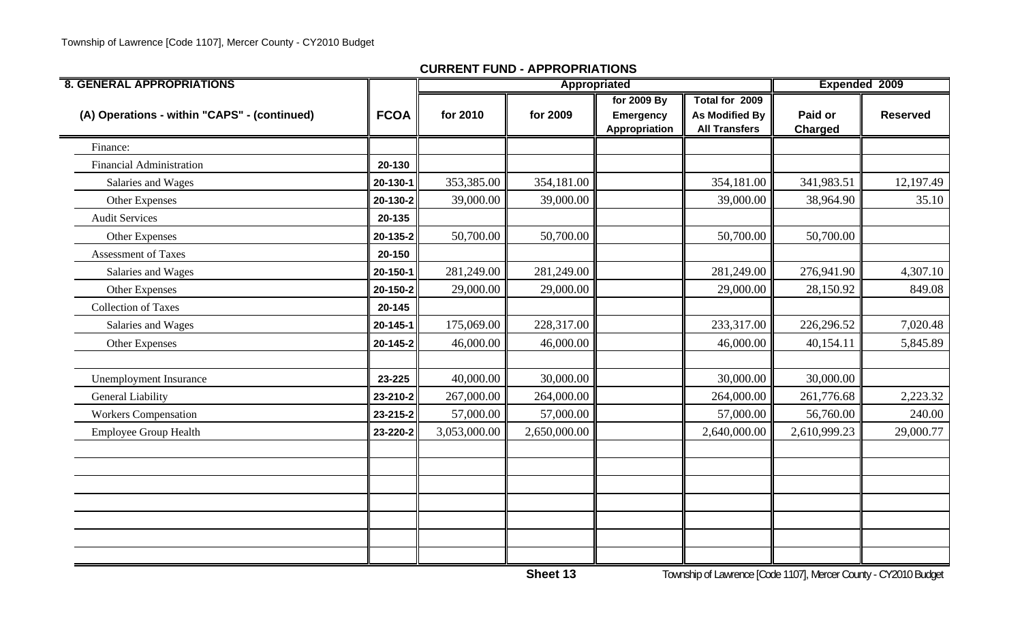| <b>8. GENERAL APPROPRIATIONS</b>             |                |              | Appropriated |                                                  |                                                                 | Expended 2009             |                 |
|----------------------------------------------|----------------|--------------|--------------|--------------------------------------------------|-----------------------------------------------------------------|---------------------------|-----------------|
| (A) Operations - within "CAPS" - (continued) | <b>FCOA</b>    | for 2010     | for 2009     | for 2009 By<br><b>Emergency</b><br>Appropriation | Total for 2009<br><b>As Modified By</b><br><b>All Transfers</b> | Paid or<br><b>Charged</b> | <b>Reserved</b> |
| Finance:                                     |                |              |              |                                                  |                                                                 |                           |                 |
| <b>Financial Administration</b>              | 20-130         |              |              |                                                  |                                                                 |                           |                 |
| Salaries and Wages                           | 20-130-1       | 353,385.00   | 354,181.00   |                                                  | 354,181.00                                                      | 341,983.51                | 12,197.49       |
| Other Expenses                               | 20-130-2       | 39,000.00    | 39,000.00    |                                                  | 39,000.00                                                       | 38,964.90                 | 35.10           |
| <b>Audit Services</b>                        | 20-135         |              |              |                                                  |                                                                 |                           |                 |
| Other Expenses                               | 20-135-2       | 50,700.00    | 50,700.00    |                                                  | 50,700.00                                                       | 50,700.00                 |                 |
| <b>Assessment of Taxes</b>                   | 20-150         |              |              |                                                  |                                                                 |                           |                 |
| Salaries and Wages                           | 20-150-1       | 281,249.00   | 281,249.00   |                                                  | 281,249.00                                                      | 276,941.90                | 4,307.10        |
| Other Expenses                               | 20-150-2       | 29,000.00    | 29,000.00    |                                                  | 29,000.00                                                       | 28,150.92                 | 849.08          |
| <b>Collection of Taxes</b>                   | 20-145         |              |              |                                                  |                                                                 |                           |                 |
| Salaries and Wages                           | 20-145-1       | 175,069.00   | 228,317.00   |                                                  | 233,317.00                                                      | 226,296.52                | 7,020.48        |
| Other Expenses                               | $20 - 145 - 2$ | 46,000.00    | 46,000.00    |                                                  | 46,000.00                                                       | 40,154.11                 | 5,845.89        |
|                                              |                |              |              |                                                  |                                                                 |                           |                 |
| <b>Unemployment Insurance</b>                | 23-225         | 40,000.00    | 30,000.00    |                                                  | 30,000.00                                                       | 30,000.00                 |                 |
| <b>General Liability</b>                     | 23-210-2       | 267,000.00   | 264,000.00   |                                                  | 264,000.00                                                      | 261,776.68                | 2,223.32        |
| <b>Workers Compensation</b>                  | 23-215-2       | 57,000.00    | 57,000.00    |                                                  | 57,000.00                                                       | 56,760.00                 | 240.00          |
| Employee Group Health                        | 23-220-2       | 3,053,000.00 | 2,650,000.00 |                                                  | 2,640,000.00                                                    | 2,610,999.23              | 29,000.77       |
|                                              |                |              |              |                                                  |                                                                 |                           |                 |
|                                              |                |              |              |                                                  |                                                                 |                           |                 |
|                                              |                |              |              |                                                  |                                                                 |                           |                 |
|                                              |                |              |              |                                                  |                                                                 |                           |                 |
|                                              |                |              |              |                                                  |                                                                 |                           |                 |
|                                              |                |              |              |                                                  |                                                                 |                           |                 |
|                                              |                |              |              |                                                  |                                                                 |                           |                 |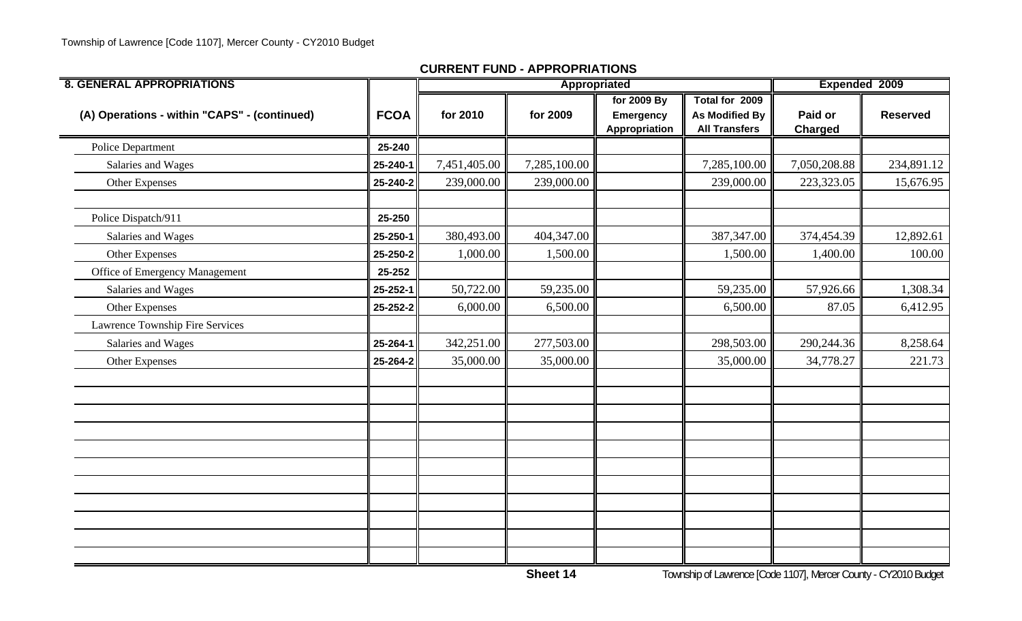| <b>8. GENERAL APPROPRIATIONS</b>             |             |              | Appropriated |                                           |                                                                 | Expended 2009             |                 |
|----------------------------------------------|-------------|--------------|--------------|-------------------------------------------|-----------------------------------------------------------------|---------------------------|-----------------|
| (A) Operations - within "CAPS" - (continued) | <b>FCOA</b> | for 2010     | for 2009     | for 2009 By<br>Emergency<br>Appropriation | Total for 2009<br><b>As Modified By</b><br><b>All Transfers</b> | Paid or<br><b>Charged</b> | <b>Reserved</b> |
| Police Department                            | 25-240      |              |              |                                           |                                                                 |                           |                 |
| Salaries and Wages                           | 25-240-1    | 7,451,405.00 | 7,285,100.00 |                                           | 7,285,100.00                                                    | 7,050,208.88              | 234,891.12      |
| Other Expenses                               | 25-240-2    | 239,000.00   | 239,000.00   |                                           | 239,000.00                                                      | 223,323.05                | 15,676.95       |
| Police Dispatch/911                          | 25-250      |              |              |                                           |                                                                 |                           |                 |
| Salaries and Wages                           | 25-250-1    | 380,493.00   | 404,347.00   |                                           | 387,347.00                                                      | 374,454.39                | 12,892.61       |
| Other Expenses                               | 25-250-2    | 1,000.00     | 1,500.00     |                                           | 1,500.00                                                        | 1,400.00                  | 100.00          |
| Office of Emergency Management               | 25-252      |              |              |                                           |                                                                 |                           |                 |
| Salaries and Wages                           | 25-252-1    | 50,722.00    | 59,235.00    |                                           | 59,235.00                                                       | 57,926.66                 | 1,308.34        |
| Other Expenses                               | 25-252-2    | 6,000.00     | 6,500.00     |                                           | 6,500.00                                                        | 87.05                     | 6,412.95        |
| Lawrence Township Fire Services              |             |              |              |                                           |                                                                 |                           |                 |
| Salaries and Wages                           | 25-264-1    | 342,251.00   | 277,503.00   |                                           | 298,503.00                                                      | 290,244.36                | 8,258.64        |
| Other Expenses                               | 25-264-2    | 35,000.00    | 35,000.00    |                                           | 35,000.00                                                       | 34,778.27                 | 221.73          |
|                                              |             |              |              |                                           |                                                                 |                           |                 |
|                                              |             |              |              |                                           |                                                                 |                           |                 |
|                                              |             |              |              |                                           |                                                                 |                           |                 |
|                                              |             |              |              |                                           |                                                                 |                           |                 |
|                                              |             |              |              |                                           |                                                                 |                           |                 |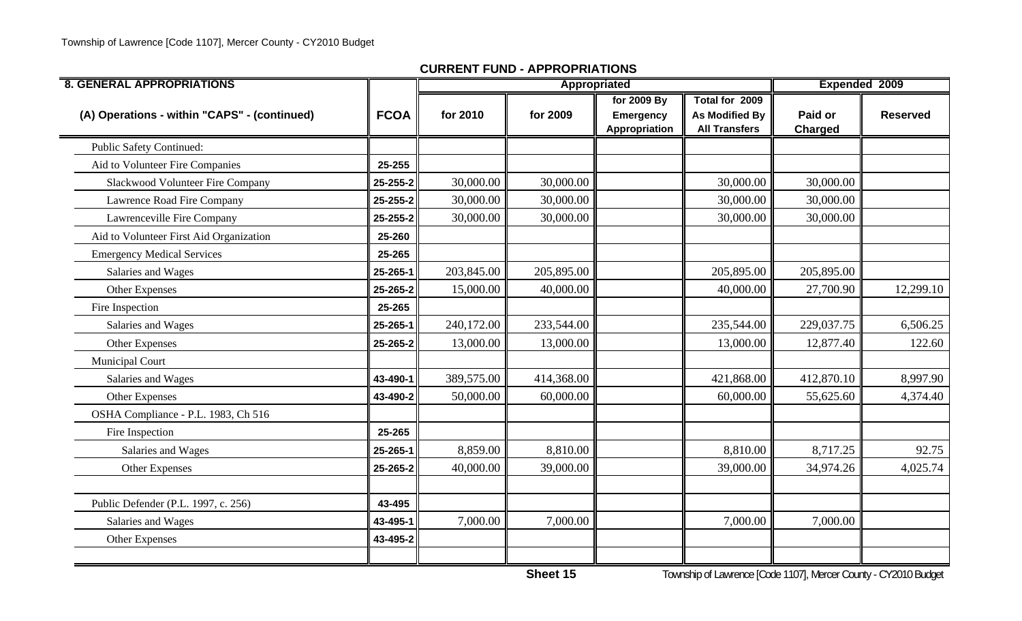| <b>8. GENERAL APPROPRIATIONS</b>             |             |            | Appropriated |                                   |                                               | Expended 2009  |                 |
|----------------------------------------------|-------------|------------|--------------|-----------------------------------|-----------------------------------------------|----------------|-----------------|
|                                              |             |            |              | for 2009 By                       | Total for 2009                                |                |                 |
| (A) Operations - within "CAPS" - (continued) | <b>FCOA</b> | for 2010   | for 2009     | <b>Emergency</b><br>Appropriation | <b>As Modified By</b><br><b>All Transfers</b> | Paid or        | <b>Reserved</b> |
|                                              |             |            |              |                                   |                                               | <b>Charged</b> |                 |
| <b>Public Safety Continued:</b>              |             |            |              |                                   |                                               |                |                 |
| Aid to Volunteer Fire Companies              | 25-255      |            |              |                                   |                                               |                |                 |
| Slackwood Volunteer Fire Company             | 25-255-2    | 30,000.00  | 30,000.00    |                                   | 30,000.00                                     | 30,000.00      |                 |
| Lawrence Road Fire Company                   | 25-255-2    | 30,000.00  | 30,000.00    |                                   | 30,000.00                                     | 30,000.00      |                 |
| Lawrenceville Fire Company                   | 25-255-2    | 30,000.00  | 30,000.00    |                                   | 30,000.00                                     | 30,000.00      |                 |
| Aid to Volunteer First Aid Organization      | 25-260      |            |              |                                   |                                               |                |                 |
| <b>Emergency Medical Services</b>            | 25-265      |            |              |                                   |                                               |                |                 |
| Salaries and Wages                           | 25-265-1    | 203,845.00 | 205,895.00   |                                   | 205,895.00                                    | 205,895.00     |                 |
| Other Expenses                               | 25-265-2    | 15,000.00  | 40,000.00    |                                   | 40,000.00                                     | 27,700.90      | 12,299.10       |
| Fire Inspection                              | 25-265      |            |              |                                   |                                               |                |                 |
| Salaries and Wages                           | 25-265-1    | 240,172.00 | 233,544.00   |                                   | 235,544.00                                    | 229,037.75     | 6,506.25        |
| Other Expenses                               | 25-265-2    | 13,000.00  | 13,000.00    |                                   | 13,000.00                                     | 12,877.40      | 122.60          |
| <b>Municipal Court</b>                       |             |            |              |                                   |                                               |                |                 |
| Salaries and Wages                           | 43-490-1    | 389,575.00 | 414,368.00   |                                   | 421,868.00                                    | 412,870.10     | 8,997.90        |
| Other Expenses                               | 43-490-2    | 50,000.00  | 60,000.00    |                                   | 60,000.00                                     | 55,625.60      | 4,374.40        |
| OSHA Compliance - P.L. 1983, Ch 516          |             |            |              |                                   |                                               |                |                 |
| Fire Inspection                              | 25-265      |            |              |                                   |                                               |                |                 |
| Salaries and Wages                           | 25-265-1    | 8,859.00   | 8,810.00     |                                   | 8,810.00                                      | 8,717.25       | 92.75           |
| Other Expenses                               | 25-265-2    | 40,000.00  | 39,000.00    |                                   | 39,000.00                                     | 34,974.26      | 4,025.74        |
|                                              |             |            |              |                                   |                                               |                |                 |
| Public Defender (P.L. 1997, c. 256)          | 43-495      |            |              |                                   |                                               |                |                 |
| Salaries and Wages                           | 43-495-1    | 7,000.00   | 7,000.00     |                                   | 7,000.00                                      | 7,000.00       |                 |
| Other Expenses                               | 43-495-2    |            |              |                                   |                                               |                |                 |
|                                              |             |            |              |                                   |                                               |                |                 |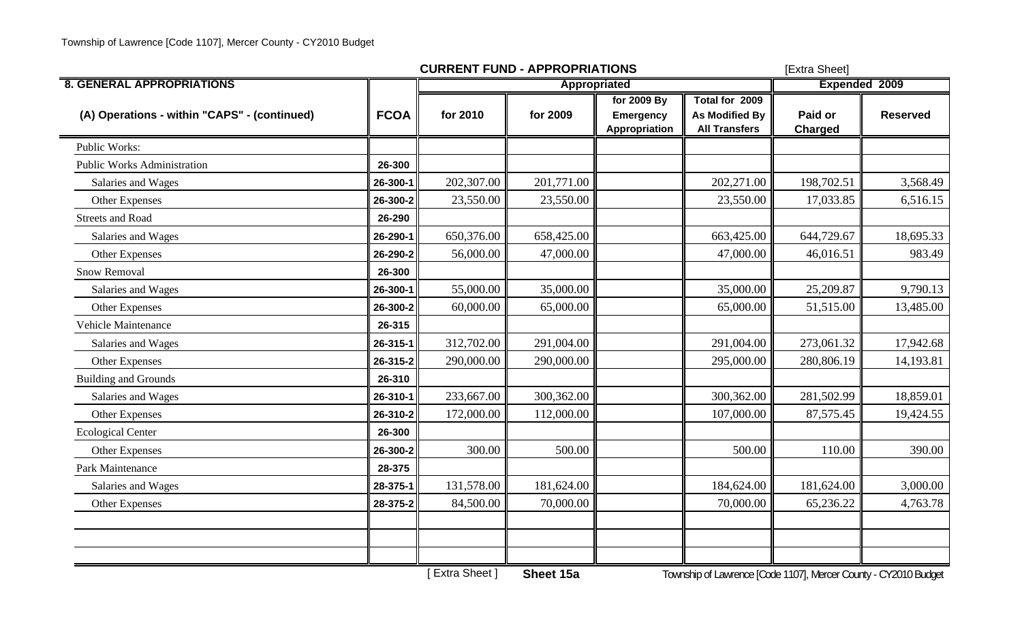|                                              |             | <b>CURRENT FUND - APPROPRIATIONS</b> | [Extra Sheet] |                                                  |                                                                 |                           |                      |  |
|----------------------------------------------|-------------|--------------------------------------|---------------|--------------------------------------------------|-----------------------------------------------------------------|---------------------------|----------------------|--|
| <b>8. GENERAL APPROPRIATIONS</b>             |             | Appropriated                         |               |                                                  |                                                                 |                           | <b>Expended 2009</b> |  |
| (A) Operations - within "CAPS" - (continued) | <b>FCOA</b> | for 2010                             | for 2009      | for 2009 By<br><b>Emergency</b><br>Appropriation | Total for 2009<br><b>As Modified By</b><br><b>All Transfers</b> | Paid or<br><b>Charged</b> | <b>Reserved</b>      |  |
| Public Works:                                |             |                                      |               |                                                  |                                                                 |                           |                      |  |
| <b>Public Works Administration</b>           | 26-300      |                                      |               |                                                  |                                                                 |                           |                      |  |
| Salaries and Wages                           | 26-300-1    | 202,307.00                           | 201,771.00    |                                                  | 202,271.00                                                      | 198,702.51                | 3,568.49             |  |
| Other Expenses                               | 26-300-2    | 23,550.00                            | 23,550.00     |                                                  | 23,550.00                                                       | 17,033.85                 | 6,516.15             |  |
| <b>Streets and Road</b>                      | 26-290      |                                      |               |                                                  |                                                                 |                           |                      |  |
| Salaries and Wages                           | 26-290-1    | 650,376.00                           | 658,425.00    |                                                  | 663,425.00                                                      | 644,729.67                | 18,695.33            |  |
| Other Expenses                               | 26-290-2    | 56,000.00                            | 47,000.00     |                                                  | 47,000.00                                                       | 46,016.51                 | 983.49               |  |
| Snow Removal                                 | 26-300      |                                      |               |                                                  |                                                                 |                           |                      |  |
| Salaries and Wages                           | 26-300-1    | 55,000.00                            | 35,000.00     |                                                  | 35,000.00                                                       | 25,209.87                 | 9,790.13             |  |
| Other Expenses                               | 26-300-2    | 60,000.00                            | 65,000.00     |                                                  | 65,000.00                                                       | 51,515.00                 | 13,485.00            |  |
| Vehicle Maintenance                          | 26-315      |                                      |               |                                                  |                                                                 |                           |                      |  |
| Salaries and Wages                           | 26-315-1    | 312,702.00                           | 291,004.00    |                                                  | 291,004.00                                                      | 273,061.32                | 17,942.68            |  |
| Other Expenses                               | 26-315-2    | 290,000.00                           | 290,000.00    |                                                  | 295,000.00                                                      | 280,806.19                | 14,193.81            |  |
| <b>Building and Grounds</b>                  | 26-310      |                                      |               |                                                  |                                                                 |                           |                      |  |
| Salaries and Wages                           | 26-310-1    | 233,667.00                           | 300,362.00    |                                                  | 300,362.00                                                      | 281,502.99                | 18,859.01            |  |
| <b>Other Expenses</b>                        | 26-310-2    | 172,000.00                           | 112,000.00    |                                                  | 107,000.00                                                      | 87,575.45                 | 19,424.55            |  |
| <b>Ecological Center</b>                     | 26-300      |                                      |               |                                                  |                                                                 |                           |                      |  |
| Other Expenses                               | 26-300-2    | 300.00                               | 500.00        |                                                  | 500.00                                                          | 110.00                    | 390.00               |  |
| Park Maintenance                             | 28-375      |                                      |               |                                                  |                                                                 |                           |                      |  |
| Salaries and Wages                           | 28-375-1    | 131,578.00                           | 181,624.00    |                                                  | 184,624.00                                                      | 181,624.00                | 3,000.00             |  |
| Other Expenses                               | 28-375-2    | 84,500.00                            | 70,000.00     |                                                  | 70,000.00                                                       | 65,236.22                 | 4,763.78             |  |
|                                              |             |                                      |               |                                                  |                                                                 |                           |                      |  |
|                                              |             |                                      |               |                                                  |                                                                 |                           |                      |  |
|                                              |             |                                      |               |                                                  |                                                                 |                           |                      |  |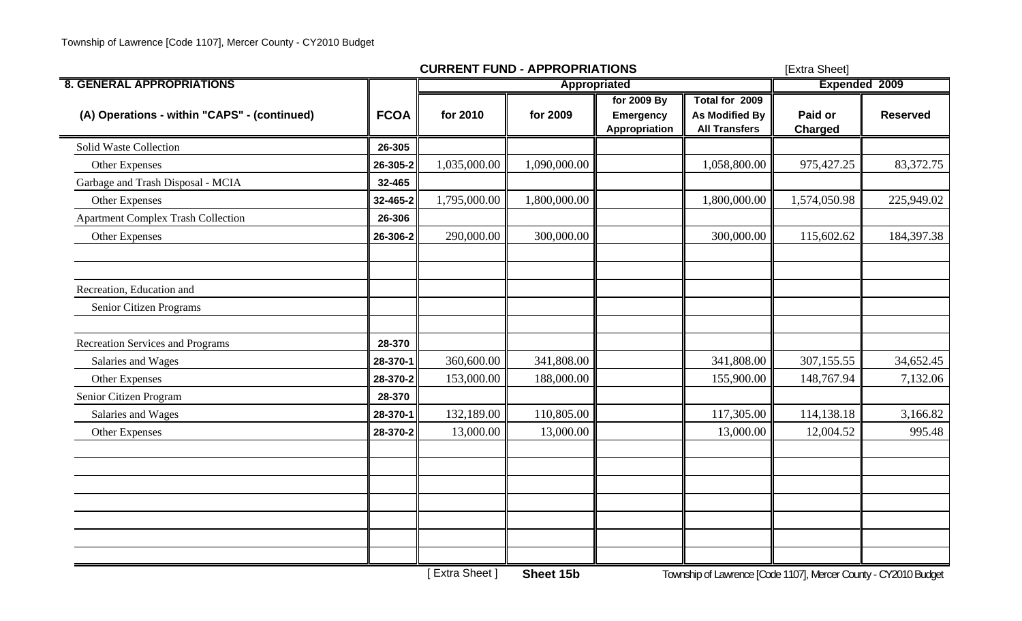|                                              |             | <b>CURRENT FUND - APPROPRIATIONS</b> | [Extra Sheet] |                                                  |                                                                 |                           |                 |
|----------------------------------------------|-------------|--------------------------------------|---------------|--------------------------------------------------|-----------------------------------------------------------------|---------------------------|-----------------|
| <b>8. GENERAL APPROPRIATIONS</b>             |             |                                      | Appropriated  |                                                  |                                                                 | <b>Expended 2009</b>      |                 |
| (A) Operations - within "CAPS" - (continued) | <b>FCOA</b> | for 2010                             | for 2009      | for 2009 By<br><b>Emergency</b><br>Appropriation | Total for 2009<br><b>As Modified By</b><br><b>All Transfers</b> | Paid or<br><b>Charged</b> | <b>Reserved</b> |
| Solid Waste Collection                       | 26-305      |                                      |               |                                                  |                                                                 |                           |                 |
| Other Expenses                               | 26-305-2    | 1,035,000.00                         | 1,090,000.00  |                                                  | 1,058,800.00                                                    | 975,427.25                | 83,372.75       |
| Garbage and Trash Disposal - MCIA            | 32-465      |                                      |               |                                                  |                                                                 |                           |                 |
| Other Expenses                               | 32-465-2    | 1,795,000.00                         | 1,800,000.00  |                                                  | 1,800,000.00                                                    | 1,574,050.98              | 225,949.02      |
| <b>Apartment Complex Trash Collection</b>    | 26-306      |                                      |               |                                                  |                                                                 |                           |                 |
| Other Expenses                               | 26-306-2    | 290,000.00                           | 300,000.00    |                                                  | 300,000.00                                                      | 115,602.62                | 184,397.38      |
| Recreation, Education and                    |             |                                      |               |                                                  |                                                                 |                           |                 |
| Senior Citizen Programs                      |             |                                      |               |                                                  |                                                                 |                           |                 |
| <b>Recreation Services and Programs</b>      | 28-370      |                                      |               |                                                  |                                                                 |                           |                 |
| Salaries and Wages                           | 28-370-1    | 360,600.00                           | 341,808.00    |                                                  | 341,808.00                                                      | 307,155.55                | 34,652.45       |
| Other Expenses                               | 28-370-2    | 153,000.00                           | 188,000.00    |                                                  | 155,900.00                                                      | 148,767.94                | 7,132.06        |
| Senior Citizen Program                       | 28-370      |                                      |               |                                                  |                                                                 |                           |                 |
| Salaries and Wages                           | 28-370-1    | 132,189.00                           | 110,805.00    |                                                  | 117,305.00                                                      | 114,138.18                | 3,166.82        |
| Other Expenses                               | 28-370-2    | 13,000.00                            | 13,000.00     |                                                  | 13,000.00                                                       | 12,004.52                 | 995.48          |
|                                              |             |                                      |               |                                                  |                                                                 |                           |                 |
|                                              |             |                                      |               |                                                  |                                                                 |                           |                 |
|                                              |             |                                      |               |                                                  |                                                                 |                           |                 |
|                                              |             |                                      |               |                                                  |                                                                 |                           |                 |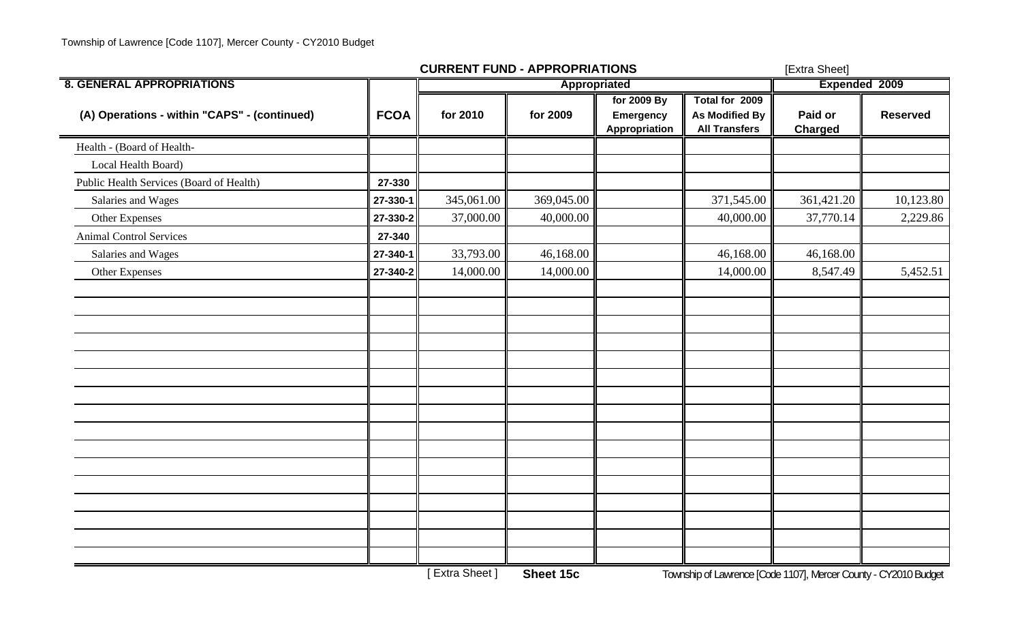|             |            | [Extra Sheet] |                                           |                                                                 |                    |                 |
|-------------|------------|---------------|-------------------------------------------|-----------------------------------------------------------------|--------------------|-----------------|
|             |            | Appropriated  |                                           |                                                                 | Expended 2009      |                 |
| <b>FCOA</b> | for 2010   | for 2009      | for 2009 By<br>Emergency<br>Appropriation | Total for 2009<br><b>As Modified By</b><br><b>All Transfers</b> | Paid or<br>Charged | <b>Reserved</b> |
|             |            |               |                                           |                                                                 |                    |                 |
|             |            |               |                                           |                                                                 |                    |                 |
| 27-330      |            |               |                                           |                                                                 |                    |                 |
| 27-330-1    | 345,061.00 | 369,045.00    |                                           | 371,545.00                                                      | 361,421.20         | 10,123.80       |
| 27-330-2    | 37,000.00  | 40,000.00     |                                           | 40,000.00                                                       | 37,770.14          | 2,229.86        |
| 27-340      |            |               |                                           |                                                                 |                    |                 |
| 27-340-1    | 33,793.00  | 46,168.00     |                                           | 46,168.00                                                       | 46,168.00          |                 |
| 27-340-2    | 14,000.00  | 14,000.00     |                                           | 14,000.00                                                       | 8,547.49           | 5,452.51        |
|             |            |               |                                           |                                                                 |                    |                 |
|             |            |               |                                           |                                                                 |                    |                 |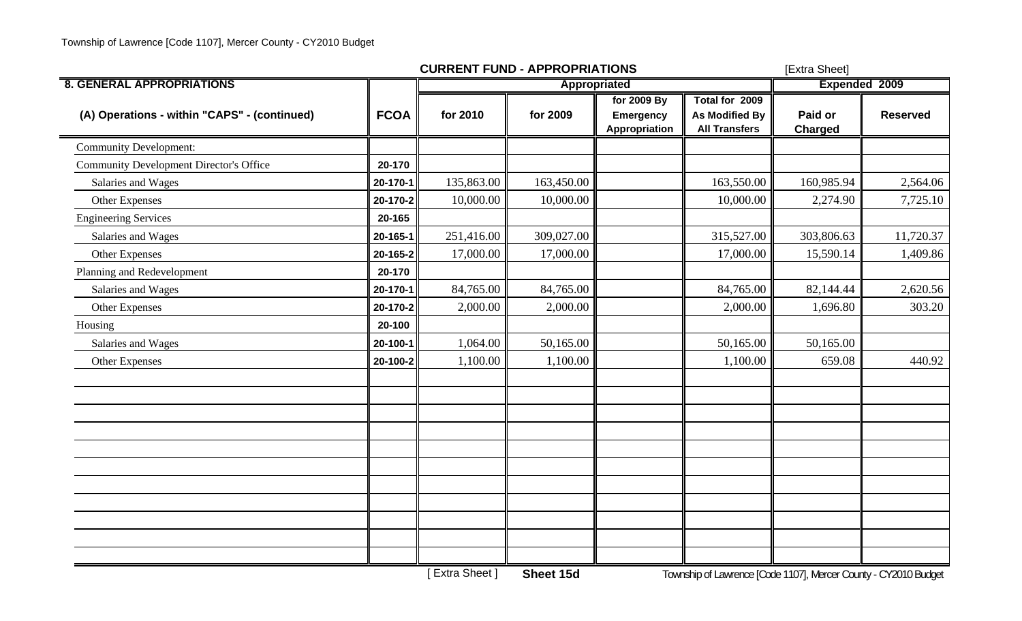|                                                |             | <b>CURRENT FUND - APPROPRIATIONS</b> | [Extra Sheet] |                                           |                                                                 |                           |                 |
|------------------------------------------------|-------------|--------------------------------------|---------------|-------------------------------------------|-----------------------------------------------------------------|---------------------------|-----------------|
| <b>8. GENERAL APPROPRIATIONS</b>               |             |                                      | Appropriated  |                                           |                                                                 | Expended 2009             |                 |
| (A) Operations - within "CAPS" - (continued)   | <b>FCOA</b> | for 2010                             | for 2009      | for 2009 By<br>Emergency<br>Appropriation | Total for 2009<br><b>As Modified By</b><br><b>All Transfers</b> | Paid or<br><b>Charged</b> | <b>Reserved</b> |
| <b>Community Development:</b>                  |             |                                      |               |                                           |                                                                 |                           |                 |
| <b>Community Development Director's Office</b> | 20-170      |                                      |               |                                           |                                                                 |                           |                 |
| Salaries and Wages                             | 20-170-1    | 135,863.00                           | 163,450.00    |                                           | 163,550.00                                                      | 160,985.94                | 2,564.06        |
| Other Expenses                                 | 20-170-2    | 10,000.00                            | 10,000.00     |                                           | 10,000.00                                                       | 2,274.90                  | 7,725.10        |
| <b>Engineering Services</b>                    | 20-165      |                                      |               |                                           |                                                                 |                           |                 |
| Salaries and Wages                             | 20-165-1    | 251,416.00                           | 309,027.00    |                                           | 315,527.00                                                      | 303,806.63                | 11,720.37       |
| Other Expenses                                 | 20-165-2    | 17,000.00                            | 17,000.00     |                                           | 17,000.00                                                       | 15,590.14                 | 1,409.86        |
| Planning and Redevelopment                     | 20-170      |                                      |               |                                           |                                                                 |                           |                 |
| Salaries and Wages                             | 20-170-1    | 84,765.00                            | 84,765.00     |                                           | 84,765.00                                                       | 82,144.44                 | 2,620.56        |
| Other Expenses                                 | 20-170-2    | 2,000.00                             | 2,000.00      |                                           | 2,000.00                                                        | 1,696.80                  | 303.20          |
| Housing                                        | 20-100      |                                      |               |                                           |                                                                 |                           |                 |
| Salaries and Wages                             | 20-100-1    | 1,064.00                             | 50,165.00     |                                           | 50,165.00                                                       | 50,165.00                 |                 |
| Other Expenses                                 | 20-100-2    | 1,100.00                             | 1,100.00      |                                           | 1,100.00                                                        | 659.08                    | 440.92          |
|                                                |             |                                      |               |                                           |                                                                 |                           |                 |
|                                                |             |                                      |               |                                           |                                                                 |                           |                 |
|                                                |             |                                      |               |                                           |                                                                 |                           |                 |
|                                                |             |                                      |               |                                           |                                                                 |                           |                 |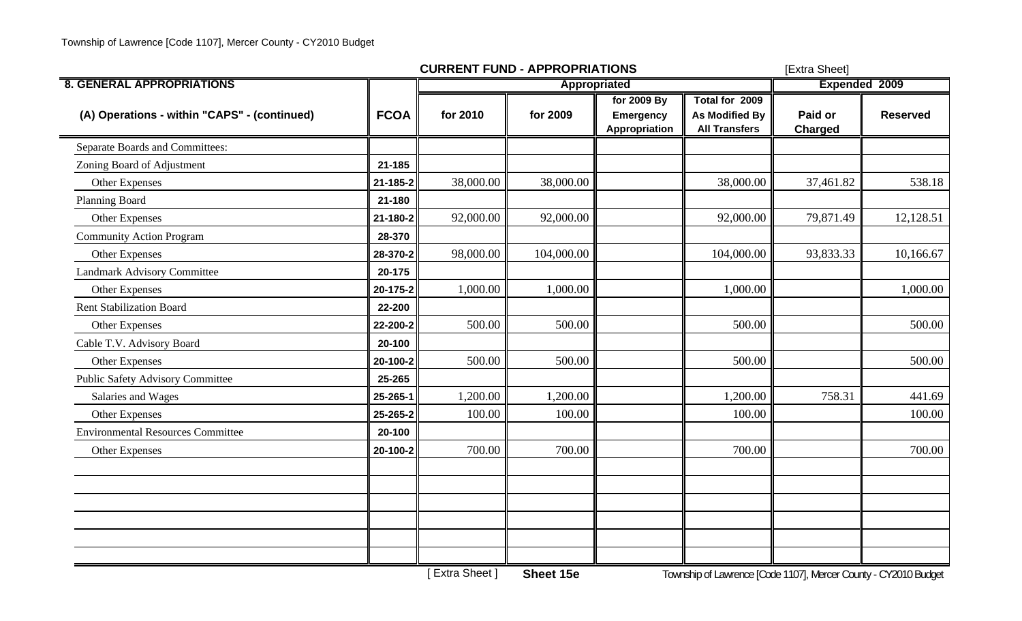|                                              |             | <b>CURRENT FUND - APPROPRIATIONS</b> |               | [Extra Sheet]                             |                                                          |                           |                 |
|----------------------------------------------|-------------|--------------------------------------|---------------|-------------------------------------------|----------------------------------------------------------|---------------------------|-----------------|
| <b>8. GENERAL APPROPRIATIONS</b>             |             |                                      | Expended 2009 |                                           |                                                          |                           |                 |
| (A) Operations - within "CAPS" - (continued) | <b>FCOA</b> | for 2010                             | for 2009      | for 2009 By<br>Emergency<br>Appropriation | Total for 2009<br>As Modified By<br><b>All Transfers</b> | Paid or<br><b>Charged</b> | <b>Reserved</b> |
| Separate Boards and Committees:              |             |                                      |               |                                           |                                                          |                           |                 |
| Zoning Board of Adjustment                   | 21-185      |                                      |               |                                           |                                                          |                           |                 |
| Other Expenses                               | 21-185-2    | 38,000.00                            | 38,000.00     |                                           | 38,000.00                                                | 37,461.82                 | 538.18          |
| Planning Board                               | 21-180      |                                      |               |                                           |                                                          |                           |                 |
| Other Expenses                               | 21-180-2    | 92,000.00                            | 92,000.00     |                                           | 92,000.00                                                | 79,871.49                 | 12,128.51       |
| <b>Community Action Program</b>              | 28-370      |                                      |               |                                           |                                                          |                           |                 |
| Other Expenses                               | 28-370-2    | 98,000.00                            | 104,000.00    |                                           | 104,000.00                                               | 93,833.33                 | 10,166.67       |
| Landmark Advisory Committee                  | 20-175      |                                      |               |                                           |                                                          |                           |                 |
| Other Expenses                               | 20-175-2    | 1,000.00                             | 1,000.00      |                                           | 1,000.00                                                 |                           | 1,000.00        |
| <b>Rent Stabilization Board</b>              | 22-200      |                                      |               |                                           |                                                          |                           |                 |
| Other Expenses                               | 22-200-2    | 500.00                               | 500.00        |                                           | 500.00                                                   |                           | 500.00          |
| Cable T.V. Advisory Board                    | 20-100      |                                      |               |                                           |                                                          |                           |                 |
| Other Expenses                               | 20-100-2    | 500.00                               | 500.00        |                                           | 500.00                                                   |                           | 500.00          |
| <b>Public Safety Advisory Committee</b>      | 25-265      |                                      |               |                                           |                                                          |                           |                 |
| Salaries and Wages                           | 25-265-1    | 1,200.00                             | 1,200.00      |                                           | 1,200.00                                                 | 758.31                    | 441.69          |
| Other Expenses                               | 25-265-2    | 100.00                               | 100.00        |                                           | 100.00                                                   |                           | 100.00          |
| <b>Environmental Resources Committee</b>     | 20-100      |                                      |               |                                           |                                                          |                           |                 |
| Other Expenses                               | 20-100-2    | 700.00                               | 700.00        |                                           | 700.00                                                   |                           | 700.00          |
|                                              |             |                                      |               |                                           |                                                          |                           |                 |
|                                              |             |                                      |               |                                           |                                                          |                           |                 |
|                                              |             |                                      |               |                                           |                                                          |                           |                 |
|                                              |             |                                      |               |                                           |                                                          |                           |                 |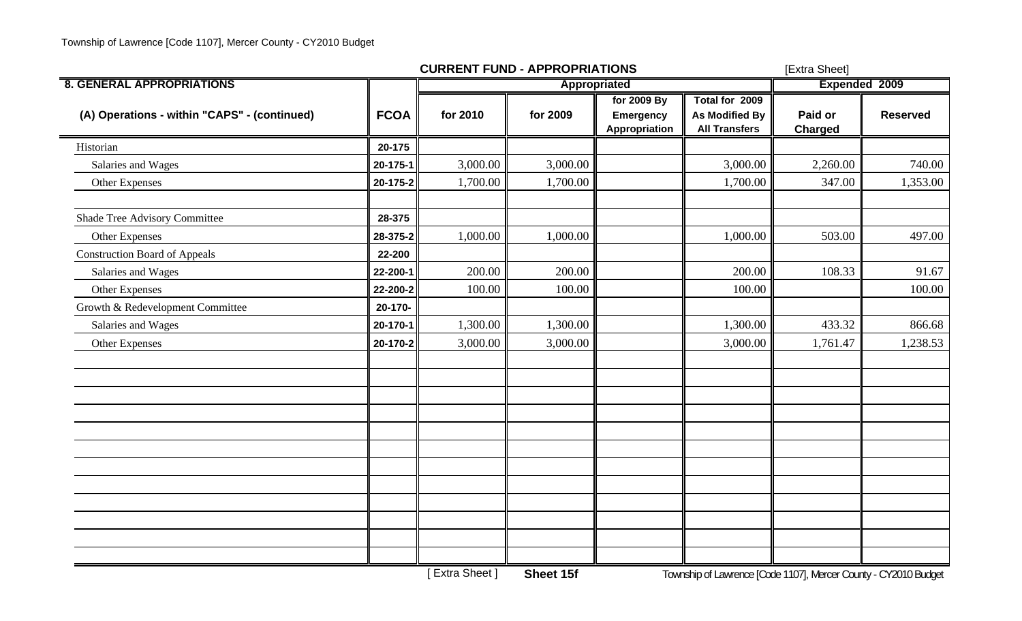|                                              |             | <b>CURRENT FUND - APPROPRIATIONS</b> |              | [Extra Sheet]                             |                                                                 |                           |                 |
|----------------------------------------------|-------------|--------------------------------------|--------------|-------------------------------------------|-----------------------------------------------------------------|---------------------------|-----------------|
| <b>8. GENERAL APPROPRIATIONS</b>             |             |                                      | Appropriated |                                           |                                                                 | <b>Expended 2009</b>      |                 |
| (A) Operations - within "CAPS" - (continued) | <b>FCOA</b> | for 2010                             | for 2009     | for 2009 By<br>Emergency<br>Appropriation | Total for 2009<br><b>As Modified By</b><br><b>All Transfers</b> | Paid or<br><b>Charged</b> | <b>Reserved</b> |
| Historian                                    | 20-175      |                                      |              |                                           |                                                                 |                           |                 |
| Salaries and Wages                           | 20-175-1    | 3,000.00                             | 3,000.00     |                                           | 3,000.00                                                        | 2,260.00                  | 740.00          |
| Other Expenses                               | 20-175-2    | 1,700.00                             | 1,700.00     |                                           | 1,700.00                                                        | 347.00                    | 1,353.00        |
| Shade Tree Advisory Committee                | 28-375      |                                      |              |                                           |                                                                 |                           |                 |
| Other Expenses                               | 28-375-2    | 1,000.00                             | 1,000.00     |                                           | 1,000.00                                                        | 503.00                    | 497.00          |
| <b>Construction Board of Appeals</b>         | 22-200      |                                      |              |                                           |                                                                 |                           |                 |
| Salaries and Wages                           | 22-200-1    | 200.00                               | 200.00       |                                           | 200.00                                                          | 108.33                    | 91.67           |
| Other Expenses                               | 22-200-2    | 100.00                               | 100.00       |                                           | 100.00                                                          |                           | 100.00          |
| Growth & Redevelopment Committee             | 20-170-     |                                      |              |                                           |                                                                 |                           |                 |
| Salaries and Wages                           | 20-170-1    | 1,300.00                             | 1,300.00     |                                           | 1,300.00                                                        | 433.32                    | 866.68          |
| Other Expenses                               | 20-170-2    | 3,000.00                             | 3,000.00     |                                           | 3,000.00                                                        | 1,761.47                  | 1,238.53        |
|                                              |             |                                      |              |                                           |                                                                 |                           |                 |
|                                              |             |                                      |              |                                           |                                                                 |                           |                 |
|                                              |             |                                      |              |                                           |                                                                 |                           |                 |
|                                              |             |                                      |              |                                           |                                                                 |                           |                 |
|                                              |             |                                      |              |                                           |                                                                 |                           |                 |
|                                              |             |                                      |              |                                           |                                                                 |                           |                 |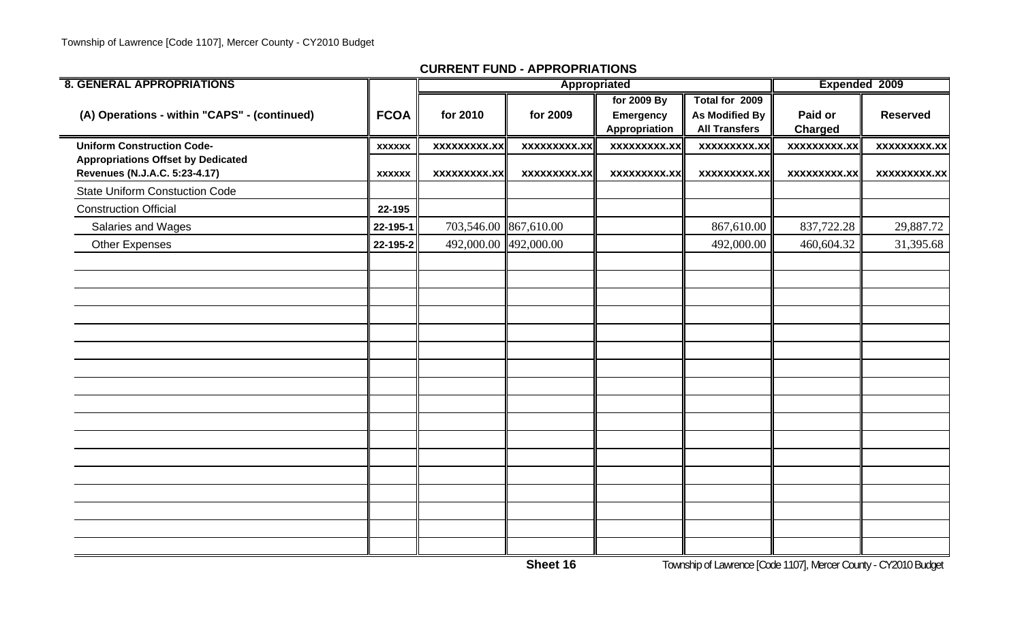| <b>8. GENERAL APPROPRIATIONS</b>                                           |               |                       | Appropriated        |                                                  |                                                                 | Expended 2009             |                     |
|----------------------------------------------------------------------------|---------------|-----------------------|---------------------|--------------------------------------------------|-----------------------------------------------------------------|---------------------------|---------------------|
| (A) Operations - within "CAPS" - (continued)                               | <b>FCOA</b>   | for 2010              | for 2009            | for 2009 By<br><b>Emergency</b><br>Appropriation | Total for 2009<br><b>As Modified By</b><br><b>All Transfers</b> | Paid or<br><b>Charged</b> | <b>Reserved</b>     |
| <b>Uniform Construction Code-</b>                                          | <b>XXXXXX</b> | <b>XXXXXXXXX.XX</b>   | xxxxxxxxx.xx        | xxxxxxxxx.xx                                     | <b>XXXXXXXXX.XX</b>                                             | xxxxxxxxx.xx              | <b>XXXXXXXXX.XX</b> |
| <b>Appropriations Offset by Dedicated</b><br>Revenues (N.J.A.C. 5:23-4.17) | <b>XXXXXX</b> | <b>XXXXXXXXX.XX</b>   | <b>XXXXXXXXX.XX</b> | <b>XXXXXXXXX.XX</b>                              | <b>XXXXXXXXX.XX</b>                                             | <b>XXXXXXXXX.XX</b>       | <b>XXXXXXXXX.XX</b> |
| <b>State Uniform Constuction Code</b>                                      |               |                       |                     |                                                  |                                                                 |                           |                     |
| <b>Construction Official</b>                                               | 22-195        |                       |                     |                                                  |                                                                 |                           |                     |
| Salaries and Wages                                                         | 22-195-1      | 703,546.00 867,610.00 |                     |                                                  | 867,610.00                                                      | 837,722.28                | 29,887.72           |
| Other Expenses                                                             | 22-195-2      | 492,000.00 492,000.00 |                     |                                                  | 492,000.00                                                      | 460,604.32                | 31,395.68           |
|                                                                            |               |                       |                     |                                                  |                                                                 |                           |                     |
|                                                                            |               |                       |                     |                                                  |                                                                 |                           |                     |
|                                                                            |               |                       |                     |                                                  |                                                                 |                           |                     |
|                                                                            |               |                       |                     |                                                  |                                                                 |                           |                     |
|                                                                            |               |                       |                     |                                                  |                                                                 |                           |                     |
|                                                                            |               |                       |                     |                                                  |                                                                 |                           |                     |
|                                                                            |               |                       |                     |                                                  |                                                                 |                           |                     |
|                                                                            |               |                       |                     |                                                  |                                                                 |                           |                     |
|                                                                            |               |                       |                     |                                                  |                                                                 |                           |                     |
|                                                                            |               |                       |                     |                                                  |                                                                 |                           |                     |
|                                                                            |               |                       |                     |                                                  |                                                                 |                           |                     |
|                                                                            |               |                       |                     |                                                  |                                                                 |                           |                     |
|                                                                            |               |                       |                     |                                                  |                                                                 |                           |                     |
|                                                                            |               |                       |                     |                                                  |                                                                 |                           |                     |

**Sheet 16**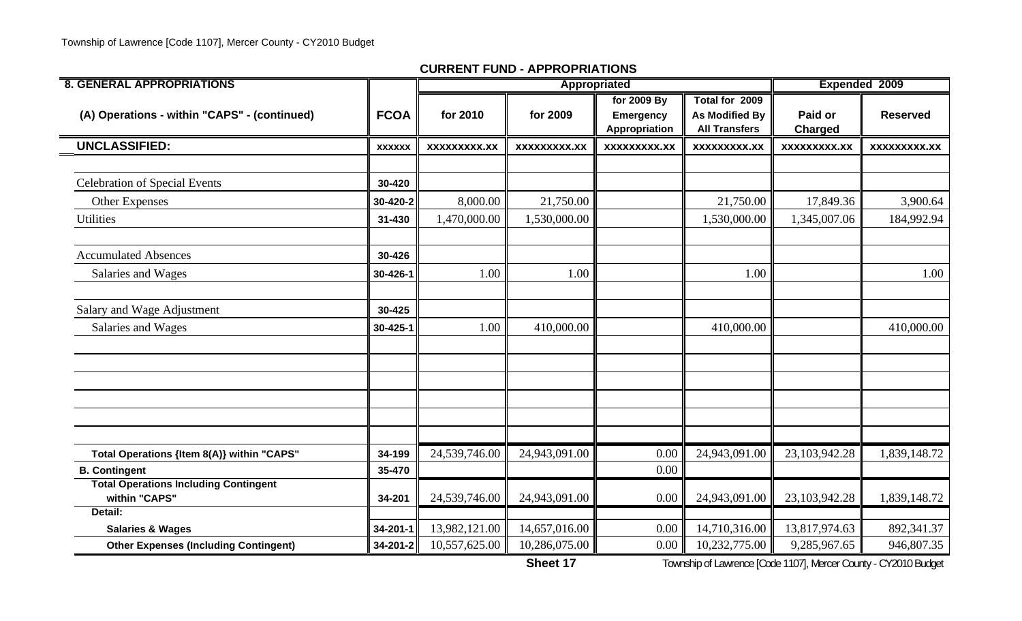| <b>8. GENERAL APPROPRIATIONS</b>                              |                |                     |                     | Appropriated                    |                                         |                    | <b>Expended 2009</b> |
|---------------------------------------------------------------|----------------|---------------------|---------------------|---------------------------------|-----------------------------------------|--------------------|----------------------|
| (A) Operations - within "CAPS" - (continued)                  | <b>FCOA</b>    | for 2010            | for 2009            | for 2009 By<br><b>Emergency</b> | Total for 2009<br><b>As Modified By</b> | Paid or            | <b>Reserved</b>      |
|                                                               |                |                     |                     | Appropriation                   | <b>All Transfers</b>                    | <b>Charged</b>     |                      |
| <b>UNCLASSIFIED:</b>                                          | <b>XXXXXX</b>  | <b>XXXXXXXXX.XX</b> | <b>XXXXXXXXX.XX</b> | <b>XXXXXXXXX.XX</b>             | <b>XXXXXXXXX.XX</b>                     | <b>XXXXXXXX.XX</b> | <b>XXXXXXXXX.XX</b>  |
|                                                               |                |                     |                     |                                 |                                         |                    |                      |
| <b>Celebration of Special Events</b>                          | 30-420         |                     |                     |                                 |                                         |                    |                      |
| <b>Other Expenses</b>                                         | 30-420-2       | 8,000.00            | 21,750.00           |                                 | 21,750.00                               | 17,849.36          | 3,900.64             |
| <b>Utilities</b>                                              | 31-430         | 1,470,000.00        | 1,530,000.00        |                                 | 1,530,000.00                            | 1,345,007.06       | 184,992.94           |
| <b>Accumulated Absences</b>                                   | 30-426         |                     |                     |                                 |                                         |                    |                      |
| Salaries and Wages                                            | 30-426-1       | 1.00                | 1.00                |                                 | 1.00                                    |                    | 1.00                 |
| Salary and Wage Adjustment                                    | 30-425         |                     |                     |                                 |                                         |                    |                      |
| Salaries and Wages                                            | $30 - 425 - 1$ | 1.00                | 410,000.00          |                                 | 410,000.00                              |                    | 410,000.00           |
|                                                               |                |                     |                     |                                 |                                         |                    |                      |
|                                                               |                |                     |                     |                                 |                                         |                    |                      |
|                                                               |                |                     |                     |                                 |                                         |                    |                      |
|                                                               |                |                     |                     |                                 |                                         |                    |                      |
| Total Operations {Item 8(A)} within "CAPS"                    | 34-199         | 24,539,746.00       | 24,943,091.00       | 0.00                            | 24,943,091.00                           | 23,103,942.28      | 1,839,148.72         |
| <b>B. Contingent</b>                                          | 35-470         |                     |                     | 0.00                            |                                         |                    |                      |
| <b>Total Operations Including Contingent</b><br>within "CAPS" | 34-201         | 24,539,746.00       | 24,943,091.00       | 0.00                            | 24,943,091.00                           | 23,103,942.28      | 1,839,148.72         |
| Detail:                                                       |                |                     |                     |                                 |                                         |                    |                      |
| <b>Salaries &amp; Wages</b>                                   | 34-201-1       | 13,982,121.00       | 14,657,016.00       | 0.00                            | 14,710,316.00                           | 13,817,974.63      | 892,341.37           |
| <b>Other Expenses (Including Contingent)</b>                  | 34-201-2       | 10,557,625.00       | 10,286,075.00       | 0.00                            | 10,232,775.00                           | 9,285,967.65       | 946,807.35           |

**Sheet 17**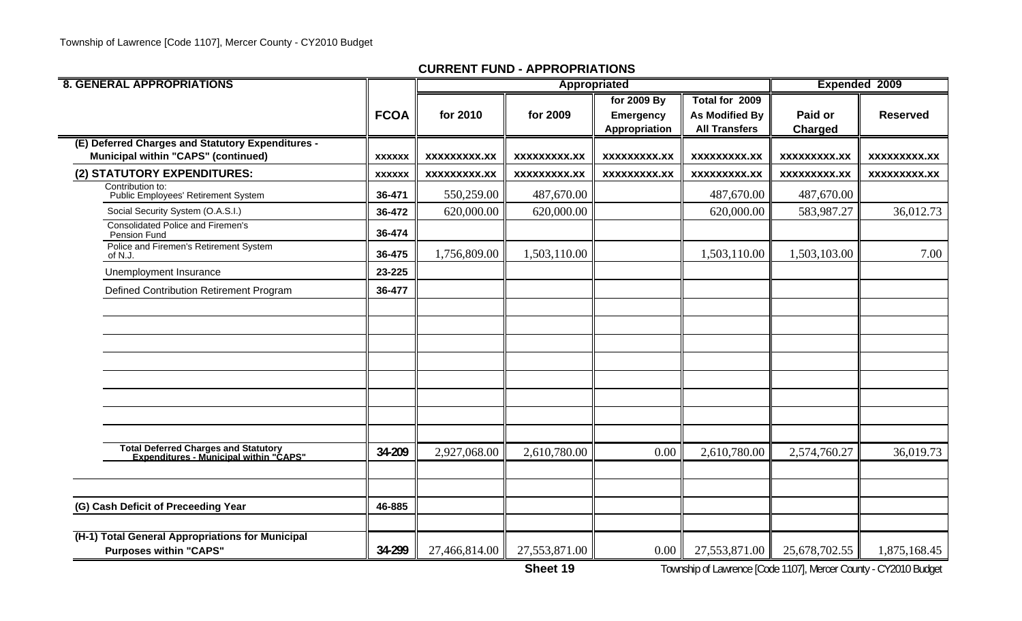| <b>8. GENERAL APPROPRIATIONS</b>                                                         |               |                     |                     | Appropriated                                     |                                                          |                           | <b>Expended 2009</b> |
|------------------------------------------------------------------------------------------|---------------|---------------------|---------------------|--------------------------------------------------|----------------------------------------------------------|---------------------------|----------------------|
|                                                                                          | <b>FCOA</b>   | for 2010            | for 2009            | for 2009 By<br><b>Emergency</b><br>Appropriation | Total for 2009<br>As Modified By<br><b>All Transfers</b> | Paid or<br><b>Charged</b> | <b>Reserved</b>      |
| (E) Deferred Charges and Statutory Expenditures -<br>Municipal within "CAPS" (continued) | <b>XXXXXX</b> | XXXXXXXXX.XX        | XXXXXXXXX.XX        | <b>XXXXXXXXX.XX</b>                              | <b>XXXXXXXXX.XX</b>                                      | XXXXXXXXX.XX              | <b>XXXXXXXXX.XX</b>  |
| (2) STATUTORY EXPENDITURES:                                                              | <b>XXXXXX</b> | <b>XXXXXXXXX.XX</b> | <b>XXXXXXXXX.XX</b> | <b>XXXXXXXXX.XX</b>                              | XXXXXXXXX.XX                                             | <b>XXXXXXXXX.XX</b>       | XXXXXXXXX.XX         |
| Contribution to:<br>Public Employees' Retirement System                                  | 36-471        | 550,259.00          | 487,670.00          |                                                  | 487,670.00                                               | 487,670.00                |                      |
| Social Security System (O.A.S.I.)                                                        | 36-472        | 620,000.00          | 620,000.00          |                                                  | 620,000.00                                               | 583,987.27                | 36,012.73            |
| <b>Consolidated Police and Firemen's</b><br>Pension Fund                                 | 36-474        |                     |                     |                                                  |                                                          |                           |                      |
| Police and Firemen's Retirement System<br>of N.J.                                        | 36-475        | 1,756,809.00        | 1,503,110.00        |                                                  | 1,503,110.00                                             | 1,503,103.00              | 7.00                 |
| Unemployment Insurance                                                                   | 23-225        |                     |                     |                                                  |                                                          |                           |                      |
| Defined Contribution Retirement Program                                                  | 36-477        |                     |                     |                                                  |                                                          |                           |                      |
|                                                                                          |               |                     |                     |                                                  |                                                          |                           |                      |
|                                                                                          |               |                     |                     |                                                  |                                                          |                           |                      |
|                                                                                          |               |                     |                     |                                                  |                                                          |                           |                      |
|                                                                                          |               |                     |                     |                                                  |                                                          |                           |                      |
|                                                                                          |               |                     |                     |                                                  |                                                          |                           |                      |
| Total Deferred Charges and Statutory<br>Expenditures - Municipal within "CAPS"           | 34-209        | 2,927,068.00        | 2,610,780.00        | 0.00                                             | 2,610,780.00                                             | 2,574,760.27              | 36,019.73            |
|                                                                                          |               |                     |                     |                                                  |                                                          |                           |                      |
| (G) Cash Deficit of Preceeding Year                                                      | 46-885        |                     |                     |                                                  |                                                          |                           |                      |
| (H-1) Total General Appropriations for Municipal<br><b>Purposes within "CAPS"</b>        | 34-299        | 27,466,814.00       | 27,553,871.00       | 0.00                                             | 27,553,871.00                                            | 25,678,702.55             | 1,875,168.45         |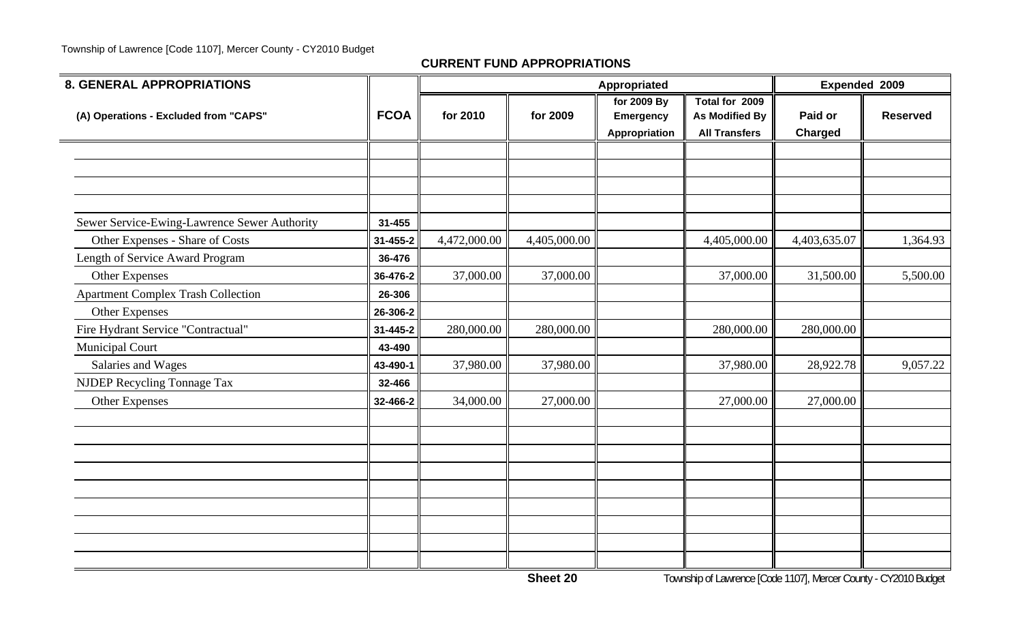| <b>8. GENERAL APPROPRIATIONS</b>                                                |                      |              | Appropriated | Expended 2009                                    |                                                                 |                           |                 |
|---------------------------------------------------------------------------------|----------------------|--------------|--------------|--------------------------------------------------|-----------------------------------------------------------------|---------------------------|-----------------|
| (A) Operations - Excluded from "CAPS"                                           | <b>FCOA</b>          | for 2010     | for 2009     | for 2009 By<br><b>Emergency</b><br>Appropriation | Total for 2009<br><b>As Modified By</b><br><b>All Transfers</b> | Paid or<br><b>Charged</b> | <b>Reserved</b> |
|                                                                                 |                      |              |              |                                                  |                                                                 |                           |                 |
| Sewer Service-Ewing-Lawrence Sewer Authority<br>Other Expenses - Share of Costs | 31-455<br>31-455-2   | 4,472,000.00 | 4,405,000.00 |                                                  | 4,405,000.00                                                    | 4,403,635.07              | 1,364.93        |
| Length of Service Award Program                                                 | 36-476               |              |              |                                                  |                                                                 |                           |                 |
| Other Expenses<br><b>Apartment Complex Trash Collection</b>                     | 36-476-2<br>26-306   | 37,000.00    | 37,000.00    |                                                  | 37,000.00                                                       | 31,500.00                 | 5,500.00        |
| Other Expenses<br>Fire Hydrant Service "Contractual"                            | 26-306-2<br>31-445-2 | 280,000.00   | 280,000.00   |                                                  | 280,000.00                                                      | 280,000.00                |                 |
| <b>Municipal Court</b><br>Salaries and Wages                                    | 43-490<br>43-490-1   | 37,980.00    | 37,980.00    |                                                  | 37,980.00                                                       | 28,922.78                 | 9,057.22        |
| NJDEP Recycling Tonnage Tax<br>Other Expenses                                   | 32-466<br>32-466-2   | 34,000.00    | 27,000.00    |                                                  | 27,000.00                                                       | 27,000.00                 |                 |
|                                                                                 |                      |              |              |                                                  |                                                                 |                           |                 |
|                                                                                 |                      |              |              |                                                  |                                                                 |                           |                 |
|                                                                                 |                      |              |              |                                                  |                                                                 |                           |                 |
|                                                                                 |                      |              |              |                                                  |                                                                 |                           |                 |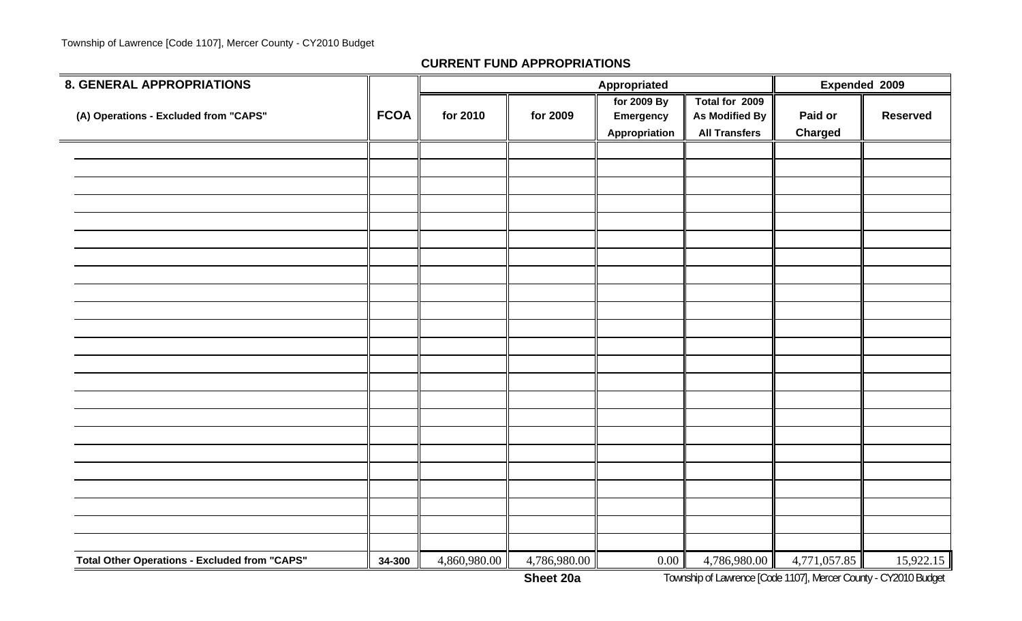| <b>8. GENERAL APPROPRIATIONS</b>                     |             |              |              | Appropriated     |                       | Expended 2009  |                 |  |
|------------------------------------------------------|-------------|--------------|--------------|------------------|-----------------------|----------------|-----------------|--|
|                                                      | <b>FCOA</b> |              | for 2009     | for 2009 By      | Total for 2009        | Paid or        | <b>Reserved</b> |  |
| (A) Operations - Excluded from "CAPS"                |             | for 2010     |              | <b>Emergency</b> | <b>As Modified By</b> |                |                 |  |
|                                                      |             |              |              | Appropriation    | <b>All Transfers</b>  | <b>Charged</b> |                 |  |
|                                                      |             |              |              |                  |                       |                |                 |  |
|                                                      |             |              |              |                  |                       |                |                 |  |
|                                                      |             |              |              |                  |                       |                |                 |  |
|                                                      |             |              |              |                  |                       |                |                 |  |
|                                                      |             |              |              |                  |                       |                |                 |  |
|                                                      |             |              |              |                  |                       |                |                 |  |
|                                                      |             |              |              |                  |                       |                |                 |  |
|                                                      |             |              |              |                  |                       |                |                 |  |
|                                                      |             |              |              |                  |                       |                |                 |  |
|                                                      |             |              |              |                  |                       |                |                 |  |
|                                                      |             |              |              |                  |                       |                |                 |  |
|                                                      |             |              |              |                  |                       |                |                 |  |
|                                                      |             |              |              |                  |                       |                |                 |  |
|                                                      |             |              |              |                  |                       |                |                 |  |
|                                                      |             |              |              |                  |                       |                |                 |  |
|                                                      |             |              |              |                  |                       |                |                 |  |
|                                                      |             |              |              |                  |                       |                |                 |  |
|                                                      |             |              |              |                  |                       |                |                 |  |
|                                                      |             |              |              |                  |                       |                |                 |  |
|                                                      |             |              |              |                  |                       |                |                 |  |
|                                                      |             |              |              |                  |                       |                |                 |  |
|                                                      |             |              |              |                  |                       |                |                 |  |
|                                                      |             |              |              |                  |                       |                |                 |  |
|                                                      |             |              |              |                  |                       |                |                 |  |
| <b>Total Other Operations - Excluded from "CAPS"</b> | 34-300      | 4,860,980.00 | 4,786,980.00 | 0.00             | 4,786,980.00          | 4,771,057.85   | 15,922.15       |  |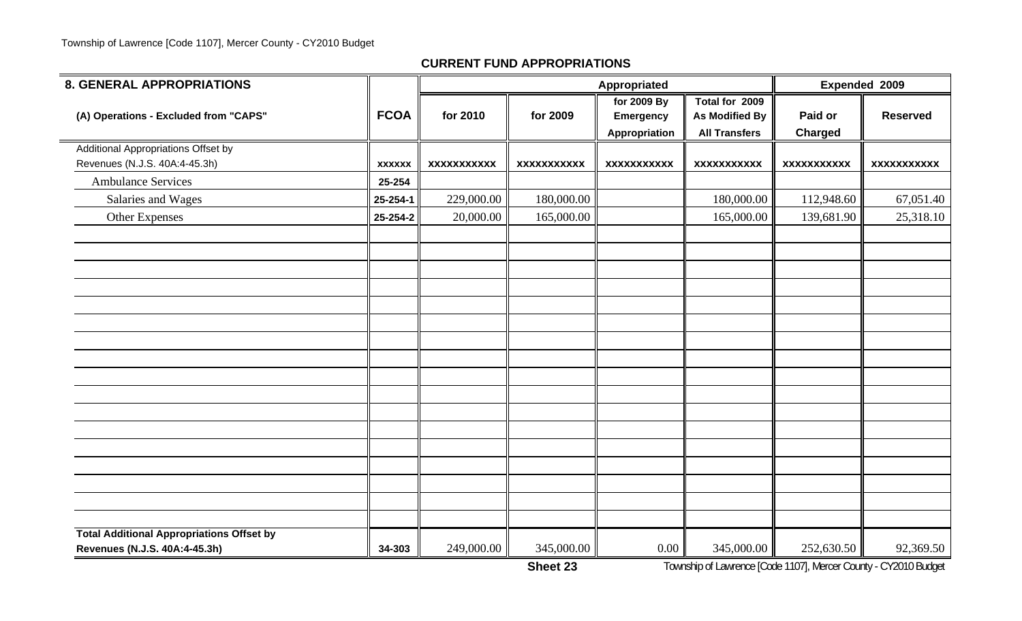| <b>8. GENERAL APPROPRIATIONS</b>                                                  |               |                    |                    | Appropriated                                     |                                                                 | Expended 2009             |                    |
|-----------------------------------------------------------------------------------|---------------|--------------------|--------------------|--------------------------------------------------|-----------------------------------------------------------------|---------------------------|--------------------|
| (A) Operations - Excluded from "CAPS"                                             | <b>FCOA</b>   | for 2010           | for 2009           | for 2009 By<br><b>Emergency</b><br>Appropriation | Total for 2009<br><b>As Modified By</b><br><b>All Transfers</b> | Paid or<br><b>Charged</b> | <b>Reserved</b>    |
| Additional Appropriations Offset by                                               |               |                    |                    |                                                  |                                                                 |                           |                    |
| Revenues (N.J.S. 40A:4-45.3h)                                                     | <b>XXXXXX</b> | <b>XXXXXXXXXXX</b> | <b>XXXXXXXXXXX</b> | <b>XXXXXXXXXXX</b>                               | <b>XXXXXXXXXXX</b>                                              | <b>XXXXXXXXXXX</b>        | <b>XXXXXXXXXXX</b> |
| <b>Ambulance Services</b>                                                         | 25-254        |                    |                    |                                                  |                                                                 |                           |                    |
| Salaries and Wages                                                                | 25-254-1      | 229,000.00         | 180,000.00         |                                                  | 180,000.00                                                      | 112,948.60                | 67,051.40          |
| Other Expenses                                                                    | 25-254-2      | 20,000.00          | 165,000.00         |                                                  | 165,000.00                                                      | 139,681.90                | 25,318.10          |
|                                                                                   |               |                    |                    |                                                  |                                                                 |                           |                    |
|                                                                                   |               |                    |                    |                                                  |                                                                 |                           |                    |
|                                                                                   |               |                    |                    |                                                  |                                                                 |                           |                    |
|                                                                                   |               |                    |                    |                                                  |                                                                 |                           |                    |
|                                                                                   |               |                    |                    |                                                  |                                                                 |                           |                    |
|                                                                                   |               |                    |                    |                                                  |                                                                 |                           |                    |
|                                                                                   |               |                    |                    |                                                  |                                                                 |                           |                    |
|                                                                                   |               |                    |                    |                                                  |                                                                 |                           |                    |
|                                                                                   |               |                    |                    |                                                  |                                                                 |                           |                    |
|                                                                                   |               |                    |                    |                                                  |                                                                 |                           |                    |
|                                                                                   |               |                    |                    |                                                  |                                                                 |                           |                    |
| <b>Total Additional Appropriations Offset by</b><br>Revenues (N.J.S. 40A:4-45.3h) | 34-303        | 249,000.00         | 345,000.00         | $0.00\,$                                         | 345,000.00                                                      | 252,630.50                | 92,369.50          |

**Sheet 23**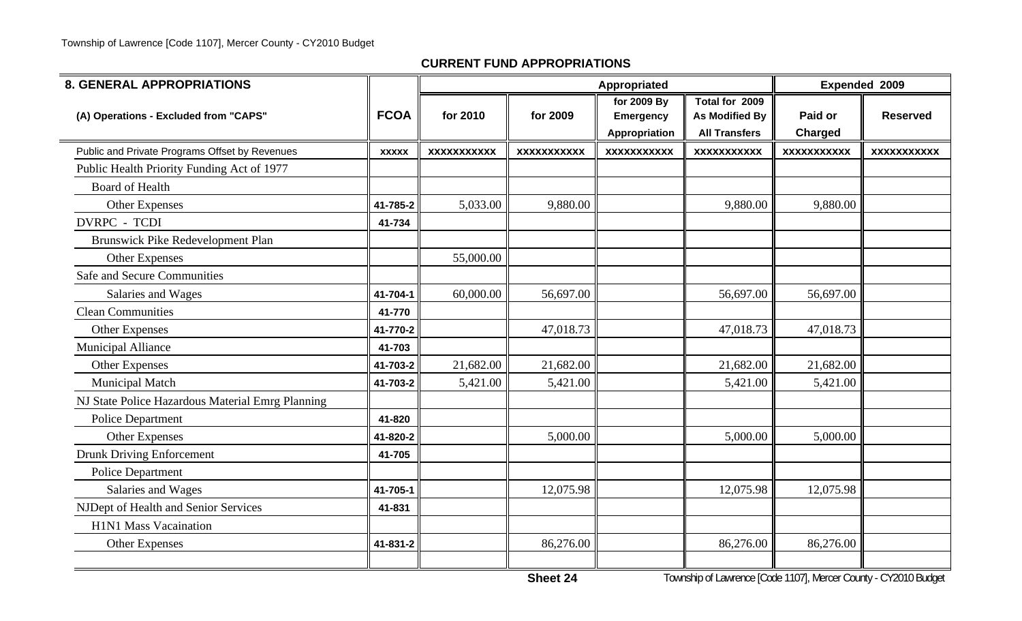| <b>8. GENERAL APPROPRIATIONS</b>                 |              |                    |                    | Appropriated                                     |                                                          | Expended 2009             |                    |
|--------------------------------------------------|--------------|--------------------|--------------------|--------------------------------------------------|----------------------------------------------------------|---------------------------|--------------------|
| (A) Operations - Excluded from "CAPS"            | <b>FCOA</b>  | for 2010           | for 2009           | for 2009 By<br><b>Emergency</b><br>Appropriation | Total for 2009<br>As Modified By<br><b>All Transfers</b> | Paid or<br><b>Charged</b> | <b>Reserved</b>    |
| Public and Private Programs Offset by Revenues   | <b>XXXXX</b> | <b>XXXXXXXXXXX</b> | <b>XXXXXXXXXXX</b> | <b>XXXXXXXXXXX</b>                               | <b>XXXXXXXXXXX</b>                                       | <b>XXXXXXXXXXX</b>        | <b>XXXXXXXXXXX</b> |
| Public Health Priority Funding Act of 1977       |              |                    |                    |                                                  |                                                          |                           |                    |
| <b>Board of Health</b>                           |              |                    |                    |                                                  |                                                          |                           |                    |
| <b>Other Expenses</b>                            | 41-785-2     | 5,033.00           | 9,880.00           |                                                  | 9,880.00                                                 | 9,880.00                  |                    |
| <b>DVRPC - TCDI</b>                              | 41-734       |                    |                    |                                                  |                                                          |                           |                    |
| Brunswick Pike Redevelopment Plan                |              |                    |                    |                                                  |                                                          |                           |                    |
| <b>Other Expenses</b>                            |              | 55,000.00          |                    |                                                  |                                                          |                           |                    |
| <b>Safe and Secure Communities</b>               |              |                    |                    |                                                  |                                                          |                           |                    |
| Salaries and Wages                               | 41-704-1     | 60,000.00          | 56,697.00          |                                                  | 56,697.00                                                | 56,697.00                 |                    |
| <b>Clean Communities</b>                         | 41-770       |                    |                    |                                                  |                                                          |                           |                    |
| <b>Other Expenses</b>                            | 41-770-2     |                    | 47,018.73          |                                                  | 47,018.73                                                | 47,018.73                 |                    |
| <b>Municipal Alliance</b>                        | 41-703       |                    |                    |                                                  |                                                          |                           |                    |
| <b>Other Expenses</b>                            | 41-703-2     | 21,682.00          | 21,682.00          |                                                  | 21,682.00                                                | 21,682.00                 |                    |
| <b>Municipal Match</b>                           | 41-703-2     | 5,421.00           | 5,421.00           |                                                  | 5,421.00                                                 | 5,421.00                  |                    |
| NJ State Police Hazardous Material Emrg Planning |              |                    |                    |                                                  |                                                          |                           |                    |
| Police Department                                | 41-820       |                    |                    |                                                  |                                                          |                           |                    |
| <b>Other Expenses</b>                            | 41-820-2     |                    | 5,000.00           |                                                  | 5,000.00                                                 | 5,000.00                  |                    |
| <b>Drunk Driving Enforcement</b>                 | 41-705       |                    |                    |                                                  |                                                          |                           |                    |
| <b>Police Department</b>                         |              |                    |                    |                                                  |                                                          |                           |                    |
| Salaries and Wages                               | 41-705-1     |                    | 12,075.98          |                                                  | 12,075.98                                                | 12,075.98                 |                    |
| NJDept of Health and Senior Services             | 41-831       |                    |                    |                                                  |                                                          |                           |                    |
| <b>H1N1 Mass Vacaination</b>                     |              |                    |                    |                                                  |                                                          |                           |                    |
| <b>Other Expenses</b>                            | 41-831-2     |                    | 86,276.00          |                                                  | 86,276.00                                                | 86,276.00                 |                    |
|                                                  |              |                    |                    |                                                  |                                                          |                           |                    |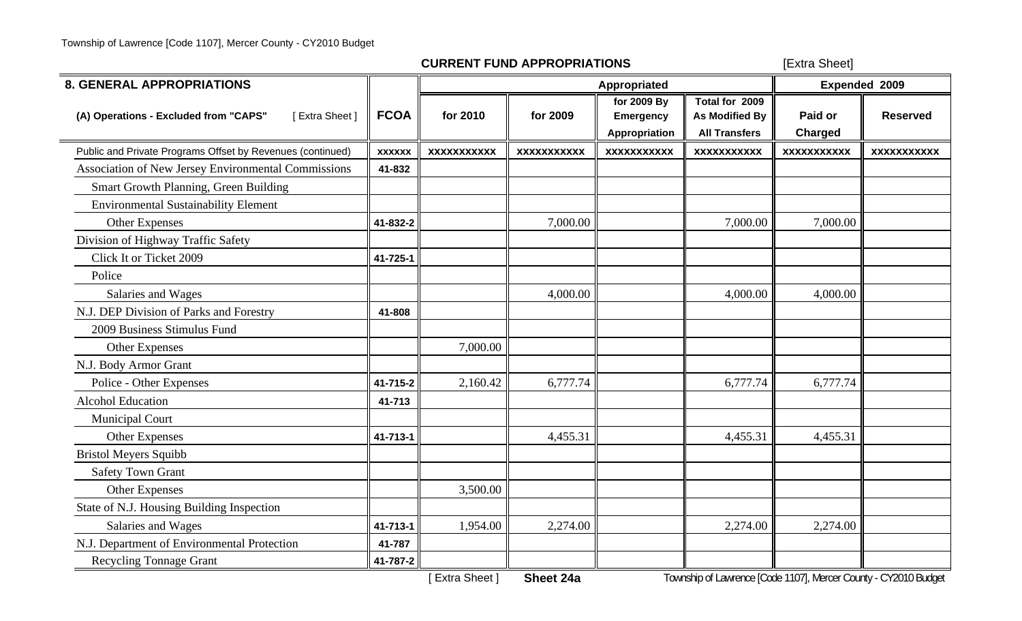[Extra Sheet]

| <b>8. GENERAL APPROPRIATIONS</b>                           |               |                    |                    | Appropriated                                     |                                                                 | Expended 2009             |                    |  |
|------------------------------------------------------------|---------------|--------------------|--------------------|--------------------------------------------------|-----------------------------------------------------------------|---------------------------|--------------------|--|
| [Extra Sheet]<br>(A) Operations - Excluded from "CAPS"     | <b>FCOA</b>   | for 2010           | for 2009           | for 2009 By<br><b>Emergency</b><br>Appropriation | Total for 2009<br><b>As Modified By</b><br><b>All Transfers</b> | Paid or<br><b>Charged</b> | <b>Reserved</b>    |  |
| Public and Private Programs Offset by Revenues (continued) | <b>XXXXXX</b> | <b>XXXXXXXXXXX</b> | <b>XXXXXXXXXXX</b> | <b>XXXXXXXXXXX</b>                               | <b>XXXXXXXXXXX</b>                                              | <b>XXXXXXXXXXX</b>        | <b>XXXXXXXXXXX</b> |  |
| Association of New Jersey Environmental Commissions        | 41-832        |                    |                    |                                                  |                                                                 |                           |                    |  |
| Smart Growth Planning, Green Building                      |               |                    |                    |                                                  |                                                                 |                           |                    |  |
| <b>Environmental Sustainability Element</b>                |               |                    |                    |                                                  |                                                                 |                           |                    |  |
| <b>Other Expenses</b>                                      | 41-832-2      |                    | 7,000.00           |                                                  | 7,000.00                                                        | 7,000.00                  |                    |  |
| Division of Highway Traffic Safety                         |               |                    |                    |                                                  |                                                                 |                           |                    |  |
| Click It or Ticket 2009                                    | 41-725-1      |                    |                    |                                                  |                                                                 |                           |                    |  |
| Police                                                     |               |                    |                    |                                                  |                                                                 |                           |                    |  |
| Salaries and Wages                                         |               |                    | 4,000.00           |                                                  | 4,000.00                                                        | 4,000.00                  |                    |  |
| N.J. DEP Division of Parks and Forestry                    | 41-808        |                    |                    |                                                  |                                                                 |                           |                    |  |
| 2009 Business Stimulus Fund                                |               |                    |                    |                                                  |                                                                 |                           |                    |  |
| <b>Other Expenses</b>                                      |               | 7,000.00           |                    |                                                  |                                                                 |                           |                    |  |
| N.J. Body Armor Grant                                      |               |                    |                    |                                                  |                                                                 |                           |                    |  |
| Police - Other Expenses                                    | 41-715-2      | 2,160.42           | 6,777.74           |                                                  | 6,777.74                                                        | 6,777.74                  |                    |  |
| <b>Alcohol Education</b>                                   | 41-713        |                    |                    |                                                  |                                                                 |                           |                    |  |
| <b>Municipal Court</b>                                     |               |                    |                    |                                                  |                                                                 |                           |                    |  |
| Other Expenses                                             | 41-713-1      |                    | 4,455.31           |                                                  | 4,455.31                                                        | 4,455.31                  |                    |  |
| <b>Bristol Meyers Squibb</b>                               |               |                    |                    |                                                  |                                                                 |                           |                    |  |
| <b>Safety Town Grant</b>                                   |               |                    |                    |                                                  |                                                                 |                           |                    |  |
| Other Expenses                                             |               | 3,500.00           |                    |                                                  |                                                                 |                           |                    |  |
| State of N.J. Housing Building Inspection                  |               |                    |                    |                                                  |                                                                 |                           |                    |  |
| Salaries and Wages                                         | 41-713-1      | 1,954.00           | 2,274.00           |                                                  | 2,274.00                                                        | 2,274.00                  |                    |  |
| N.J. Department of Environmental Protection                | 41-787        |                    |                    |                                                  |                                                                 |                           |                    |  |
| <b>Recycling Tonnage Grant</b>                             | 41-787-2      |                    |                    |                                                  |                                                                 |                           |                    |  |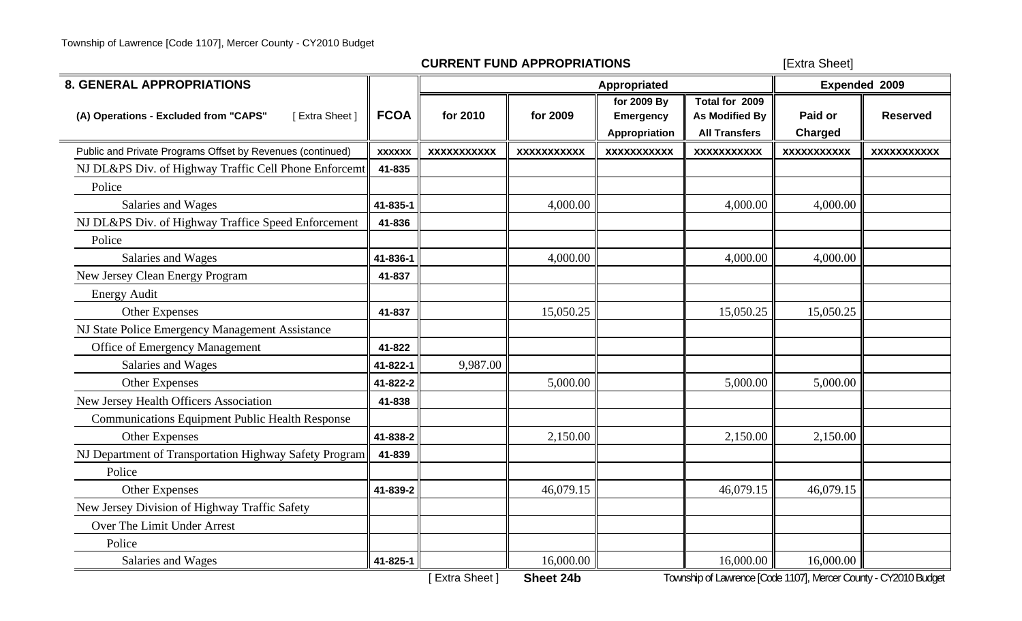[Extra Sheet]

| <b>8. GENERAL APPROPRIATIONS</b>                           |               |                    |                    | Appropriated                                     |                                                                 |                           | Expended 2009      |
|------------------------------------------------------------|---------------|--------------------|--------------------|--------------------------------------------------|-----------------------------------------------------------------|---------------------------|--------------------|
| [Extra Sheet]<br>(A) Operations - Excluded from "CAPS"     | <b>FCOA</b>   | for 2010           | for 2009           | for 2009 By<br><b>Emergency</b><br>Appropriation | Total for 2009<br><b>As Modified By</b><br><b>All Transfers</b> | Paid or<br><b>Charged</b> | <b>Reserved</b>    |
| Public and Private Programs Offset by Revenues (continued) | <b>XXXXXX</b> | <b>XXXXXXXXXXX</b> | <b>XXXXXXXXXXX</b> | <b>XXXXXXXXXXX</b>                               | <b>XXXXXXXXXXX</b>                                              | <b>XXXXXXXXXXX</b>        | <b>XXXXXXXXXXX</b> |
| NJ DL&PS Div. of Highway Traffic Cell Phone Enforcemt      | 41-835        |                    |                    |                                                  |                                                                 |                           |                    |
| Police                                                     |               |                    |                    |                                                  |                                                                 |                           |                    |
| Salaries and Wages                                         | 41-835-1      |                    | 4,000.00           |                                                  | 4,000.00                                                        | 4,000.00                  |                    |
| NJ DL&PS Div. of Highway Traffice Speed Enforcement        | 41-836        |                    |                    |                                                  |                                                                 |                           |                    |
| Police                                                     |               |                    |                    |                                                  |                                                                 |                           |                    |
| Salaries and Wages                                         | 41-836-1      |                    | 4,000.00           |                                                  | 4,000.00                                                        | 4,000.00                  |                    |
| New Jersey Clean Energy Program                            | 41-837        |                    |                    |                                                  |                                                                 |                           |                    |
| <b>Energy Audit</b>                                        |               |                    |                    |                                                  |                                                                 |                           |                    |
| Other Expenses                                             | 41-837        |                    | 15,050.25          |                                                  | 15,050.25                                                       | 15,050.25                 |                    |
| NJ State Police Emergency Management Assistance            |               |                    |                    |                                                  |                                                                 |                           |                    |
| Office of Emergency Management                             | 41-822        |                    |                    |                                                  |                                                                 |                           |                    |
| Salaries and Wages                                         | 41-822-1      | 9,987.00           |                    |                                                  |                                                                 |                           |                    |
| Other Expenses                                             | 41-822-2      |                    | 5,000.00           |                                                  | 5,000.00                                                        | 5,000.00                  |                    |
| New Jersey Health Officers Association                     | 41-838        |                    |                    |                                                  |                                                                 |                           |                    |
| <b>Communications Equipment Public Health Response</b>     |               |                    |                    |                                                  |                                                                 |                           |                    |
| Other Expenses                                             | 41-838-2      |                    | 2,150.00           |                                                  | 2,150.00                                                        | 2,150.00                  |                    |
| NJ Department of Transportation Highway Safety Program     | 41-839        |                    |                    |                                                  |                                                                 |                           |                    |
| Police                                                     |               |                    |                    |                                                  |                                                                 |                           |                    |
| Other Expenses                                             | 41-839-2      |                    | 46,079.15          |                                                  | 46,079.15                                                       | 46,079.15                 |                    |
| New Jersey Division of Highway Traffic Safety              |               |                    |                    |                                                  |                                                                 |                           |                    |
| Over The Limit Under Arrest                                |               |                    |                    |                                                  |                                                                 |                           |                    |
| Police                                                     |               |                    |                    |                                                  |                                                                 |                           |                    |
| Salaries and Wages                                         | 41-825-1      |                    | 16,000.00          |                                                  | 16,000.00                                                       | 16,000.00                 |                    |

[ Extra Sheet ] **Sheet 24b** Township of Lawrence [Code 1107], Mercer County - CY2010 Budget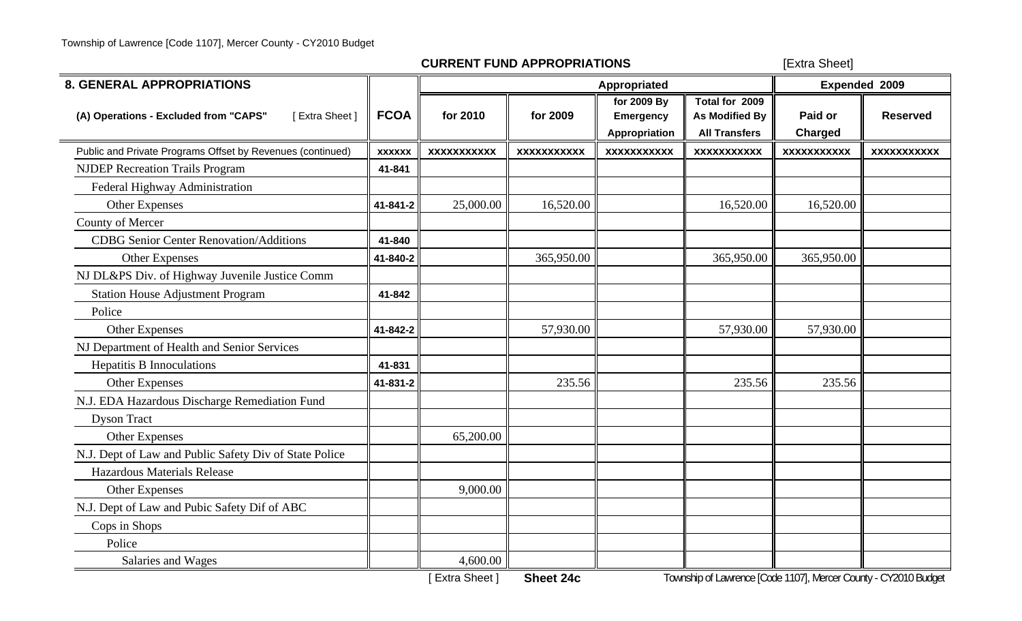[Extra Sheet]

| <b>8. GENERAL APPROPRIATIONS</b>                           |               |                    |                    | Appropriated                                     |                                                                 | Expended 2009             |                    |  |
|------------------------------------------------------------|---------------|--------------------|--------------------|--------------------------------------------------|-----------------------------------------------------------------|---------------------------|--------------------|--|
| [Extra Sheet]<br>(A) Operations - Excluded from "CAPS"     | <b>FCOA</b>   | for 2010           | for 2009           | for 2009 By<br><b>Emergency</b><br>Appropriation | Total for 2009<br><b>As Modified By</b><br><b>All Transfers</b> | Paid or<br><b>Charged</b> | <b>Reserved</b>    |  |
| Public and Private Programs Offset by Revenues (continued) | <b>XXXXXX</b> | <b>XXXXXXXXXXX</b> | <b>XXXXXXXXXXX</b> | <b>XXXXXXXXXXX</b>                               | <b>XXXXXXXXXXX</b>                                              | <b>XXXXXXXXXXX</b>        | <b>XXXXXXXXXXX</b> |  |
| <b>NJDEP Recreation Trails Program</b>                     | 41-841        |                    |                    |                                                  |                                                                 |                           |                    |  |
| Federal Highway Administration                             |               |                    |                    |                                                  |                                                                 |                           |                    |  |
| Other Expenses                                             | 41-841-2      | 25,000.00          | 16,520.00          |                                                  | 16,520.00                                                       | 16,520.00                 |                    |  |
| County of Mercer                                           |               |                    |                    |                                                  |                                                                 |                           |                    |  |
| <b>CDBG</b> Senior Center Renovation/Additions             | 41-840        |                    |                    |                                                  |                                                                 |                           |                    |  |
| <b>Other Expenses</b>                                      | 41-840-2      |                    | 365,950.00         |                                                  | 365,950.00                                                      | 365,950.00                |                    |  |
| NJ DL&PS Div. of Highway Juvenile Justice Comm             |               |                    |                    |                                                  |                                                                 |                           |                    |  |
| <b>Station House Adjustment Program</b>                    | 41-842        |                    |                    |                                                  |                                                                 |                           |                    |  |
| Police                                                     |               |                    |                    |                                                  |                                                                 |                           |                    |  |
| Other Expenses                                             | 41-842-2      |                    | 57,930.00          |                                                  | 57,930.00                                                       | 57,930.00                 |                    |  |
| NJ Department of Health and Senior Services                |               |                    |                    |                                                  |                                                                 |                           |                    |  |
| <b>Hepatitis B Innoculations</b>                           | 41-831        |                    |                    |                                                  |                                                                 |                           |                    |  |
| Other Expenses                                             | 41-831-2      |                    | 235.56             |                                                  | 235.56                                                          | 235.56                    |                    |  |
| N.J. EDA Hazardous Discharge Remediation Fund              |               |                    |                    |                                                  |                                                                 |                           |                    |  |
| <b>Dyson Tract</b>                                         |               |                    |                    |                                                  |                                                                 |                           |                    |  |
| Other Expenses                                             |               | 65,200.00          |                    |                                                  |                                                                 |                           |                    |  |
| N.J. Dept of Law and Public Safety Div of State Police     |               |                    |                    |                                                  |                                                                 |                           |                    |  |
| <b>Hazardous Materials Release</b>                         |               |                    |                    |                                                  |                                                                 |                           |                    |  |
| <b>Other Expenses</b>                                      |               | 9,000.00           |                    |                                                  |                                                                 |                           |                    |  |
| N.J. Dept of Law and Pubic Safety Dif of ABC               |               |                    |                    |                                                  |                                                                 |                           |                    |  |
| Cops in Shops                                              |               |                    |                    |                                                  |                                                                 |                           |                    |  |
| Police                                                     |               |                    |                    |                                                  |                                                                 |                           |                    |  |
| Salaries and Wages                                         |               | 4,600.00           |                    |                                                  |                                                                 |                           |                    |  |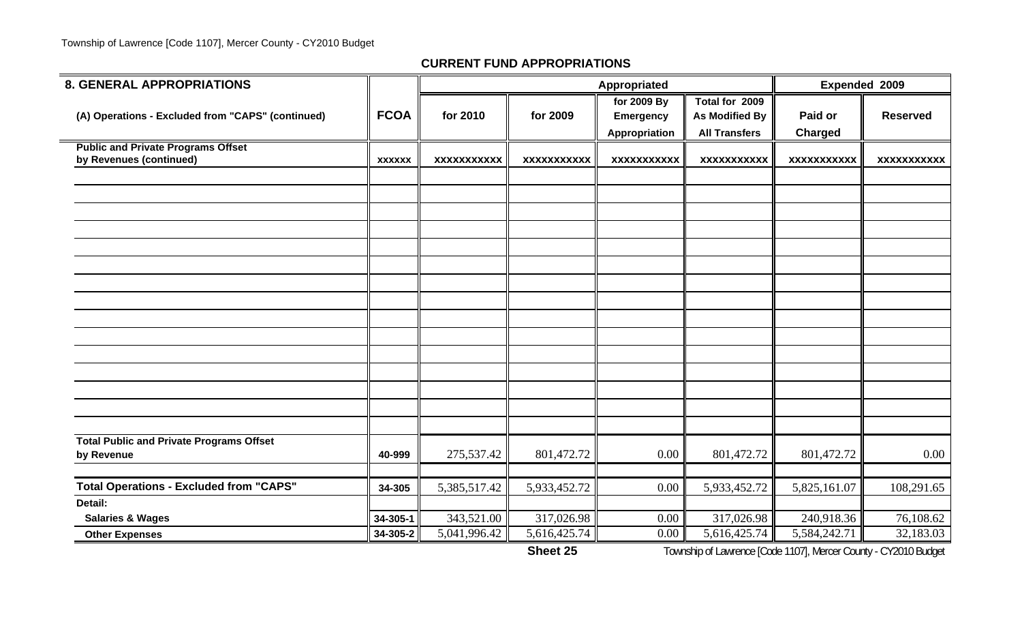$\overline{\phantom{a}}$ 

#### **CURRENT FUND APPROPRIATIONS**

| <b>8. GENERAL APPROPRIATIONS</b>                                     |                      |                                         |                            | Appropriated         |                            | Expended 2009              |                        |
|----------------------------------------------------------------------|----------------------|-----------------------------------------|----------------------------|----------------------|----------------------------|----------------------------|------------------------|
|                                                                      |                      |                                         |                            | for 2009 By          | Total for 2009             |                            |                        |
| (A) Operations - Excluded from "CAPS" (continued)                    | <b>FCOA</b>          | for 2010                                | for 2009                   | <b>Emergency</b>     | As Modified By             | Paid or                    | <b>Reserved</b>        |
|                                                                      |                      |                                         |                            | <b>Appropriation</b> | <b>All Transfers</b>       | <b>Charged</b>             |                        |
| <b>Public and Private Programs Offset</b><br>by Revenues (continued) |                      | <b>XXXXXXXXXXX</b>                      | <b>XXXXXXXXXXX</b>         | <b>XXXXXXXXXXX</b>   | <b>XXXXXXXXXXX</b>         | <b>XXXXXXXXXXX</b>         | <b>XXXXXXXXXXX</b>     |
|                                                                      | <b>XXXXXX</b>        |                                         |                            |                      |                            |                            |                        |
|                                                                      |                      |                                         |                            |                      |                            |                            |                        |
|                                                                      |                      |                                         |                            |                      |                            |                            |                        |
|                                                                      |                      |                                         |                            |                      |                            |                            |                        |
|                                                                      |                      |                                         |                            |                      |                            |                            |                        |
|                                                                      |                      |                                         |                            |                      |                            |                            |                        |
|                                                                      |                      |                                         |                            |                      |                            |                            |                        |
|                                                                      |                      |                                         |                            |                      |                            |                            |                        |
|                                                                      |                      |                                         |                            |                      |                            |                            |                        |
|                                                                      |                      |                                         |                            |                      |                            |                            |                        |
|                                                                      |                      |                                         |                            |                      |                            |                            |                        |
|                                                                      |                      |                                         |                            |                      |                            |                            |                        |
|                                                                      |                      |                                         |                            |                      |                            |                            |                        |
|                                                                      |                      |                                         |                            |                      |                            |                            |                        |
|                                                                      |                      |                                         |                            |                      |                            |                            |                        |
|                                                                      |                      |                                         |                            |                      |                            |                            |                        |
|                                                                      |                      |                                         |                            |                      |                            |                            |                        |
| <b>Total Public and Private Programs Offset</b>                      |                      |                                         |                            |                      |                            |                            |                        |
| by Revenue                                                           | 40-999               | 275,537.42                              | 801,472.72                 | 0.00                 | 801,472.72                 | 801,472.72                 | 0.00                   |
|                                                                      |                      |                                         |                            |                      |                            |                            |                        |
| <b>Total Operations - Excluded from "CAPS"</b><br>Detail:            | 34-305               | 5,385,517.42                            | 5,933,452.72               | 0.00                 | 5,933,452.72               | 5,825,161.07               | 108,291.65             |
|                                                                      |                      |                                         |                            | 0.00                 |                            |                            |                        |
| <b>Salaries &amp; Wages</b><br><b>Other Expenses</b>                 | 34-305-1<br>34-305-2 | 343,521.00<br>$5,041,996.\overline{42}$ | 317,026.98<br>5,616,425.74 | 0.00                 | 317,026.98<br>5,616,425.74 | 240,918.36<br>5,584,242.71 | 76,108.62<br>32,183.03 |
|                                                                      |                      |                                         |                            |                      |                            |                            |                        |

**Sheet 25**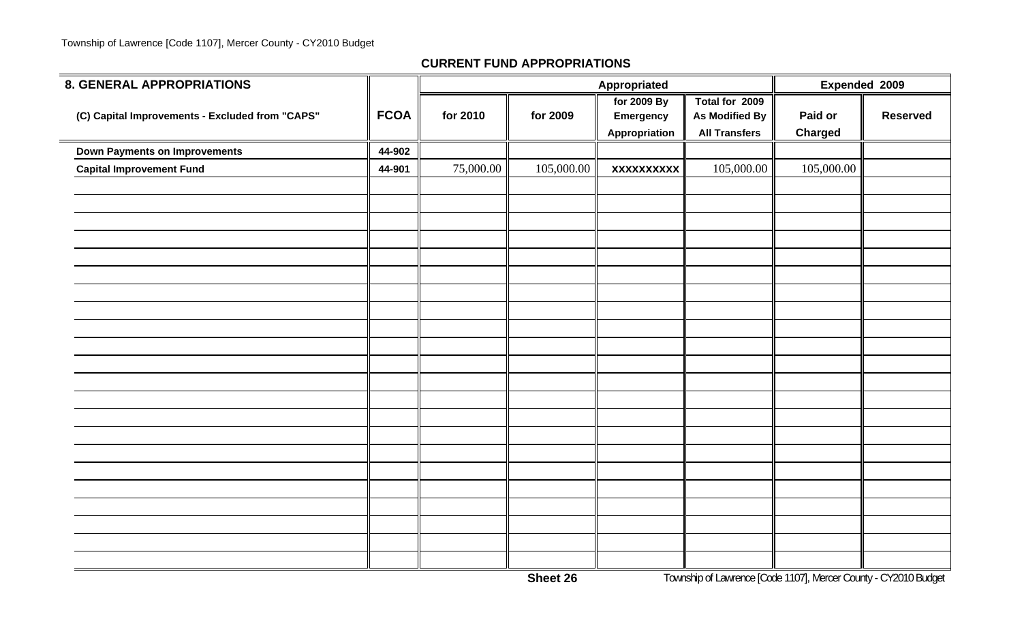| 8. GENERAL APPROPRIATIONS                       |             |           |            | Appropriated                              |                                                                 | Expended 2009             |                 |
|-------------------------------------------------|-------------|-----------|------------|-------------------------------------------|-----------------------------------------------------------------|---------------------------|-----------------|
| (C) Capital Improvements - Excluded from "CAPS" | <b>FCOA</b> | for 2010  | for 2009   | for 2009 By<br>Emergency<br>Appropriation | Total for 2009<br><b>As Modified By</b><br><b>All Transfers</b> | Paid or<br><b>Charged</b> | <b>Reserved</b> |
| <b>Down Payments on Improvements</b>            | 44-902      |           |            |                                           |                                                                 |                           |                 |
| <b>Capital Improvement Fund</b>                 | 44-901      | 75,000.00 | 105,000.00 | <b>XXXXXXXXXX</b>                         | 105,000.00                                                      | 105,000.00                |                 |
|                                                 |             |           |            |                                           |                                                                 |                           |                 |
|                                                 |             |           |            |                                           |                                                                 |                           |                 |
|                                                 |             |           |            |                                           |                                                                 |                           |                 |
|                                                 |             |           |            |                                           |                                                                 |                           |                 |
|                                                 |             |           |            |                                           |                                                                 |                           |                 |
|                                                 |             |           |            |                                           |                                                                 |                           |                 |
|                                                 |             |           |            |                                           |                                                                 |                           |                 |
|                                                 |             |           |            |                                           |                                                                 |                           |                 |
|                                                 |             |           |            |                                           |                                                                 |                           |                 |
|                                                 |             |           |            |                                           |                                                                 |                           |                 |
|                                                 |             |           |            |                                           |                                                                 |                           |                 |
|                                                 |             |           |            |                                           |                                                                 |                           |                 |
|                                                 |             |           |            |                                           |                                                                 |                           |                 |
|                                                 |             |           |            |                                           |                                                                 |                           |                 |
|                                                 |             |           |            |                                           |                                                                 |                           |                 |
|                                                 |             |           |            |                                           |                                                                 |                           |                 |
|                                                 |             |           |            |                                           |                                                                 |                           |                 |
|                                                 |             |           |            |                                           |                                                                 |                           |                 |
|                                                 |             |           |            |                                           |                                                                 |                           |                 |
|                                                 |             |           |            |                                           |                                                                 |                           |                 |
|                                                 |             |           |            |                                           |                                                                 |                           |                 |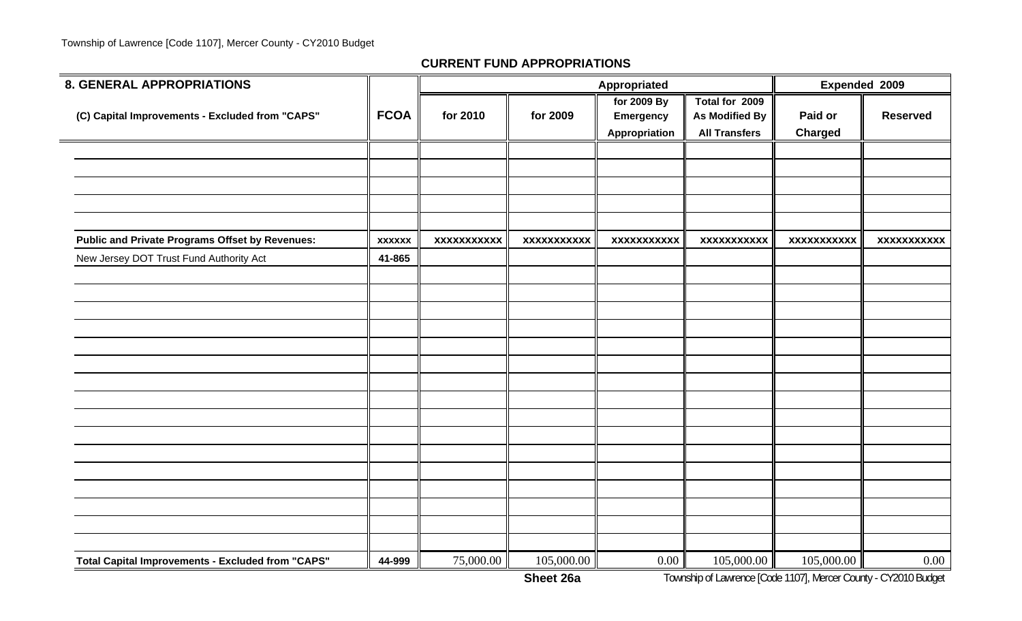| <b>8. GENERAL APPROPRIATIONS</b>                       |               |                    |                    | Appropriated                                     |                                                                 | Expended 2009             |                    |
|--------------------------------------------------------|---------------|--------------------|--------------------|--------------------------------------------------|-----------------------------------------------------------------|---------------------------|--------------------|
| (C) Capital Improvements - Excluded from "CAPS"        | <b>FCOA</b>   | for 2010           | for 2009           | for 2009 By<br><b>Emergency</b><br>Appropriation | Total for 2009<br><b>As Modified By</b><br><b>All Transfers</b> | Paid or<br><b>Charged</b> | <b>Reserved</b>    |
|                                                        |               |                    |                    |                                                  |                                                                 |                           |                    |
|                                                        |               |                    |                    |                                                  |                                                                 |                           |                    |
|                                                        |               |                    |                    |                                                  |                                                                 |                           |                    |
|                                                        |               |                    |                    |                                                  |                                                                 |                           |                    |
| <b>Public and Private Programs Offset by Revenues:</b> | <b>XXXXXX</b> | <b>XXXXXXXXXXX</b> | <b>XXXXXXXXXXX</b> | <b>XXXXXXXXXXX</b>                               | <b>XXXXXXXXXXX</b>                                              | <b>XXXXXXXXXXX</b>        | <b>XXXXXXXXXXX</b> |
| New Jersey DOT Trust Fund Authority Act                | 41-865        |                    |                    |                                                  |                                                                 |                           |                    |
|                                                        |               |                    |                    |                                                  |                                                                 |                           |                    |
|                                                        |               |                    |                    |                                                  |                                                                 |                           |                    |
|                                                        |               |                    |                    |                                                  |                                                                 |                           |                    |
|                                                        |               |                    |                    |                                                  |                                                                 |                           |                    |
|                                                        |               |                    |                    |                                                  |                                                                 |                           |                    |
|                                                        |               |                    |                    |                                                  |                                                                 |                           |                    |
|                                                        |               |                    |                    |                                                  |                                                                 |                           |                    |
|                                                        |               |                    |                    |                                                  |                                                                 |                           |                    |
|                                                        |               |                    |                    |                                                  |                                                                 |                           |                    |
|                                                        |               |                    |                    |                                                  |                                                                 |                           |                    |
|                                                        |               |                    |                    |                                                  |                                                                 |                           |                    |
|                                                        |               |                    |                    |                                                  |                                                                 |                           |                    |
|                                                        |               |                    |                    |                                                  |                                                                 |                           |                    |
|                                                        |               |                    |                    |                                                  |                                                                 |                           |                    |
| Total Capital Improvements - Excluded from "CAPS"      | 44-999        | 75,000.00          | 105,000.00         | $0.00\,$                                         | 105,000.00                                                      | 105,000.00                | $0.00\,$           |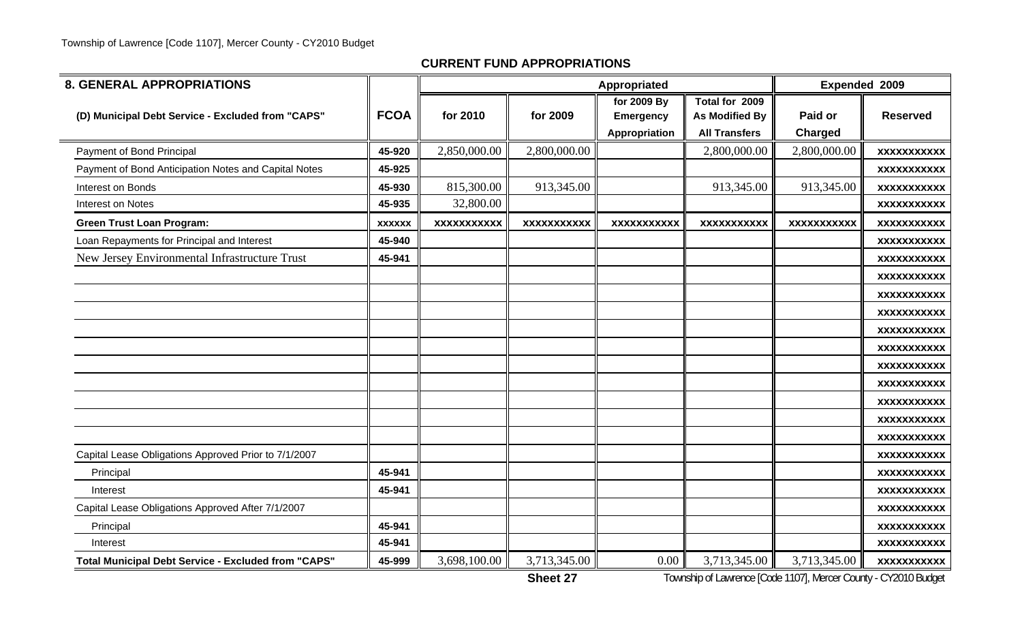| <b>8. GENERAL APPROPRIATIONS</b>                           |               |                    |                    | Appropriated                                     |                                                                 | <b>Expended 2009</b>      |                    |
|------------------------------------------------------------|---------------|--------------------|--------------------|--------------------------------------------------|-----------------------------------------------------------------|---------------------------|--------------------|
| (D) Municipal Debt Service - Excluded from "CAPS"          | <b>FCOA</b>   | for 2010           | for 2009           | for 2009 By<br><b>Emergency</b><br>Appropriation | Total for 2009<br><b>As Modified By</b><br><b>All Transfers</b> | Paid or<br><b>Charged</b> | <b>Reserved</b>    |
| Payment of Bond Principal                                  | 45-920        | 2,850,000.00       | 2,800,000.00       |                                                  | 2,800,000.00                                                    | 2,800,000.00              | <b>XXXXXXXXXXX</b> |
| Payment of Bond Anticipation Notes and Capital Notes       | 45-925        |                    |                    |                                                  |                                                                 |                           | <b>XXXXXXXXXXX</b> |
| Interest on Bonds                                          | 45-930        | 815,300.00         | 913,345.00         |                                                  | 913,345.00                                                      | 913,345.00                | <b>XXXXXXXXXXX</b> |
| Interest on Notes                                          | 45-935        | 32,800.00          |                    |                                                  |                                                                 |                           | <b>XXXXXXXXXXX</b> |
| <b>Green Trust Loan Program:</b>                           | <b>XXXXXX</b> | <b>XXXXXXXXXXX</b> | <b>XXXXXXXXXXX</b> | <b>XXXXXXXXXXX</b>                               | <b>XXXXXXXXXXX</b>                                              | <b>XXXXXXXXXXX</b>        | <b>XXXXXXXXXXX</b> |
| Loan Repayments for Principal and Interest                 | 45-940        |                    |                    |                                                  |                                                                 |                           | <b>XXXXXXXXXXX</b> |
| New Jersey Environmental Infrastructure Trust              | 45-941        |                    |                    |                                                  |                                                                 |                           | <b>XXXXXXXXXXX</b> |
|                                                            |               |                    |                    |                                                  |                                                                 |                           | <b>XXXXXXXXXXX</b> |
|                                                            |               |                    |                    |                                                  |                                                                 |                           | <b>XXXXXXXXXXX</b> |
|                                                            |               |                    |                    |                                                  |                                                                 |                           | <b>XXXXXXXXXXX</b> |
|                                                            |               |                    |                    |                                                  |                                                                 |                           | <b>XXXXXXXXXXX</b> |
|                                                            |               |                    |                    |                                                  |                                                                 |                           | <b>XXXXXXXXXXX</b> |
|                                                            |               |                    |                    |                                                  |                                                                 |                           | <b>XXXXXXXXXXX</b> |
|                                                            |               |                    |                    |                                                  |                                                                 |                           | <b>XXXXXXXXXXX</b> |
|                                                            |               |                    |                    |                                                  |                                                                 |                           | <b>XXXXXXXXXXX</b> |
|                                                            |               |                    |                    |                                                  |                                                                 |                           | <b>XXXXXXXXXXX</b> |
|                                                            |               |                    |                    |                                                  |                                                                 |                           | <b>XXXXXXXXXXX</b> |
| Capital Lease Obligations Approved Prior to 7/1/2007       |               |                    |                    |                                                  |                                                                 |                           | <b>XXXXXXXXXXX</b> |
| Principal                                                  | 45-941        |                    |                    |                                                  |                                                                 |                           | <b>XXXXXXXXXXX</b> |
| Interest                                                   | 45-941        |                    |                    |                                                  |                                                                 |                           | <b>XXXXXXXXXXX</b> |
| Capital Lease Obligations Approved After 7/1/2007          |               |                    |                    |                                                  |                                                                 |                           | <b>XXXXXXXXXXX</b> |
| Principal                                                  | 45-941        |                    |                    |                                                  |                                                                 |                           | <b>XXXXXXXXXXX</b> |
| Interest                                                   | 45-941        |                    |                    |                                                  |                                                                 |                           | <b>XXXXXXXXXXX</b> |
| <b>Total Municipal Debt Service - Excluded from "CAPS"</b> | 45-999        | 3,698,100.00       | 3,713,345.00       | $0.00\,$                                         | 3,713,345.00                                                    | 3,713,345.00              | <b>XXXXXXXXXXX</b> |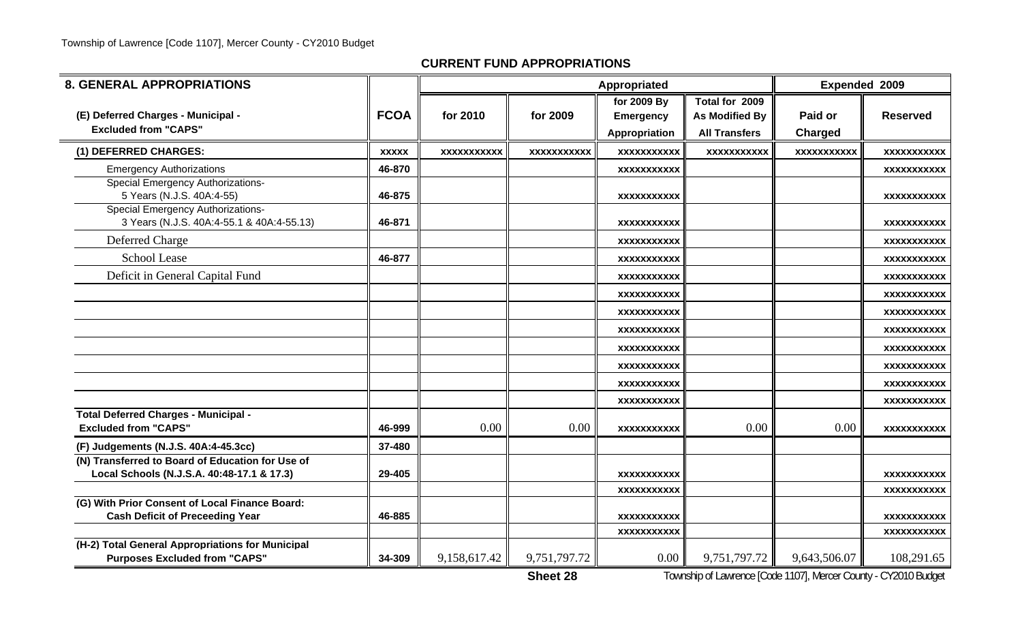| <b>8. GENERAL APPROPRIATIONS</b>                                                               |              |                    |                    | Appropriated       |                      | Expended 2009      |                    |
|------------------------------------------------------------------------------------------------|--------------|--------------------|--------------------|--------------------|----------------------|--------------------|--------------------|
|                                                                                                |              |                    |                    | for 2009 By        | Total for 2009       |                    |                    |
| (E) Deferred Charges - Municipal -                                                             | <b>FCOA</b>  | for 2010           | for 2009           | <b>Emergency</b>   | As Modified By       | Paid or            | <b>Reserved</b>    |
| <b>Excluded from "CAPS"</b>                                                                    |              |                    |                    | Appropriation      | <b>All Transfers</b> | Charged            |                    |
| (1) DEFERRED CHARGES:                                                                          | <b>XXXXX</b> | <b>XXXXXXXXXXX</b> | <b>XXXXXXXXXXX</b> | <b>XXXXXXXXXXX</b> | <b>XXXXXXXXXXX</b>   | <b>XXXXXXXXXXX</b> | <b>XXXXXXXXXXX</b> |
| <b>Emergency Authorizations</b>                                                                | 46-870       |                    |                    | <b>XXXXXXXXXXX</b> |                      |                    | <b>XXXXXXXXXXX</b> |
| <b>Special Emergency Authorizations-</b><br>5 Years (N.J.S. 40A:4-55)                          | 46-875       |                    |                    | <b>XXXXXXXXXXX</b> |                      |                    | XXXXXXXXXXX        |
| <b>Special Emergency Authorizations-</b><br>3 Years (N.J.S. 40A:4-55.1 & 40A:4-55.13)          | 46-871       |                    |                    | <b>XXXXXXXXXXX</b> |                      |                    | <b>XXXXXXXXXXX</b> |
| Deferred Charge                                                                                |              |                    |                    | <b>XXXXXXXXXXX</b> |                      |                    | <b>XXXXXXXXXXX</b> |
| <b>School Lease</b>                                                                            | 46-877       |                    |                    | <b>XXXXXXXXXXX</b> |                      |                    | <b>XXXXXXXXXXX</b> |
| Deficit in General Capital Fund                                                                |              |                    |                    | <b>XXXXXXXXXXX</b> |                      |                    | XXXXXXXXXXX        |
|                                                                                                |              |                    |                    | XXXXXXXXXX         |                      |                    | XXXXXXXXXXX        |
|                                                                                                |              |                    |                    | <b>XXXXXXXXXXX</b> |                      |                    | <b>XXXXXXXXXXX</b> |
|                                                                                                |              |                    |                    | <b>XXXXXXXXXXX</b> |                      |                    | XXXXXXXXXXX        |
|                                                                                                |              |                    |                    | <b>XXXXXXXXXXX</b> |                      |                    | <b>XXXXXXXXXXX</b> |
|                                                                                                |              |                    |                    | XXXXXXXXXX         |                      |                    | XXXXXXXXXXX        |
|                                                                                                |              |                    |                    | <b>XXXXXXXXXXX</b> |                      |                    | XXXXXXXXXXX        |
|                                                                                                |              |                    |                    | XXXXXXXXXXX        |                      |                    | XXXXXXXXXXX        |
| Total Deferred Charges - Municipal -<br><b>Excluded from "CAPS"</b>                            | 46-999       | 0.00               | 0.00               | <b>XXXXXXXXXXX</b> | 0.00                 | 0.00               | XXXXXXXXXXX        |
| (F) Judgements (N.J.S. 40A:4-45.3cc)                                                           | 37-480       |                    |                    |                    |                      |                    |                    |
| (N) Transferred to Board of Education for Use of<br>Local Schools (N.J.S.A. 40:48-17.1 & 17.3) | 29-405       |                    |                    | <b>XXXXXXXXXXX</b> |                      |                    | XXXXXXXXXXX        |
|                                                                                                |              |                    |                    | <b>XXXXXXXXXXX</b> |                      |                    | <b>XXXXXXXXXXX</b> |
| (G) With Prior Consent of Local Finance Board:<br><b>Cash Deficit of Preceeding Year</b>       | 46-885       |                    |                    | <b>XXXXXXXXXXX</b> |                      |                    | <b>XXXXXXXXXXX</b> |
|                                                                                                |              |                    |                    | <b>XXXXXXXXXXX</b> |                      |                    | <b>XXXXXXXXXXX</b> |
| (H-2) Total General Appropriations for Municipal<br><b>Purposes Excluded from "CAPS"</b>       | 34-309       | 9,158,617.42       | 9,751,797.72       | 0.00               | 9,751,797.72         | 9,643,506.07       | 108,291.65         |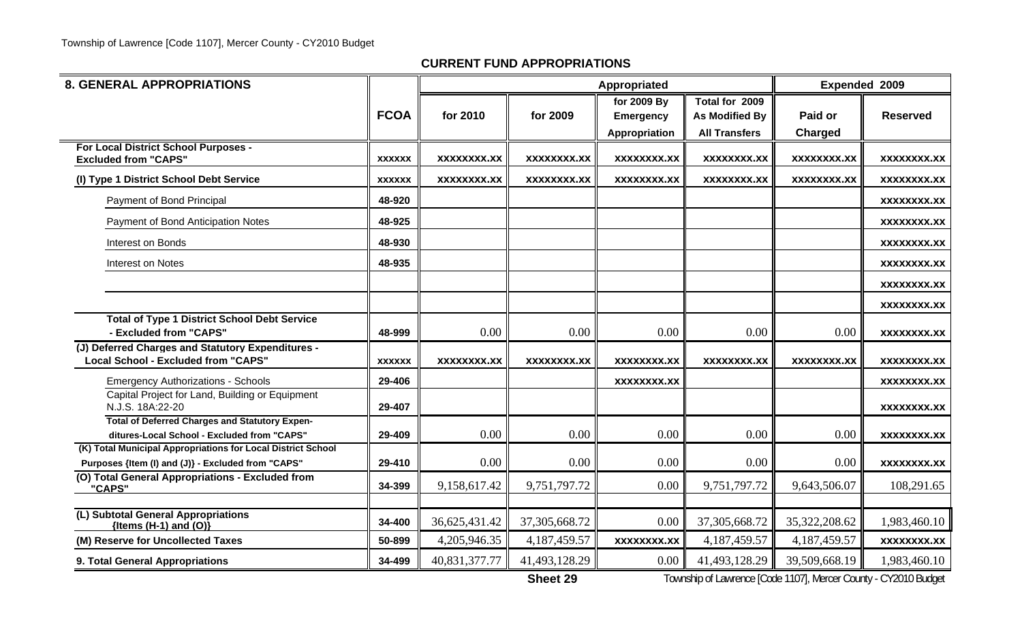| <b>8. GENERAL APPROPRIATIONS</b>                                                                            |               |                    |                    | <b>Expended 2009</b> |                      |                    |                    |
|-------------------------------------------------------------------------------------------------------------|---------------|--------------------|--------------------|----------------------|----------------------|--------------------|--------------------|
|                                                                                                             |               |                    |                    | for 2009 By          | Total for 2009       |                    |                    |
|                                                                                                             | <b>FCOA</b>   | for 2010           | for 2009           | <b>Emergency</b>     | As Modified By       | Paid or            | <b>Reserved</b>    |
|                                                                                                             |               |                    |                    | Appropriation        | <b>All Transfers</b> | Charged            |                    |
| For Local District School Purposes -                                                                        | <b>XXXXXX</b> | <b>XXXXXXXX.XX</b> | <b>XXXXXXXX.XX</b> | <b>XXXXXXXX.XX</b>   | <b>XXXXXXXX.XX</b>   | <b>XXXXXXXX.XX</b> | <b>XXXXXXXX.XX</b> |
| <b>Excluded from "CAPS"</b>                                                                                 |               |                    |                    |                      |                      |                    |                    |
| (I) Type 1 District School Debt Service                                                                     | <b>XXXXXX</b> | <b>XXXXXXXX.XX</b> | <b>XXXXXXXX.XX</b> | <b>XXXXXXXX.XX</b>   | <b>XXXXXXXX.XX</b>   | XXXXXXXX.XX        | <b>XXXXXXXX.XX</b> |
| Payment of Bond Principal                                                                                   | 48-920        |                    |                    |                      |                      |                    | XXXXXXXX.XX        |
| Payment of Bond Anticipation Notes                                                                          | 48-925        |                    |                    |                      |                      |                    | XXXXXXXX.XX        |
| Interest on Bonds                                                                                           | 48-930        |                    |                    |                      |                      |                    | XXXXXXXX.XX        |
| Interest on Notes                                                                                           | 48-935        |                    |                    |                      |                      |                    | <b>XXXXXXXX.XX</b> |
|                                                                                                             |               |                    |                    |                      |                      |                    | <b>XXXXXXXX.XX</b> |
|                                                                                                             |               |                    |                    |                      |                      |                    | <b>XXXXXXXX.XX</b> |
| <b>Total of Type 1 District School Debt Service</b>                                                         |               |                    |                    |                      |                      |                    |                    |
| - Excluded from "CAPS"                                                                                      | 48-999        | 0.00               | 0.00               | 0.00                 | 0.00                 | 0.00               | <b>XXXXXXXX.XX</b> |
| (J) Deferred Charges and Statutory Expenditures -<br>Local School - Excluded from "CAPS"                    | <b>XXXXXX</b> | XXXXXXXX.XX        | XXXXXXXX.XX        | XXXXXXXX.XX          | XXXXXXXX.XX          | <b>XXXXXXXX.XX</b> | <b>XXXXXXXX.XX</b> |
| <b>Emergency Authorizations - Schools</b>                                                                   | 29-406        |                    |                    | <b>XXXXXXXX.XX</b>   |                      |                    | <b>XXXXXXXX.XX</b> |
| Capital Project for Land, Building or Equipment<br>N.J.S. 18A:22-20                                         | 29-407        |                    |                    |                      |                      |                    | <b>XXXXXXXX.XX</b> |
| <b>Total of Deferred Charges and Statutory Expen-</b>                                                       |               | 0.00               | 0.00               |                      |                      |                    |                    |
| ditures-Local School - Excluded from "CAPS"<br>(K) Total Municipal Appropriations for Local District School | 29-409        |                    |                    | 0.00                 | $0.00\,$             | 0.00               | <b>XXXXXXXX.XX</b> |
| Purposes {Item (I) and (J)} - Excluded from "CAPS"                                                          | 29-410        | 0.00               | 0.00               | 0.00                 | 0.00                 | 0.00               | <b>XXXXXXXX.XX</b> |
| (O) Total General Appropriations - Excluded from<br>"CAPS"                                                  | 34-399        | 9,158,617.42       | 9,751,797.72       | 0.00                 | 9,751,797.72         | 9,643,506.07       | 108,291.65         |
|                                                                                                             |               |                    |                    |                      |                      |                    |                    |
| (L) Subtotal General Appropriations<br>{Items $(H-1)$ and $(O)$ }                                           | 34-400        | 36,625,431.42      | 37, 305, 668. 72   | 0.00                 | 37, 305, 668. 72     | 35,322,208.62      | 1,983,460.10       |
| (M) Reserve for Uncollected Taxes                                                                           | 50-899        | 4,205,946.35       | 4,187,459.57       | <b>XXXXXXXX.XX</b>   | 4,187,459.57         | 4,187,459.57       | <b>XXXXXXXX.XX</b> |
| 9. Total General Appropriations                                                                             | 34-499        | 40,831,377.77      | 41,493,128.29      | $0.00\,$             | 41,493,128.29        | 39,509,668.19      | 1,983,460.10       |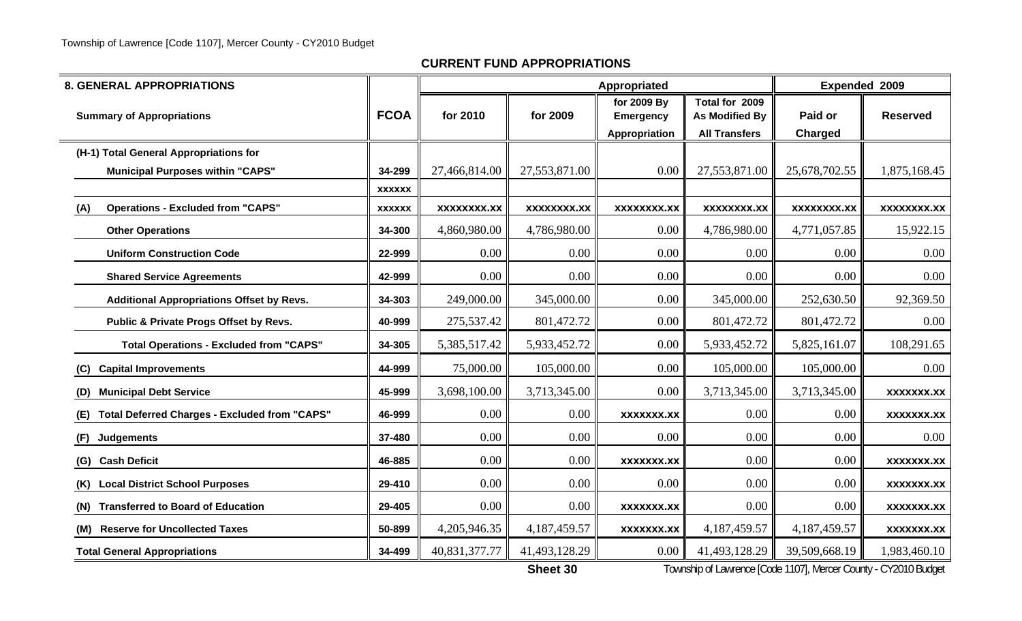| <b>8. GENERAL APPROPRIATIONS</b>                            |               |                    |                    | Expended 2009                                    |                                                                 |                    |                    |
|-------------------------------------------------------------|---------------|--------------------|--------------------|--------------------------------------------------|-----------------------------------------------------------------|--------------------|--------------------|
| <b>Summary of Appropriations</b>                            | <b>FCOA</b>   | for 2010           | for 2009           | for 2009 By<br><b>Emergency</b><br>Appropriation | Total for 2009<br><b>As Modified By</b><br><b>All Transfers</b> | Paid or<br>Charged | <b>Reserved</b>    |
| (H-1) Total General Appropriations for                      |               |                    |                    |                                                  |                                                                 |                    |                    |
| <b>Municipal Purposes within "CAPS"</b>                     | 34-299        | 27,466,814.00      | 27,553,871.00      | 0.00                                             | 27,553,871.00                                                   | 25,678,702.55      | 1,875,168.45       |
|                                                             | <b>XXXXXX</b> |                    |                    |                                                  |                                                                 |                    |                    |
| <b>Operations - Excluded from "CAPS"</b><br>(A)             | <b>XXXXXX</b> | <b>XXXXXXXX.XX</b> | <b>XXXXXXXX.XX</b> | <b>XXXXXXXX.XX</b>                               | <b>XXXXXXXX.XX</b>                                              | <b>XXXXXXXX.XX</b> | <b>XXXXXXXX.XX</b> |
| <b>Other Operations</b>                                     | 34-300        | 4,860,980.00       | 4,786,980.00       | 0.00                                             | 4,786,980.00                                                    | 4,771,057.85       | 15,922.15          |
| <b>Uniform Construction Code</b>                            | 22-999        | 0.00               | 0.00               | 0.00                                             | $0.00\,$                                                        | 0.00               | 0.00               |
| <b>Shared Service Agreements</b>                            | 42-999        | 0.00               | 0.00               | 0.00                                             | $0.00\,$                                                        | 0.00               | 0.00               |
| <b>Additional Appropriations Offset by Revs.</b>            | 34-303        | 249,000.00         | 345,000.00         | 0.00                                             | 345,000.00                                                      | 252,630.50         | 92,369.50          |
| Public & Private Progs Offset by Revs.                      | 40-999        | 275,537.42         | 801,472.72         | 0.00                                             | 801,472.72                                                      | 801,472.72         | 0.00               |
| <b>Total Operations - Excluded from "CAPS"</b>              | 34-305        | 5,385,517.42       | 5,933,452.72       | 0.00                                             | 5,933,452.72                                                    | 5,825,161.07       | 108,291.65         |
| <b>Capital Improvements</b><br>(C)                          | 44-999        | 75,000.00          | 105,000.00         | 0.00                                             | 105,000.00                                                      | 105,000.00         | 0.00               |
| <b>Municipal Debt Service</b><br>(D)                        | 45-999        | 3,698,100.00       | 3,713,345.00       | 0.00                                             | 3,713,345.00                                                    | 3,713,345.00       | <b>XXXXXXX.XX</b>  |
| <b>Total Deferred Charges - Excluded from "CAPS"</b><br>(E) | 46-999        | 0.00               | 0.00               | <b>XXXXXXX.XX</b>                                | 0.00                                                            | 0.00               | <b>XXXXXXX.XX</b>  |
| Judgements<br>(F)                                           | 37-480        | 0.00               | 0.00               | 0.00                                             | 0.00                                                            | 0.00               | 0.00               |
| <b>Cash Deficit</b><br>(G)                                  | 46-885        | 0.00               | 0.00               | XXXXXXX.XX                                       | 0.00                                                            | 0.00               | <b>XXXXXXX.XX</b>  |
| (K) Local District School Purposes                          | 29-410        | 0.00               | 0.00               | 0.00                                             | 0.00                                                            | 0.00               | <b>XXXXXXX.XX</b>  |
| <b>Transferred to Board of Education</b><br>(N)             | 29-405        | 0.00               | 0.00               | <b>XXXXXXX.XX</b>                                | 0.00                                                            | 0.00               | <b>XXXXXXX.XX</b>  |
| (M) Reserve for Uncollected Taxes                           | 50-899        | 4,205,946.35       | 4,187,459.57       | <b>XXXXXXX.XX</b>                                | 4,187,459.57                                                    | 4,187,459.57       | <b>XXXXXXX.XX</b>  |
| <b>Total General Appropriations</b>                         | 34-499        | 40,831,377.77      | 41,493,128.29      | 0.00                                             | 41,493,128.29                                                   | 39,509,668.19      | 1,983,460.10       |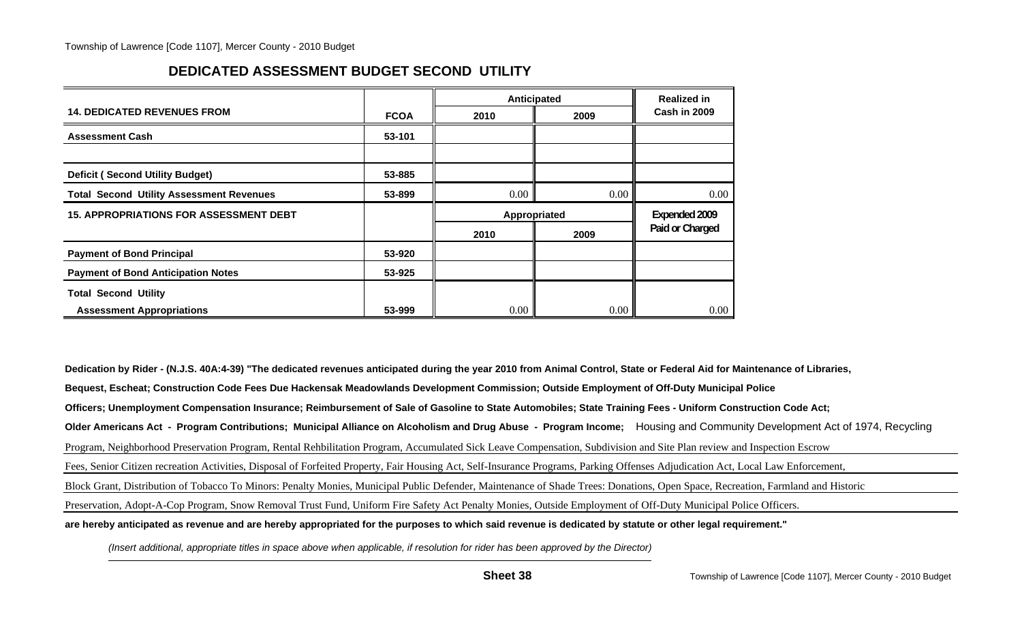## **DEDICATED ASSESSMENT BUDGET SECOND UTILITY**

|                                                 |             | Anticipated | <b>Realized in</b> |                 |
|-------------------------------------------------|-------------|-------------|--------------------|-----------------|
| <b>14. DEDICATED REVENUES FROM</b>              | <b>FCOA</b> | 2010        | 2009               | Cash in 2009    |
| <b>Assessment Cash</b>                          | 53-101      |             |                    |                 |
|                                                 |             |             |                    |                 |
| <b>Deficit (Second Utility Budget)</b>          | 53-885      |             |                    |                 |
| <b>Total Second Utility Assessment Revenues</b> | 53-899      | $0.00\,$    | 0.00               | 0.00            |
| <b>15. APPROPRIATIONS FOR ASSESSMENT DEBT</b>   |             |             | Appropriated       | Expended 2009   |
|                                                 |             | 2010        | 2009               | Paid or Charged |
| <b>Payment of Bond Principal</b>                | 53-920      |             |                    |                 |
| <b>Payment of Bond Anticipation Notes</b>       | 53-925      |             |                    |                 |
| <b>Total Second Utility</b>                     |             |             |                    |                 |
| <b>Assessment Appropriations</b>                | 53-999      | 0.00        | 0.00               | $0.00\,$        |

**Dedication by Rider - (N.J.S. 40A:4-39) "The dedicated revenues anticipated during the year 2010 from Animal Control, State or Federal Aid for Maintenance of Libraries, Bequest, Escheat; Construction Code Fees Due Hackensak Meadowlands Development Commission; Outside Employment of Off-Duty Municipal Police Officers; Unemployment Compensation Insurance; Reimbursement of Sale of Gasoline to State Automobiles; State Training Fees - Uniform Construction Code Act; Older Americans Act - Program Contributions; Municipal Alliance on Alcoholism and Drug Abuse - Program Income;** Housing and Community Development Act of 1974, Recycling Program, Neighborhood Preservation Program, Rental Rehbilitation Program, Accumulated Sick Leave Compensation, Subdivision and Site Plan review and Inspection Escrow Fees, Senior Citizen recreation Activities, Disposal of Forfeited Property, Fair Housing Act, Self-Insurance Programs, Parking Offenses Adjudication Act, Local Law Enforcement, Block Grant, Distribution of Tobacco To Minors: Penalty Monies, Municipal Public Defender, Maintenance of Shade Trees: Donations, Open Space, Recreation, Farmland and Historic Preservation, Adopt-A-Cop Program, Snow Removal Trust Fund, Uniform Fire Safety Act Penalty Monies, Outside Employment of Off-Duty Municipal Police Officers. **are hereby anticipated as revenue and are hereby appropriated for the purposes to which said revenue is dedicated by statute or other legal requirement."**

*(Insert additional, appropriate titles in space above when applicable, if resolution for rider has been approved by the Director)*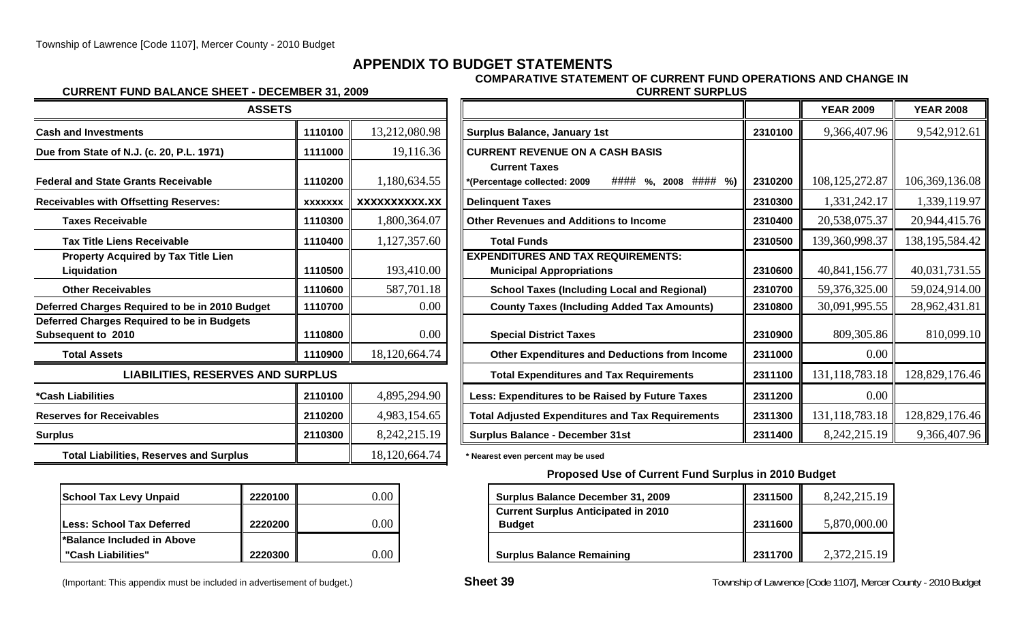## **APPENDIX TO BUDGET STATEMENTS**

#### **CURRENT FUND BALANCE SHEET - DECEMBER 31, 2009 CURRENT SURPLUS**

# **COMPARATIVE STATEMENT OF CURRENT FUND OPERATIONS AND CHANGE IN**

| <b>ASSETS</b>                                                           |                |               |                                                                                                |         |
|-------------------------------------------------------------------------|----------------|---------------|------------------------------------------------------------------------------------------------|---------|
| <b>Cash and Investments</b>                                             | 1110100        | 13,212,080.98 | <b>Surplus Balance, January 1st</b>                                                            | 2310100 |
| Due from State of N.J. (c. 20, P.L. 1971)                               | 1111000        | 19,116.36     | <b>CURRENT REVENUE ON A CASH BASIS</b>                                                         |         |
| <b>Federal and State Grants Receivable</b>                              | 1110200        | 1,180,634.55  | <b>Current Taxes</b><br>$\# \# \# \#$ %, 2008 $\# \# \# \#$ %)<br>*(Percentage collected: 2009 | 2310200 |
| <b>Receivables with Offsetting Reserves:</b>                            | <b>XXXXXXX</b> | XXXXXXXXXX.XX | <b>Delinquent Taxes</b>                                                                        | 2310300 |
| <b>Taxes Receivable</b>                                                 | 1110300        | 1,800,364.07  | <b>Other Revenues and Additions to Income</b>                                                  | 2310400 |
| <b>Tax Title Liens Receivable</b>                                       | 1110400        | 1,127,357.60  | <b>Total Funds</b>                                                                             | 2310500 |
| <b>Property Acquired by Tax Title Lien</b><br>Liquidation               | 1110500        | 193,410.00    | <b>EXPENDITURES AND TAX REQUIREMENTS:</b><br><b>Municipal Appropriations</b>                   | 2310600 |
| <b>Other Receivables</b>                                                | 1110600        | 587,701.18    | <b>School Taxes (Including Local and Regional)</b>                                             | 2310700 |
| Deferred Charges Required to be in 2010 Budget                          | 1110700        | 0.00          | <b>County Taxes (Including Added Tax Amounts)</b>                                              | 2310800 |
| <b>Deferred Charges Required to be in Budgets</b><br>Subsequent to 2010 | 1110800        | 0.00          | <b>Special District Taxes</b>                                                                  | 2310900 |
| <b>Total Assets</b>                                                     | 1110900        | 18,120,664.74 | <b>Other Expenditures and Deductions from Income</b>                                           | 2311000 |
| <b>LIABILITIES, RESERVES AND SURPLUS</b>                                |                |               | <b>Total Expenditures and Tax Requirements</b>                                                 | 2311100 |
| <i><b>*Cash Liabilities</b></i>                                         | 2110100        | 4,895,294.90  | Less: Expenditures to be Raised by Future Taxes                                                | 2311200 |
| <b>Reserves for Receivables</b>                                         | 2110200        | 4,983,154.65  | <b>Total Adjusted Expenditures and Tax Requirements</b>                                        | 2311300 |
| <b>Surplus</b>                                                          | 2110300        | 8,242,215.19  | <b>Surplus Balance - December 31st</b>                                                         | 2311400 |
| <b>Total Liabilities, Reserves and Surplus</b>                          |                | 18,120,664.74 | * Nearest even percent may be used                                                             |         |

| <b>School Tax Levy Unpaid</b> | 2220100 |  |
|-------------------------------|---------|--|
| Less: School Tax Deferred     | 2220200 |  |
| l*Balance Included in Above   |         |  |
| "Cash Liabilities"            | 2220300 |  |

| (Important: This appendix must be included in advertisement of budget.) |  |
|-------------------------------------------------------------------------|--|
|-------------------------------------------------------------------------|--|

| <b>ASSETS</b>                                                           |                |               |                                                                                                |         | <b>YEAR 2009</b>  | <b>YEAR 2008</b>  |
|-------------------------------------------------------------------------|----------------|---------------|------------------------------------------------------------------------------------------------|---------|-------------------|-------------------|
| <b>Cash and Investments</b>                                             | 1110100        | 13,212,080.98 | <b>Surplus Balance, January 1st</b>                                                            | 2310100 | 9,366,407.96      | 9,542,912.61      |
| Due from State of N.J. (c. 20, P.L. 1971)                               | 1111000        | 19,116.36     | <b>CURRENT REVENUE ON A CASH BASIS</b>                                                         |         |                   |                   |
| <b>Federal and State Grants Receivable</b>                              | 1110200        | 1,180,634.55  | <b>Current Taxes</b><br>$\# \# \# \#$ %, 2008 $\# \# \# \#$ %)<br>*(Percentage collected: 2009 | 2310200 | 108, 125, 272.87  | 106,369,136.08    |
| <b>Receivables with Offsetting Reserves:</b>                            | <b>XXXXXXX</b> | XXXXXXXXXX.XX | <b>Delinquent Taxes</b>                                                                        | 2310300 | 1,331,242.17      | 1,339,119.97      |
| <b>Taxes Receivable</b>                                                 | 1110300        | 1,800,364.07  | <b>Other Revenues and Additions to Income</b>                                                  | 2310400 | 20,538,075.37     | 20,944,415.76     |
| <b>Tax Title Liens Receivable</b>                                       | 1110400        | 1,127,357.60  | <b>Total Funds</b>                                                                             | 2310500 | 139,360,998.37    | 138, 195, 584. 42 |
| <b>Property Acquired by Tax Title Lien</b><br>Liquidation               | 1110500        | 193,410.00    | <b>EXPENDITURES AND TAX REQUIREMENTS:</b><br><b>Municipal Appropriations</b>                   | 2310600 | 40,841,156.77     | 40,031,731.55     |
| <b>Other Receivables</b>                                                | 1110600        | 587,701.18    | <b>School Taxes (Including Local and Regional)</b>                                             | 2310700 | 59,376,325.00     | 59,024,914.00     |
| Deferred Charges Required to be in 2010 Budget                          | 1110700        | 0.00          | <b>County Taxes (Including Added Tax Amounts)</b>                                              | 2310800 | 30,091,995.55     | 28,962,431.81     |
| Deferred Charges Required to be in Budgets<br><b>Subsequent to 2010</b> | 1110800        | 0.00          | <b>Special District Taxes</b>                                                                  | 2310900 | 809,305.86        | 810,099.10        |
| <b>Total Assets</b>                                                     | 1110900        | 18,120,664.74 | <b>Other Expenditures and Deductions from Income</b>                                           | 2311000 | 0.00              |                   |
| <b>LIABILITIES, RESERVES AND SURPLUS</b>                                |                |               | <b>Total Expenditures and Tax Requirements</b>                                                 | 2311100 | 131, 118, 783. 18 | 128,829,176.46    |
| *Cash Liabilities                                                       | 2110100        | 4,895,294.90  | Less: Expenditures to be Raised by Future Taxes                                                | 2311200 | 0.00              |                   |
| <b>Reserves for Receivables</b>                                         | 2110200        | 4,983,154.65  | <b>Total Adjusted Expenditures and Tax Requirements</b>                                        | 2311300 | 131, 118, 783. 18 | 128,829,176.46    |
| Surplus                                                                 | 2110300        | 8,242,215.19  | <b>Surplus Balance - December 31st</b>                                                         | 2311400 | 8, 242, 215. 19   | 9,366,407.96      |
|                                                                         |                |               |                                                                                                |         |                   |                   |

#### **Proposed Use of Current Fund Surplus in 2010 Budget**

| <b>School Tax Levy Unpaid</b> | 2220100 | 0.00 | <b>Surplus Balance December 31, 2009</b>                    | 2311500 | 8,242,215.19 |
|-------------------------------|---------|------|-------------------------------------------------------------|---------|--------------|
| Less: School Tax Deferred     | 2220200 | 0.00 | <b>Current Surplus Anticipated in 2010</b><br><b>Budget</b> | 2311600 | 5,870,000.00 |
| *Balance Included in Above    |         |      |                                                             |         |              |
| "Cash Liabilities"            | 2220300 | 0.00 | <b>Surplus Balance Remaining</b>                            | 2311700 | 2,372,215.19 |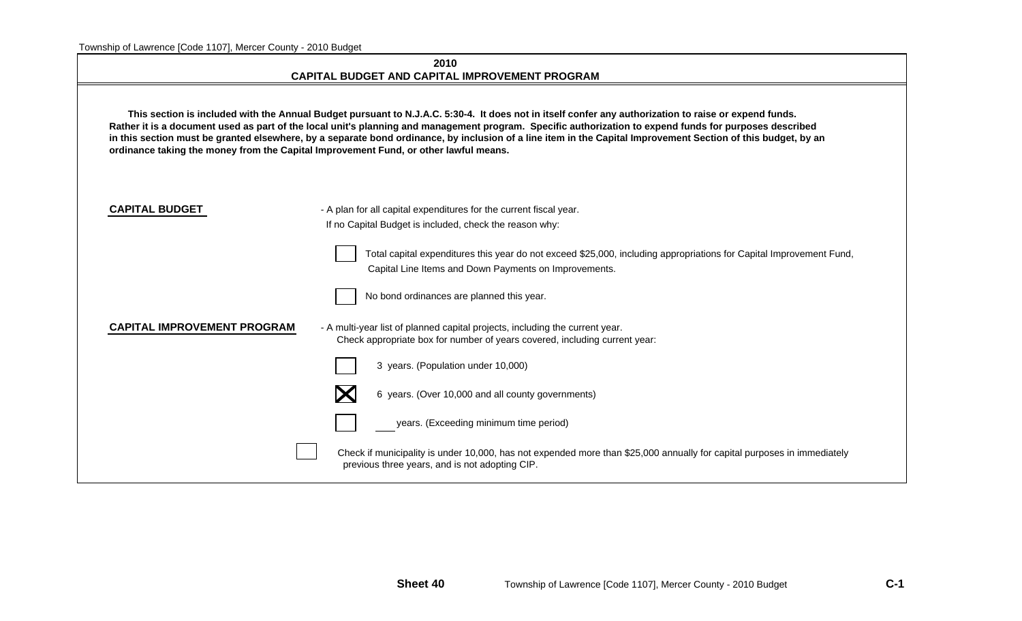| 2010                                           |
|------------------------------------------------|
| CAPITAL BUDGET AND CAPITAL IMPROVEMENT PROGRAM |

 **This section is included with the Annual Budget pursuant to N.J.A.C. 5:30-4. It does not in itself confer any authorization to raise or expend funds. Rather it is a document used as part of the local unit's planning and management program. Specific authorization to expend funds for purposes described in this section must be granted elsewhere, by a separate bond ordinance, by inclusion of a line item in the Capital Improvement Section of this budget, by an ordinance taking the money from the Capital Improvement Fund, or other lawful means.**

| <b>CAPITAL BUDGET</b>              | - A plan for all capital expenditures for the current fiscal year.                                                                                                           |
|------------------------------------|------------------------------------------------------------------------------------------------------------------------------------------------------------------------------|
|                                    | If no Capital Budget is included, check the reason why:                                                                                                                      |
|                                    | Total capital expenditures this year do not exceed \$25,000, including appropriations for Capital Improvement Fund,<br>Capital Line Items and Down Payments on Improvements. |
|                                    | No bond ordinances are planned this year.                                                                                                                                    |
| <b>CAPITAL IMPROVEMENT PROGRAM</b> | - A multi-year list of planned capital projects, including the current year.<br>Check appropriate box for number of years covered, including current year:                   |
|                                    | 3 years. (Population under 10,000)                                                                                                                                           |
|                                    | 6 years. (Over 10,000 and all county governments)                                                                                                                            |
|                                    | years. (Exceeding minimum time period)                                                                                                                                       |
|                                    | Check if municipality is under 10,000, has not expended more than \$25,000 annually for capital purposes in immediately<br>previous three years, and is not adopting CIP.    |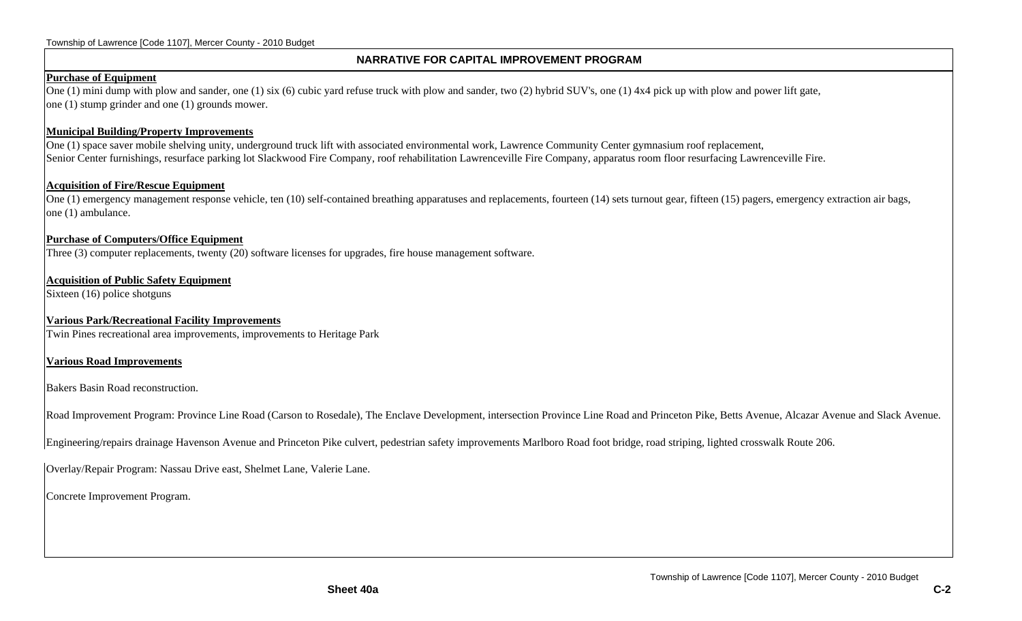#### **NARRATIVE FOR CAPITAL IMPROVEMENT PROGRAM**

#### **Purchase of Equipment**

One (1) mini dump with plow and sander, one (1) six (6) cubic yard refuse truck with plow and sander, two (2) hybrid SUV's, one (1) 4x4 pick up with plow and power lift gate, one (1) stump grinder and one (1) grounds mower.

#### **Municipal Building/Property Improvements**

One (1) space saver mobile shelving unity, underground truck lift with associated environmental work, Lawrence Community Center gymnasium roof replacement, Senior Center furnishings, resurface parking lot Slackwood Fire Company, roof rehabilitation Lawrenceville Fire Company, apparatus room floor resurfacing Lawrenceville Fire.

#### **Acquisition of Fire/Rescue Equipment**

One (1) emergency management response vehicle, ten (10) self-contained breathing apparatuses and replacements, fourteen (14) sets turnout gear, fifteen (15) pagers, emergency extraction air bags, one (1) ambulance.

#### **Purchase of Computers/Office Equipment**

Three (3) computer replacements, twenty (20) software licenses for upgrades, fire house management software.

#### **Acquisition of Public Safety Equipment**

Sixteen (16) police shotguns

#### **Various Park/Recreational Facility Improvements**

Twin Pines recreational area improvements, improvements to Heritage Park

#### **Various Road Improvements**

Bakers Basin Road reconstruction.

Road Improvement Program: Province Line Road (Carson to Rosedale), The Enclave Development, intersection Province Line Road and Princeton Pike, Betts Avenue, Alcazar Avenue and Slack Avenue.

Engineering/repairs drainage Havenson Avenue and Princeton Pike culvert, pedestrian safety improvements Marlboro Road foot bridge, road striping, lighted crosswalk Route 206.

Overlay/Repair Program: Nassau Drive east, Shelmet Lane, Valerie Lane.

Concrete Improvement Program.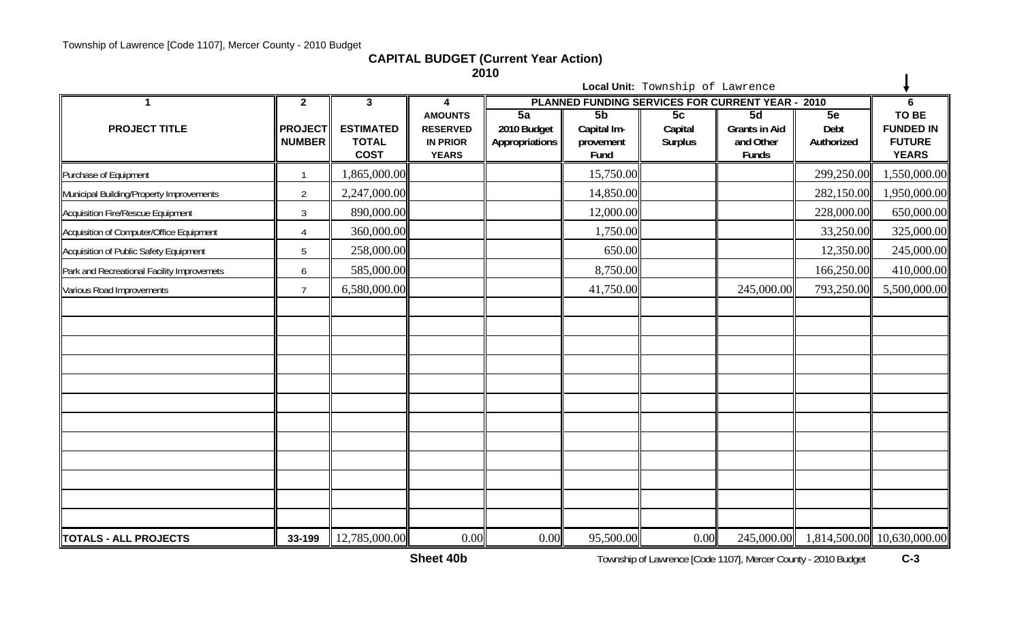**CAPITAL BUDGET (Current Year Action)**

**2010**

|                                            |                                 |                                                 |                                                    | <b>2010</b>                   |                                  |                                  |                                                        |                    |                                                   |
|--------------------------------------------|---------------------------------|-------------------------------------------------|----------------------------------------------------|-------------------------------|----------------------------------|----------------------------------|--------------------------------------------------------|--------------------|---------------------------------------------------|
|                                            |                                 |                                                 |                                                    |                               |                                  | Local Unit: Township of Lawrence |                                                        |                    |                                                   |
|                                            | $\mathbf{2}$                    | $3\phantom{a}$                                  | 4<br><b>AMOUNTS</b>                                | $\overline{5a}$               | 5b                               | 5c                               | PLANNED FUNDING SERVICES FOR CURRENT YEAR - 2010<br>5d | 5e                 | 6<br>TO BE                                        |
| <b>PROJECT TITLE</b>                       | <b>PROJECT</b><br><b>NUMBER</b> | <b>ESTIMATED</b><br><b>TOTAL</b><br><b>COST</b> | <b>RESERVED</b><br><b>IN PRIOR</b><br><b>YEARS</b> | 2010 Budget<br>Appropriations | Capital Im-<br>provement<br>Fund | Capital<br><b>Surplus</b>        | <b>Grants in Aid</b><br>and Other<br>Funds             | Debt<br>Authorized | <b>FUNDED IN</b><br><b>FUTURE</b><br><b>YEARS</b> |
| Purchase of Equipment                      | $\mathbf{1}$                    | 1,865,000.00                                    |                                                    |                               | 15,750.00                        |                                  |                                                        | 299,250.00         | 1,550,000.00                                      |
| Municipal Building/Property Improvements   | $\overline{2}$                  | 2,247,000.00                                    |                                                    |                               | 14,850.00                        |                                  |                                                        | 282,150.00         | 1,950,000.00                                      |
| Acquisition Fire/Rescue Equipment          | $\mathfrak{Z}$                  | 890,000.00                                      |                                                    |                               | 12,000.00                        |                                  |                                                        | 228,000.00         | 650,000.00                                        |
| Acquisition of Computer/Office Equipment   | $\overline{A}$                  | 360,000.00                                      |                                                    |                               | 1,750.00                         |                                  |                                                        | 33,250.00          | 325,000.00                                        |
| Acquisition of Public Safety Equipment     | 5                               | 258,000.00                                      |                                                    |                               | 650.00                           |                                  |                                                        | 12,350.00          | 245,000.00                                        |
| Park and Recreational Facility Improvemets | 6                               | 585,000.00                                      |                                                    |                               | 8,750.00                         |                                  |                                                        | 166,250.00         | 410,000.00                                        |
| Various Road Improvements                  | $\overline{7}$                  | 6,580,000.00                                    |                                                    |                               | 41,750.00                        |                                  | 245,000.00                                             | 793,250.00         | 5,500,000.00                                      |
|                                            |                                 |                                                 |                                                    |                               |                                  |                                  |                                                        |                    |                                                   |
|                                            |                                 |                                                 |                                                    |                               |                                  |                                  |                                                        |                    |                                                   |
|                                            |                                 |                                                 |                                                    |                               |                                  |                                  |                                                        |                    |                                                   |
|                                            |                                 |                                                 |                                                    |                               |                                  |                                  |                                                        |                    |                                                   |
|                                            |                                 |                                                 |                                                    |                               |                                  |                                  |                                                        |                    |                                                   |
|                                            |                                 |                                                 |                                                    |                               |                                  |                                  |                                                        |                    |                                                   |
|                                            |                                 |                                                 |                                                    |                               |                                  |                                  |                                                        |                    |                                                   |
|                                            |                                 |                                                 |                                                    |                               |                                  |                                  |                                                        |                    |                                                   |
|                                            |                                 |                                                 |                                                    |                               |                                  |                                  |                                                        |                    |                                                   |
|                                            |                                 |                                                 |                                                    |                               |                                  |                                  |                                                        |                    |                                                   |
|                                            |                                 |                                                 |                                                    |                               |                                  |                                  |                                                        |                    |                                                   |
|                                            |                                 |                                                 |                                                    |                               |                                  |                                  |                                                        |                    |                                                   |
| TOTALS - ALL PROJECTS                      | 33-199                          | 12,785,000.00                                   | 0.00                                               | 0.00                          | 95,500.00                        | 0.00                             | 245,000.00                                             |                    | 1,814,500.00 10,630,000.00                        |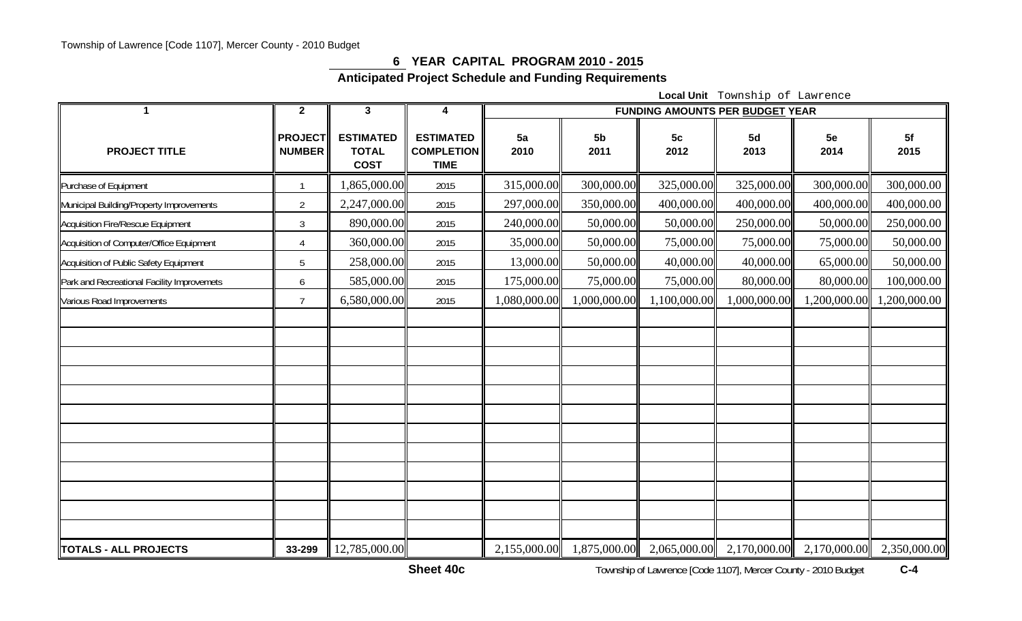### **6 YEAR CAPITAL PROGRAM 2010 - 2015**

**Anticipated Project Schedule and Funding Requirements** 

**Local Unit** Township of Lawrence

| 1                                          | $\mathbf{2}$                    | $\mathbf{3}$                                    | $\overline{\mathbf{4}}$                              | <b>FUNDING AMOUNTS PER BUDGET YEAR</b> |                        |                        |                                                                  |              |              |
|--------------------------------------------|---------------------------------|-------------------------------------------------|------------------------------------------------------|----------------------------------------|------------------------|------------------------|------------------------------------------------------------------|--------------|--------------|
| <b>PROJECT TITLE</b>                       | <b>PROJECT</b><br><b>NUMBER</b> | <b>ESTIMATED</b><br><b>TOTAL</b><br><b>COST</b> | <b>ESTIMATED</b><br><b>COMPLETION</b><br><b>TIME</b> | 5a<br>2010                             | 5 <sub>b</sub><br>2011 | 5 <sub>c</sub><br>2012 | 5d<br>2013                                                       | 5e<br>2014   | 5f<br>2015   |
| Purchase of Equipment                      |                                 | ,865,000.00                                     | 2015                                                 | 315,000.00                             | 300,000.00             | 325,000.00             | 325,000.00                                                       | 300,000.00   | 300,000.00   |
| Municipal Building/Property Improvements   | $\overline{2}$                  | 2,247,000.00                                    | 2015                                                 | 297,000.00                             | 350,000.00             | 400,000.00             | 400,000.00                                                       | 400,000.00   | 400,000.00   |
| Acquisition Fire/Rescue Equipment          | 3                               | 890,000.00                                      | 2015                                                 | 240,000.00                             | 50,000.00              | 50,000.00              | 250,000.00                                                       | 50,000.00    | 250,000.00   |
| Acquisition of Computer/Office Equipment   | 4                               | 360,000.00                                      | 2015                                                 | 35,000.00                              | 50,000.00              | 75,000.00              | 75,000.00                                                        | 75,000.00    | 50,000.00    |
| Acquisition of Public Safety Equipment     | 5                               | 258,000.00                                      | 2015                                                 | 13,000.00                              | 50,000.00              | 40,000.00              | 40,000.00                                                        | 65,000.00    | 50,000.00    |
| Park and Recreational Facility Improvemets | 6                               | 585,000.00                                      | 2015                                                 | 175,000.00                             | 75,000.00              | 75,000.00              | 80,000.00                                                        | 80,000.00    | 100,000.00   |
| Various Road Improvements                  | $\overline{7}$                  | 6,580,000.00                                    | 2015                                                 | 00.000.000.1                           | 000,000.00             | 1,100,000.00           | 1,000,000.00                                                     | 1,200,000.00 | ,200,000.00  |
|                                            |                                 |                                                 |                                                      |                                        |                        |                        |                                                                  |              |              |
| <b>TOTALS - ALL PROJECTS</b>               | 33-299                          | 12,785,000.00                                   |                                                      |                                        |                        |                        | 2,155,000.00 1,875,000.00 2,065,000.00 2,170,000.00 2,170,000.00 |              | 2,350,000.00 |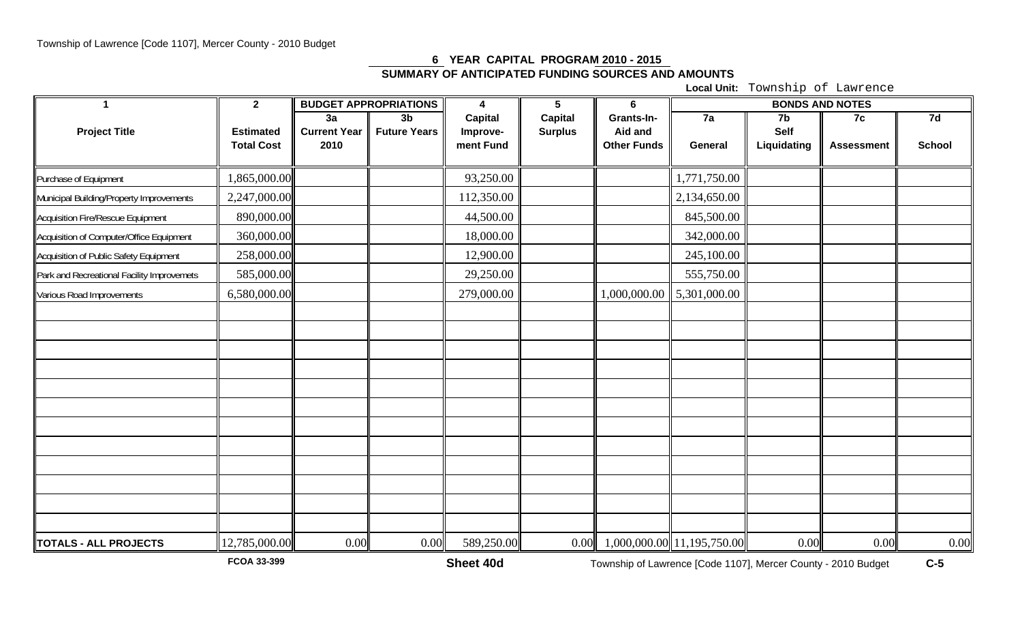# **6 YEAR CAPITAL PROGRAM 2010 - 2015 SUMMARY OF ANTICIPATED FUNDING SOURCES AND AMOUNTS**

**Local Unit:** Township of Lawrence

| $\mathbf 1$                                | $\overline{2}$    |                           | <b>BUDGET APPROPRIATIONS</b>          | $\overline{4}$      | $5\phantom{.0}$                  | 6                     | <b>BONDS AND NOTES</b>     |             |                   |               |
|--------------------------------------------|-------------------|---------------------------|---------------------------------------|---------------------|----------------------------------|-----------------------|----------------------------|-------------|-------------------|---------------|
| <b>Project Title</b>                       | <b>Estimated</b>  | 3a<br><b>Current Year</b> | 3 <sub>b</sub><br><b>Future Years</b> | Capital<br>Improve- | <b>Capital</b><br><b>Surplus</b> | Grants-In-<br>Aid and | 7a                         | 7b<br>Self  | 7c                | 7d            |
|                                            | <b>Total Cost</b> | 2010                      |                                       | ment Fund           |                                  | <b>Other Funds</b>    | General                    | Liquidating | <b>Assessment</b> | <b>School</b> |
| Purchase of Equipment                      | 1,865,000.00      |                           |                                       | 93,250.00           |                                  |                       | 1,771,750.00               |             |                   |               |
| Municipal Building/Property Improvements   | 2,247,000.00      |                           |                                       | 112,350.00          |                                  |                       | 2,134,650.00               |             |                   |               |
| Acquisition Fire/Rescue Equipment          | 890,000.00        |                           |                                       | 44,500.00           |                                  |                       | 845,500.00                 |             |                   |               |
| Acquisition of Computer/Office Equipment   | 360,000.00        |                           |                                       | 18,000.00           |                                  |                       | 342,000.00                 |             |                   |               |
| Acquisition of Public Safety Equipment     | 258,000.00        |                           |                                       | 12,900.00           |                                  |                       | 245,100.00                 |             |                   |               |
| Park and Recreational Facility Improvemets | 585,000.00        |                           |                                       | 29,250.00           |                                  |                       | 555,750.00                 |             |                   |               |
| Various Road Improvements                  | 6,580,000.00      |                           |                                       | 279,000.00          |                                  | 1,000,000.00          | 5,301,000.00               |             |                   |               |
|                                            |                   |                           |                                       |                     |                                  |                       |                            |             |                   |               |
|                                            |                   |                           |                                       |                     |                                  |                       |                            |             |                   |               |
|                                            |                   |                           |                                       |                     |                                  |                       |                            |             |                   |               |
|                                            |                   |                           |                                       |                     |                                  |                       |                            |             |                   |               |
|                                            |                   |                           |                                       |                     |                                  |                       |                            |             |                   |               |
|                                            |                   |                           |                                       |                     |                                  |                       |                            |             |                   |               |
|                                            |                   |                           |                                       |                     |                                  |                       |                            |             |                   |               |
|                                            |                   |                           |                                       |                     |                                  |                       |                            |             |                   |               |
|                                            |                   |                           |                                       |                     |                                  |                       |                            |             |                   |               |
|                                            |                   |                           |                                       |                     |                                  |                       |                            |             |                   |               |
|                                            |                   |                           |                                       |                     |                                  |                       |                            |             |                   |               |
|                                            |                   |                           |                                       |                     |                                  |                       |                            |             |                   |               |
| <b>TOTALS - ALL PROJECTS</b>               | 12,785,000.00     | 0.00                      | 0.00                                  | 589,250.00          | 0.00                             |                       | 1,000,000.00 11,195,750.00 | 0.00        | 0.00              | 0.00          |

**FCOA 33-399**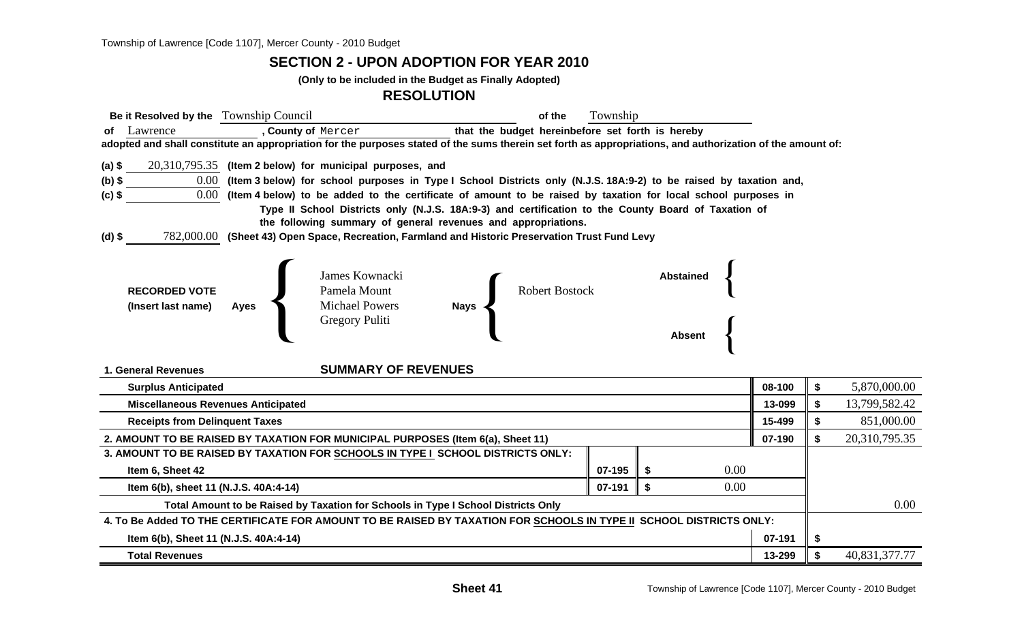**SECTION 2 - UPON ADOPTION FOR YEAR 2010**

**(Only to be included in the Budget as Finally Adopted)**

**RESOLUTION**

| Be it Resolved by the Township Council<br>of the                                                                                                           | Township |                  |               |    |               |  |  |
|------------------------------------------------------------------------------------------------------------------------------------------------------------|----------|------------------|---------------|----|---------------|--|--|
| of Lawrence<br>that the budget hereinbefore set forth is hereby<br>, County of Mercer                                                                      |          |                  |               |    |               |  |  |
| adopted and shall constitute an appropriation for the purposes stated of the sums therein set forth as appropriations, and authorization of the amount of: |          |                  |               |    |               |  |  |
| $(a)$ \$<br>$20,310,795.35$ (Item 2 below) for municipal purposes, and                                                                                     |          |                  |               |    |               |  |  |
| $0.00\,$<br>(Item 3 below) for school purposes in Type I School Districts only (N.J.S. 18A:9-2) to be raised by taxation and,<br>$(b)$ \$                  |          |                  |               |    |               |  |  |
| $0.00\,$<br>(Item 4 below) to be added to the certificate of amount to be raised by taxation for local school purposes in<br>$(c)$ \$                      |          |                  |               |    |               |  |  |
| Type II School Districts only (N.J.S. 18A:9-3) and certification to the County Board of Taxation of                                                        |          |                  |               |    |               |  |  |
| the following summary of general revenues and appropriations.                                                                                              |          |                  |               |    |               |  |  |
| 782,000.00 (Sheet 43) Open Space, Recreation, Farmland and Historic Preservation Trust Fund Levy<br>(d) \$                                                 |          |                  |               |    |               |  |  |
|                                                                                                                                                            |          |                  |               |    |               |  |  |
| James Kownacki                                                                                                                                             |          | <b>Abstained</b> |               |    |               |  |  |
| Robert Bostock<br>Pamela Mount<br><b>RECORDED VOTE</b>                                                                                                     |          |                  |               |    |               |  |  |
| Nays <<br><b>Michael Powers</b><br>(Insert last name)<br><b>Ayes</b>                                                                                       |          |                  |               |    |               |  |  |
| Gregory Puliti                                                                                                                                             |          |                  |               |    |               |  |  |
|                                                                                                                                                            |          | <b>Absent</b>    |               |    |               |  |  |
| <b>SUMMARY OF REVENUES</b><br>1. General Revenues                                                                                                          |          |                  |               |    |               |  |  |
| <b>Surplus Anticipated</b>                                                                                                                                 |          |                  | 08-100        | \$ | 5,870,000.00  |  |  |
| <b>Miscellaneous Revenues Anticipated</b>                                                                                                                  |          |                  | 13-099        | \$ | 13,799,582.42 |  |  |
| 15-499<br><b>Receipts from Delinquent Taxes</b>                                                                                                            |          |                  |               |    |               |  |  |
| 2. AMOUNT TO BE RAISED BY TAXATION FOR MUNICIPAL PURPOSES (Item 6(a), Sheet 11)                                                                            | 07-190   | \$               | 20,310,795.35 |    |               |  |  |
| 3. AMOUNT TO BE RAISED BY TAXATION FOR SCHOOLS IN TYPE I SCHOOL DISTRICTS ONLY:                                                                            |          |                  |               |    |               |  |  |
| Item 6, Sheet 42                                                                                                                                           | 07-195   | 0.00<br>- \$     |               |    |               |  |  |
| Item 6(b), sheet 11 (N.J.S. 40A:4-14)                                                                                                                      | 07-191   | 0.00<br>\$       |               |    |               |  |  |
| Total Amount to be Raised by Taxation for Schools in Type I School Districts Only                                                                          |          |                  |               |    |               |  |  |
| 4. To Be Added TO THE CERTIFICATE FOR AMOUNT TO BE RAISED BY TAXATION FOR SCHOOLS IN TYPE II SCHOOL DISTRICTS ONLY:                                        |          |                  |               |    |               |  |  |
| 07-191<br>Item 6(b), Sheet 11 (N.J.S. 40A:4-14)                                                                                                            |          |                  |               |    |               |  |  |
| 13-299<br><b>Total Revenues</b>                                                                                                                            |          |                  |               |    |               |  |  |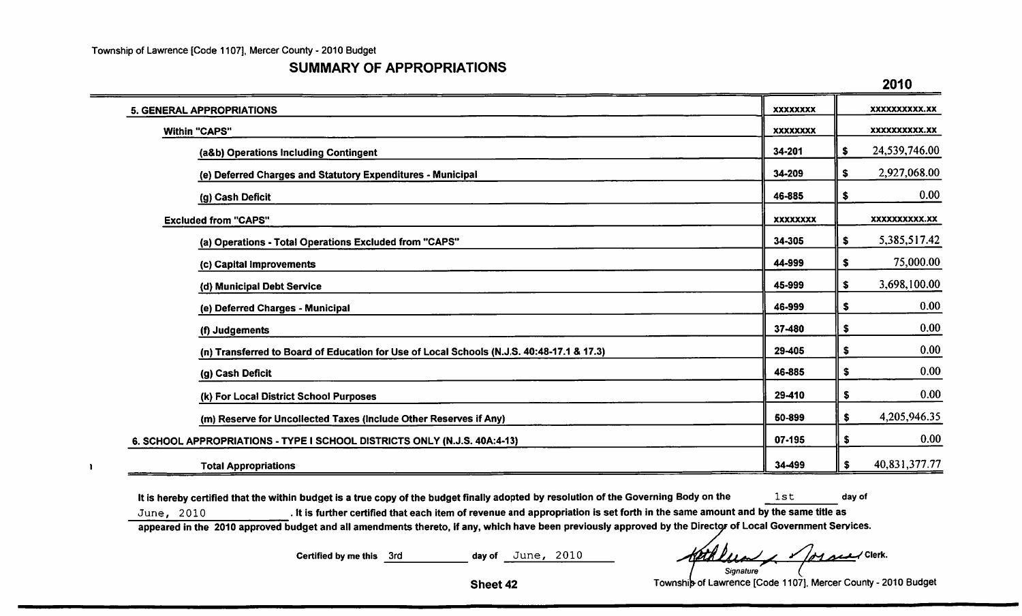$\begin{array}{c} \hline \end{array}$ 

### **SUMMARY OF APPROPRIATIONS**

|                                                                                           |                 | 2010                 |
|-------------------------------------------------------------------------------------------|-----------------|----------------------|
| <b>5. GENERAL APPROPRIATIONS</b>                                                          | XXXXXXXX        | xxxxxxxxxx.xx        |
| Within "CAPS"                                                                             | XXXXXXXX        | XXXXXXXXXX.XX        |
| (a&b) Operations Including Contingent                                                     | 34-201          | 24,539,746.00<br>\$  |
| (e) Deferred Charges and Statutory Expenditures - Municipal                               | 34-209          | 2,927,068.00<br>\$   |
| (g) Cash Deficit                                                                          | 46-885          | 0.00<br>\$           |
| <b>Excluded from "CAPS"</b>                                                               | <b>XXXXXXXX</b> | <b>XXXXXXXXXX.XX</b> |
| (a) Operations - Total Operations Excluded from "CAPS"                                    | 34-305          | 5,385,517.42<br>\$   |
| (c) Capital Improvements                                                                  | 44-999          | 75,000.00<br>\$      |
| (d) Municipal Debt Service                                                                | 45-999          | 3,698,100.00<br>\$   |
| (e) Deferred Charges - Municipal                                                          | 46-999          | 0.00<br>\$           |
| (f) Judgements                                                                            | 37-480          | 0.00<br>\$           |
| (n) Transferred to Board of Education for Use of Local Schools (N.J.S. 40:48-17.1 & 17.3) | 29-405          | 0.00<br>\$           |
| (g) Cash Deficit                                                                          | 46-885          | 0.00<br>\$           |
| (k) For Local District School Purposes                                                    | 29-410          | 0.00<br>\$           |
| (m) Reserve for Uncollected Taxes (Include Other Reserves if Any)                         | 50-899          | 4,205,946.35<br>\$   |
| 6. SCHOOL APPROPRIATIONS - TYPE I SCHOOL DISTRICTS ONLY (N.J.S. 40A:4-13)                 |                 | 0.00<br>\$           |
| <b>Total Appropriations</b>                                                               | 34-499          | 40,831,377.77<br>\$  |

It is hereby certified that the within budget is a true copy of the budget finally adopted by resolution of the Governing Body on the  $1st$ day of . It is further certified that each item of revenue and appropriation is set forth in the same amount and by the same title as June, 2010 appeared in the 2010 approved budget and all amendments thereto, if any, which have been previously approved by the Director of Local Government Services.

> Certified by me this 3rd day of June, 2010

loy seed Clerk. Signature

Township of Lawrence [Code 1107], Mercer County - 2010 Budget

Sheet 42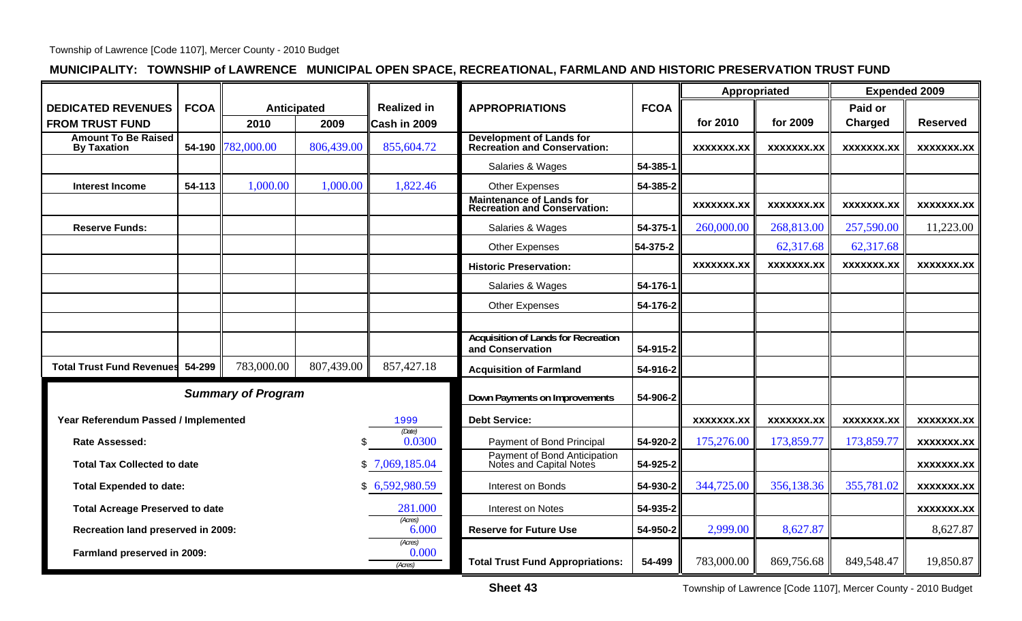## **MUNICIPALITY: TOWNSHIP of LAWRENCE MUNICIPAL OPEN SPACE, RECREATIONAL, FARMLAND AND HISTORIC PRESERVATION TRUST FUND**

|                                                  |             |                    |                               |                             |                                                                        | Appropriated      |                   | <b>Expended 2009</b> |                   |                   |
|--------------------------------------------------|-------------|--------------------|-------------------------------|-----------------------------|------------------------------------------------------------------------|-------------------|-------------------|----------------------|-------------------|-------------------|
| <b>DEDICATED REVENUES</b>                        | <b>FCOA</b> | <b>Anticipated</b> |                               | <b>Realized in</b>          | <b>APPROPRIATIONS</b><br><b>FCOA</b>                                   |                   |                   |                      | Paid or           |                   |
| <b>FROM TRUST FUND</b>                           |             | 2010               | 2009                          | Cash in 2009                |                                                                        |                   | for 2010          | for 2009             | Charged           | <b>Reserved</b>   |
| <b>Amount To Be Raised</b><br><b>By Taxation</b> |             | 54-190 782,000.00  | 806,439.00                    | 855,604.72                  | <b>Development of Lands for<br/>Recreation and Conservation:</b>       |                   | <b>XXXXXXX.XX</b> | XXXXXXX.XX           | XXXXXXX.XX        | XXXXXXX.XX        |
|                                                  |             |                    |                               |                             | Salaries & Wages                                                       | 54-385-1          |                   |                      |                   |                   |
| <b>Interest Income</b>                           | 54-113      | 1,000.00           | 1,000.00                      | 1,822.46                    | Other Expenses                                                         | 54-385-2          |                   |                      |                   |                   |
|                                                  |             |                    |                               |                             | <b>Maintenance of Lands for</b><br><b>Recreation and Conservation:</b> |                   | <b>XXXXXXX.XX</b> | <b>XXXXXXX.XX</b>    | <b>XXXXXXX.XX</b> | <b>XXXXXXX.XX</b> |
| <b>Reserve Funds:</b>                            |             |                    |                               |                             | Salaries & Wages                                                       | 54-375-1          | 260,000.00        | 268,813.00           | 257,590.00        | 11,223.00         |
|                                                  |             |                    |                               |                             | <b>Other Expenses</b>                                                  | 54-375-2          |                   | 62,317.68            | 62,317.68         |                   |
|                                                  |             |                    |                               |                             | <b>Historic Preservation:</b>                                          |                   | <b>XXXXXXX.XX</b> | <b>XXXXXXX.XX</b>    | XXXXXXX.XX        | <b>XXXXXXX.XX</b> |
|                                                  |             |                    |                               |                             | Salaries & Wages                                                       | 54-176-1          |                   |                      |                   |                   |
|                                                  |             |                    |                               |                             | Other Expenses                                                         | 54-176-2          |                   |                      |                   |                   |
|                                                  |             |                    |                               |                             |                                                                        |                   |                   |                      |                   |                   |
|                                                  |             |                    |                               |                             | <b>Acquisition of Lands for Recreation</b><br>and Conservation         | 54-915-2          |                   |                      |                   |                   |
| <b>Total Trust Fund Revenues</b>                 | 54-299      | 783,000.00         | 807,439.00                    | 857,427.18                  | <b>Acquisition of Farmland</b>                                         | 54-916-2          |                   |                      |                   |                   |
| <b>Summary of Program</b>                        |             |                    | Down Payments on Improvements | 54-906-2                    |                                                                        |                   |                   |                      |                   |                   |
| Year Referendum Passed / Implemented<br>1999     |             |                    |                               | <b>Debt Service:</b>        |                                                                        | <b>XXXXXXX.XX</b> | <b>XXXXXXX.XX</b> | XXXXXXX.XX           | XXXXXXX.XX        |                   |
| <b>Rate Assessed:</b>                            |             |                    |                               | (Date)<br>0.0300            | Payment of Bond Principal                                              | 54-920-2          | 175,276.00        | 173,859.77           | 173,859.77        | <b>XXXXXXX.XX</b> |
| <b>Total Tax Collected to date</b>               |             |                    |                               | \$7,069,185.04              | Payment of Bond Anticipation<br>Notes and Capital Notes                | 54-925-2          |                   |                      |                   | <b>XXXXXXX.XX</b> |
| <b>Total Expended to date:</b>                   |             |                    |                               | \$6,592,980.59              | Interest on Bonds                                                      | 54-930-2          | 344,725.00        | 356,138.36           | 355,781.02        | <b>XXXXXXX.XX</b> |
| <b>Total Acreage Preserved to date</b>           |             |                    |                               | 281.000                     | Interest on Notes                                                      | 54-935-2          |                   |                      |                   | <b>XXXXXXX.XX</b> |
| Recreation land preserved in 2009:               |             |                    |                               | (Acres)<br>6.000            | <b>Reserve for Future Use</b>                                          | 54-950-2          | 2,999.00          | 8,627.87             |                   | 8,627.87          |
| Farmland preserved in 2009:                      |             |                    |                               | (Acres)<br>0.000<br>(Acres) | <b>Total Trust Fund Appropriations:</b>                                | 54-499            | 783,000.00        | 869,756.68           | 849,548.47        | 19,850.87         |